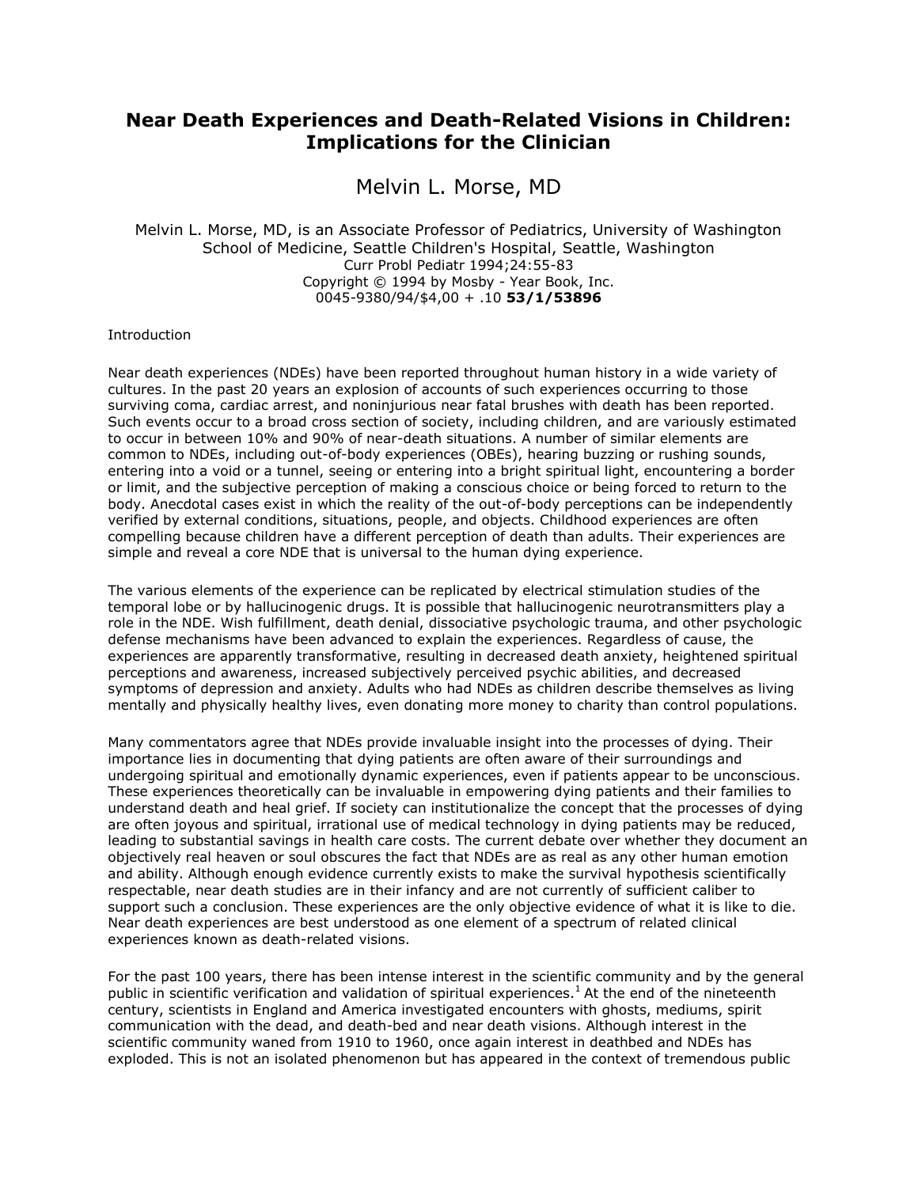# **Near Death Experiences and Death-Related Visions in Children: Implications for the Clinician**

Melvin L. Morse, MD

Melvin L. Morse, MD, is an Associate Professor of Pediatrics, University of Washington School of Medicine, Seattle Children's Hospital, Seattle, Washington Curr Probl Pediatr 1994;24:55-83 Copyright © 1994 by Mosby - Year Book, Inc. 0045-9380/94/\$4,00 + .10 **53/1/53896**

# Introduction

Near death experiences (NDEs) have been reported throughout human history in a wide variety of cultures. In the past 20 years an explosion of accounts of such experiences occurring to those surviving coma, cardiac arrest, and noninjurious near fatal brushes with death has been reported. Such events occur to a broad cross section of society, including children, and are variously estimated to occur in between 10% and 90% of near-death situations. A number of similar elements are common to NDEs, including out-of-body experiences (OBEs), hearing buzzing or rushing sounds, entering into a void or a tunnel, seeing or entering into a bright spiritual light, encountering a border or limit, and the subjective perception of making a conscious choice or being forced to return to the body. Anecdotal cases exist in which the reality of the out-of-body perceptions can be independently verified by external conditions, situations, people, and objects. Childhood experiences are often compelling because children have a different perception of death than adults. Their experiences are simple and reveal a core NDE that is universal to the human dying experience.

The various elements of the experience can be replicated by electrical stimulation studies of the temporal lobe or by hallucinogenic drugs. It is possible that hallucinogenic neurotransmitters play a role in the NDE. Wish fulfillment, death denial, dissociative psychologic trauma, and other psychologic defense mechanisms have been advanced to explain the experiences. Regardless of cause, the experiences are apparently transformative, resulting in decreased death anxiety, heightened spiritual perceptions and awareness, increased subjectively perceived psychic abilities, and decreased symptoms of depression and anxiety. Adults who had NDEs as children describe themselves as living mentally and physically healthy lives, even donating more money to charity than control populations.

Many commentators agree that NDEs provide invaluable insight into the processes of dying. Their importance lies in documenting that dying patients are often aware of their surroundings and undergoing spiritual and emotionally dynamic experiences, even if patients appear to be unconscious. These experiences theoretically can be invaluable in empowering dying patients and their families to understand death and heal grief. If society can institutionalize the concept that the processes of dying are often joyous and spiritual, irrational use of medical technology in dying patients may be reduced, leading to substantial savings in health care costs. The current debate over whether they document an objectively real heaven or soul obscures the fact that NDEs are as real as any other human emotion and ability. Although enough evidence currently exists to make the survival hypothesis scientifically respectable, near death studies are in their infancy and are not currently of sufficient caliber to support such a conclusion. These experiences are the only objective evidence of what it is like to die. Near death experiences are best understood as one element of a spectrum of related clinical experiences known as death-related visions.

For the past 100 years, there has been intense interest in the scientific community and by the general public in scientific verification and validation of spiritual experiences.<sup>1</sup> At the end of the nineteenth century, scientists in England and America investigated encounters with ghosts, mediums, spirit communication with the dead, and death-bed and near death visions. Although interest in the scientific community waned from 1910 to 1960, once again interest in deathbed and NDEs has exploded. This is not an isolated phenomenon but has appeared in the context of tremendous public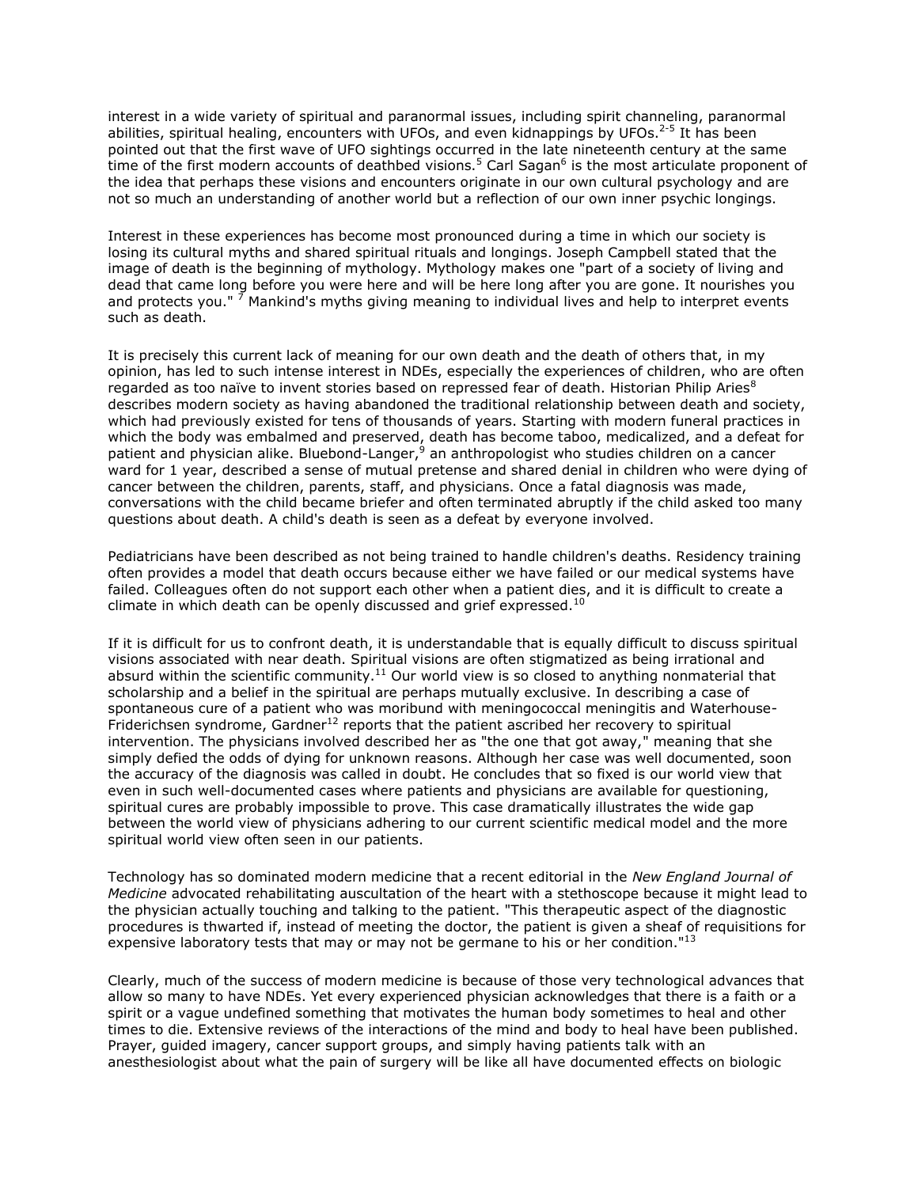interest in a wide variety of spiritual and paranormal issues, including spirit channeling, paranormal abilities, spiritual healing, encounters with UFOs, and even kidnappings by UFOs.<sup>2-5</sup> It has been pointed out that the first wave of UFO sightings occurred in the late nineteenth century at the same time of the first modern accounts of deathbed visions.<sup>5</sup> Carl Sagan<sup>6</sup> is the most articulate proponent of the idea that perhaps these visions and encounters originate in our own cultural psychology and are not so much an understanding of another world but a reflection of our own inner psychic longings.

Interest in these experiences has become most pronounced during a time in which our society is losing its cultural myths and shared spiritual rituals and longings. Joseph Campbell stated that the image of death is the beginning of mythology. Mythology makes one "part of a society of living and dead that came long before you were here and will be here long after you are gone. It nourishes you and protects you."  $\bar{7}$  Mankind's myths giving meaning to individual lives and help to interpret events such as death.

It is precisely this current lack of meaning for our own death and the death of others that, in my opinion, has led to such intense interest in NDEs, especially the experiences of children, who are often regarded as too naïve to invent stories based on repressed fear of death. Historian Philip Aries<sup>8</sup> describes modern society as having abandoned the traditional relationship between death and society, which had previously existed for tens of thousands of years. Starting with modern funeral practices in which the body was embalmed and preserved, death has become taboo, medicalized, and a defeat for patient and physician alike. Bluebond-Langer,<sup>9</sup> an anthropologist who studies children on a cancer ward for 1 year, described a sense of mutual pretense and shared denial in children who were dying of cancer between the children, parents, staff, and physicians. Once a fatal diagnosis was made, conversations with the child became briefer and often terminated abruptly if the child asked too many questions about death. A child's death is seen as a defeat by everyone involved.

Pediatricians have been described as not being trained to handle children's deaths. Residency training often provides a model that death occurs because either we have failed or our medical systems have failed. Colleagues often do not support each other when a patient dies, and it is difficult to create a climate in which death can be openly discussed and grief expressed.<sup>10</sup>

If it is difficult for us to confront death, it is understandable that is equally difficult to discuss spiritual visions associated with near death. Spiritual visions are often stigmatized as being irrational and absurd within the scientific community.<sup>11</sup> Our world view is so closed to anything nonmaterial that scholarship and a belief in the spiritual are perhaps mutually exclusive. In describing a case of spontaneous cure of a patient who was moribund with meningococcal meningitis and Waterhouse-Friderichsen syndrome, Gardner $^{12}$  reports that the patient ascribed her recovery to spiritual intervention. The physicians involved described her as "the one that got away," meaning that she simply defied the odds of dying for unknown reasons. Although her case was well documented, soon the accuracy of the diagnosis was called in doubt. He concludes that so fixed is our world view that even in such well-documented cases where patients and physicians are available for questioning, spiritual cures are probably impossible to prove. This case dramatically illustrates the wide gap between the world view of physicians adhering to our current scientific medical model and the more spiritual world view often seen in our patients.

Technology has so dominated modern medicine that a recent editorial in the *New England Journal of Medicine* advocated rehabilitating auscultation of the heart with a stethoscope because it might lead to the physician actually touching and talking to the patient. "This therapeutic aspect of the diagnostic procedures is thwarted if, instead of meeting the doctor, the patient is given a sheaf of requisitions for expensive laboratory tests that may or may not be germane to his or her condition." $13$ 

Clearly, much of the success of modern medicine is because of those very technological advances that allow so many to have NDEs. Yet every experienced physician acknowledges that there is a faith or a spirit or a vague undefined something that motivates the human body sometimes to heal and other times to die. Extensive reviews of the interactions of the mind and body to heal have been published. Prayer, guided imagery, cancer support groups, and simply having patients talk with an anesthesiologist about what the pain of surgery will be like all have documented effects on biologic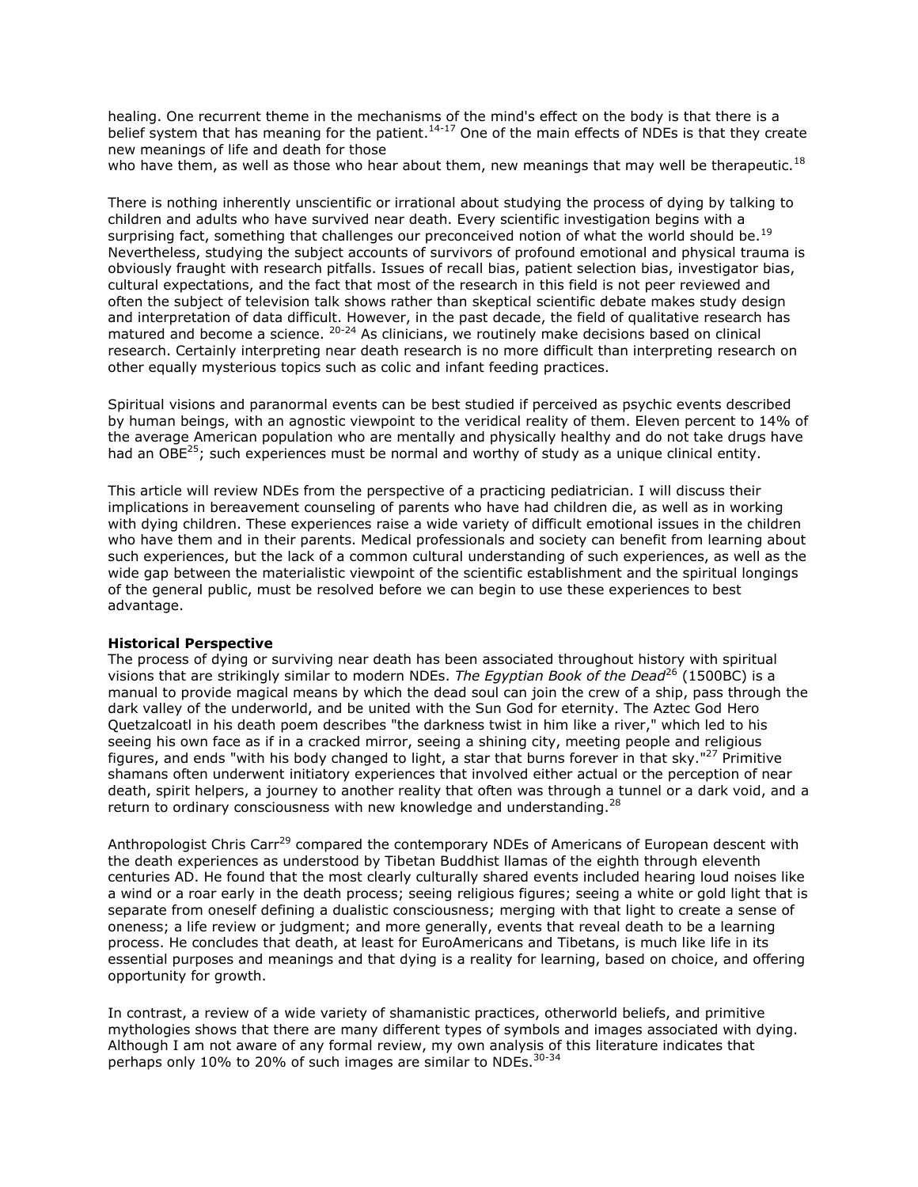healing. One recurrent theme in the mechanisms of the mind's effect on the body is that there is a belief system that has meaning for the patient.<sup>14-17</sup> One of the main effects of NDEs is that they create new meanings of life and death for those

who have them, as well as those who hear about them, new meanings that may well be therapeutic.<sup>18</sup>

There is nothing inherently unscientific or irrational about studying the process of dying by talking to children and adults who have survived near death. Every scientific investigation begins with a surprising fact, something that challenges our preconceived notion of what the world should be.<sup>19</sup> Nevertheless, studying the subject accounts of survivors of profound emotional and physical trauma is obviously fraught with research pitfalls. Issues of recall bias, patient selection bias, investigator bias, cultural expectations, and the fact that most of the research in this field is not peer reviewed and often the subject of television talk shows rather than skeptical scientific debate makes study design and interpretation of data difficult. However, in the past decade, the field of qualitative research has matured and become a science. <sup>20-24</sup> As clinicians, we routinely make decisions based on clinical research. Certainly interpreting near death research is no more difficult than interpreting research on other equally mysterious topics such as colic and infant feeding practices.

Spiritual visions and paranormal events can be best studied if perceived as psychic events described by human beings, with an agnostic viewpoint to the veridical reality of them. Eleven percent to 14% of the average American population who are mentally and physically healthy and do not take drugs have had an OBE<sup>25</sup>; such experiences must be normal and worthy of study as a unique clinical entity.

This article will review NDEs from the perspective of a practicing pediatrician. I will discuss their implications in bereavement counseling of parents who have had children die, as well as in working with dying children. These experiences raise a wide variety of difficult emotional issues in the children who have them and in their parents. Medical professionals and society can benefit from learning about such experiences, but the lack of a common cultural understanding of such experiences, as well as the wide gap between the materialistic viewpoint of the scientific establishment and the spiritual longings of the general public, must be resolved before we can begin to use these experiences to best advantage.

### **Historical Perspective**

The process of dying or surviving near death has been associated throughout history with spiritual visions that are strikingly similar to modern NDEs. *The Egyptian Book of the Dead*<sup>26</sup> (1500BC) is a manual to provide magical means by which the dead soul can join the crew of a ship, pass through the dark valley of the underworld, and be united with the Sun God for eternity. The Aztec God Hero Quetzalcoatl in his death poem describes "the darkness twist in him like a river," which led to his seeing his own face as if in a cracked mirror, seeing a shining city, meeting people and religious figures, and ends "with his body changed to light, a star that burns forever in that sky."<sup>27</sup> Primitive shamans often underwent initiatory experiences that involved either actual or the perception of near death, spirit helpers, a journey to another reality that often was through a tunnel or a dark void, and a return to ordinary consciousness with new knowledge and understanding.<sup>28</sup>

Anthropologist Chris Carr<sup>29</sup> compared the contemporary NDEs of Americans of European descent with the death experiences as understood by Tibetan Buddhist llamas of the eighth through eleventh centuries AD. He found that the most clearly culturally shared events included hearing loud noises like a wind or a roar early in the death process; seeing religious figures; seeing a white or gold light that is separate from oneself defining a dualistic consciousness; merging with that light to create a sense of oneness; a life review or judgment; and more generally, events that reveal death to be a learning process. He concludes that death, at least for EuroAmericans and Tibetans, is much like life in its essential purposes and meanings and that dying is a reality for learning, based on choice, and offering opportunity for growth.

In contrast, a review of a wide variety of shamanistic practices, otherworld beliefs, and primitive mythologies shows that there are many different types of symbols and images associated with dying. Although I am not aware of any formal review, my own analysis of this literature indicates that perhaps only 10% to 20% of such images are similar to NDEs. 30-34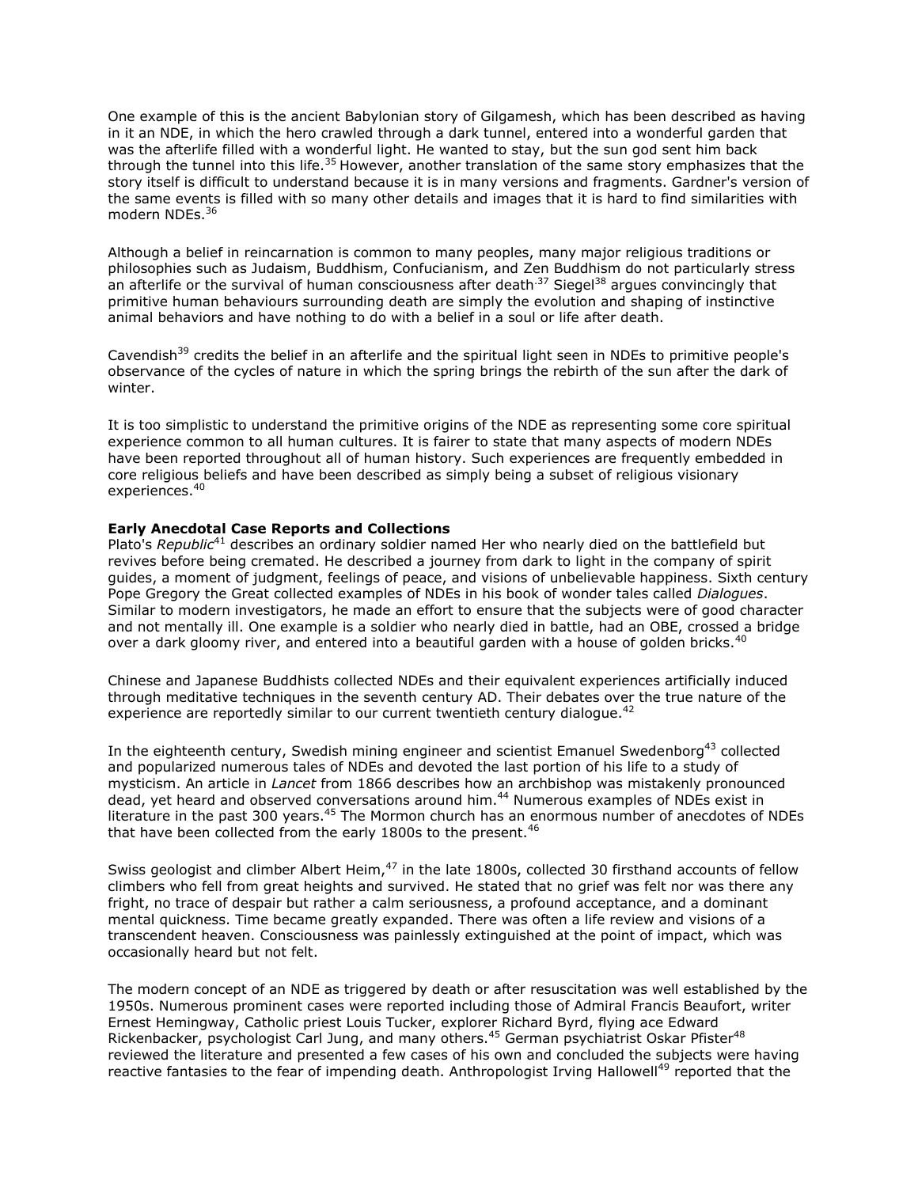One example of this is the ancient Babylonian story of Gilgamesh, which has been described as having in it an NDE, in which the hero crawled through a dark tunnel, entered into a wonderful garden that was the afterlife filled with a wonderful light. He wanted to stay, but the sun god sent him back through the tunnel into this life.<sup>35</sup> However, another translation of the same story emphasizes that the story itself is difficult to understand because it is in many versions and fragments. Gardner's version of the same events is filled with so many other details and images that it is hard to find similarities with modern NDEs.<sup>36</sup>

Although a belief in reincarnation is common to many peoples, many major religious traditions or philosophies such as Judaism, Buddhism, Confucianism, and Zen Buddhism do not particularly stress an afterlife or the survival of human consciousness after death<sup>37</sup> Siegel<sup>38</sup> argues convincingly that primitive human behaviours surrounding death are simply the evolution and shaping of instinctive animal behaviors and have nothing to do with a belief in a soul or life after death.

Cavendish<sup>39</sup> credits the belief in an afterlife and the spiritual light seen in NDEs to primitive people's observance of the cycles of nature in which the spring brings the rebirth of the sun after the dark of winter.

It is too simplistic to understand the primitive origins of the NDE as representing some core spiritual experience common to all human cultures. It is fairer to state that many aspects of modern NDEs have been reported throughout all of human history. Such experiences are frequently embedded in core religious beliefs and have been described as simply being a subset of religious visionary experiences.<sup>40</sup>

# **Early Anecdotal Case Reports and Collections**

Plato's *Republic*<sup>41</sup> describes an ordinary soldier named Her who nearly died on the battlefield but revives before being cremated. He described a journey from dark to light in the company of spirit guides, a moment of judgment, feelings of peace, and visions of unbelievable happiness. Sixth century Pope Gregory the Great collected examples of NDEs in his book of wonder tales called *Dialogues*. Similar to modern investigators, he made an effort to ensure that the subjects were of good character and not mentally ill. One example is a soldier who nearly died in battle, had an OBE, crossed a bridge over a dark gloomy river, and entered into a beautiful garden with a house of golden bricks.<sup>40</sup>

Chinese and Japanese Buddhists collected NDEs and their equivalent experiences artificially induced through meditative techniques in the seventh century AD. Their debates over the true nature of the experience are reportedly similar to our current twentieth century dialogue.<sup>42</sup>

In the eighteenth century, Swedish mining engineer and scientist Emanuel Swedenborg<sup>43</sup> collected and popularized numerous tales of NDEs and devoted the last portion of his life to a study of mysticism. An article in *Lancet* from 1866 describes how an archbishop was mistakenly pronounced dead, yet heard and observed conversations around him.<sup>44</sup> Numerous examples of NDEs exist in literature in the past 300 years.<sup>45</sup> The Mormon church has an enormous number of anecdotes of NDEs that have been collected from the early 1800s to the present.<sup>46</sup>

Swiss geologist and climber Albert Heim, $^{47}$  in the late 1800s, collected 30 firsthand accounts of fellow climbers who fell from great heights and survived. He stated that no grief was felt nor was there any fright, no trace of despair but rather a calm seriousness, a profound acceptance, and a dominant mental quickness. Time became greatly expanded. There was often a life review and visions of a transcendent heaven. Consciousness was painlessly extinguished at the point of impact, which was occasionally heard but not felt.

The modern concept of an NDE as triggered by death or after resuscitation was well established by the 1950s. Numerous prominent cases were reported including those of Admiral Francis Beaufort, writer Ernest Hemingway, Catholic priest Louis Tucker, explorer Richard Byrd, flying ace Edward Rickenbacker, psychologist Carl Jung, and many others.<sup>45</sup> German psychiatrist Oskar Pfister<sup>48</sup> reviewed the literature and presented a few cases of his own and concluded the subjects were having reactive fantasies to the fear of impending death. Anthropologist Irving Hallowell<sup>49</sup> reported that the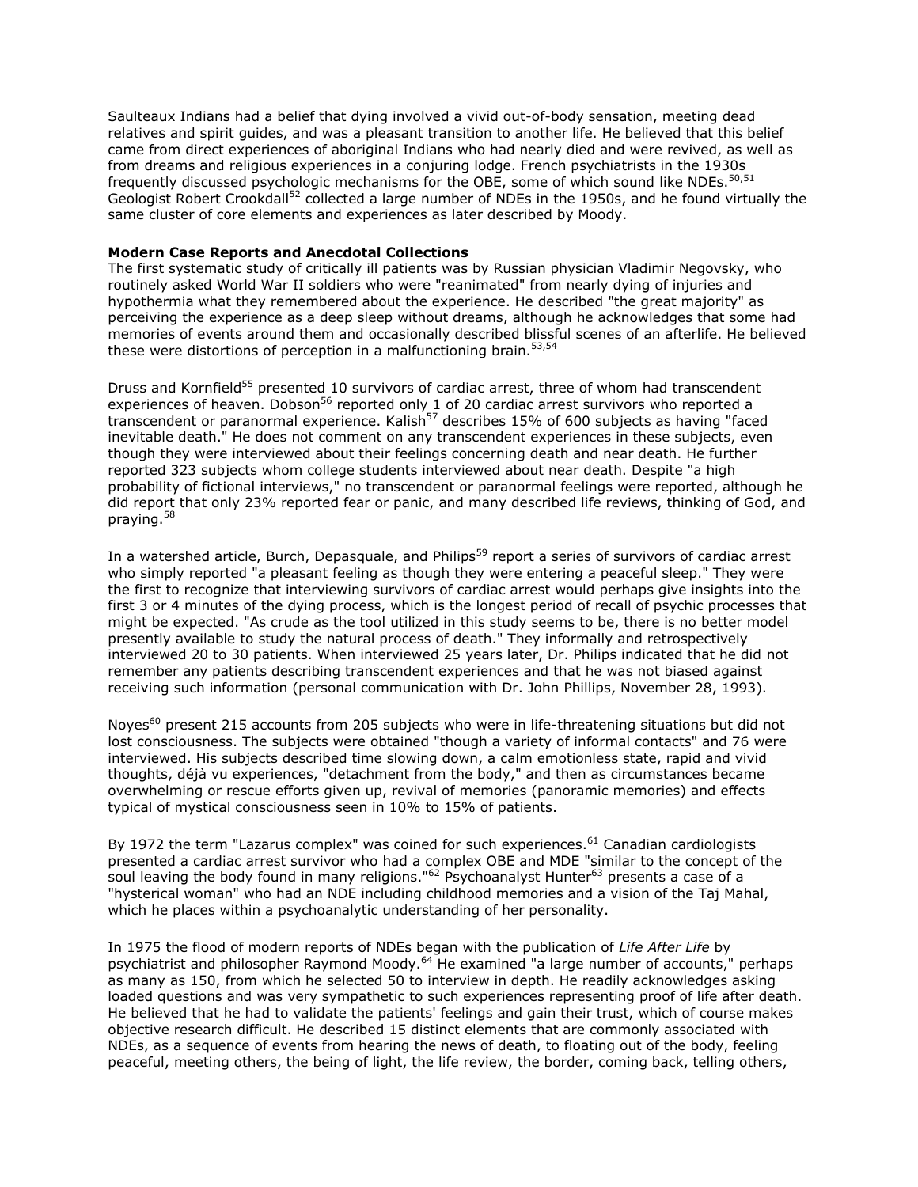Saulteaux Indians had a belief that dying involved a vivid out-of-body sensation, meeting dead relatives and spirit guides, and was a pleasant transition to another life. He believed that this belief came from direct experiences of aboriginal Indians who had nearly died and were revived, as well as from dreams and religious experiences in a conjuring lodge. French psychiatrists in the 1930s frequently discussed psychologic mechanisms for the OBE, some of which sound like NDEs.<sup>50,51</sup> Geologist Robert Crookdall<sup>52</sup> collected a large number of NDEs in the 1950s, and he found virtually the same cluster of core elements and experiences as later described by Moody.

### **Modern Case Reports and Anecdotal Collections**

The first systematic study of critically ill patients was by Russian physician Vladimir Negovsky, who routinely asked World War II soldiers who were "reanimated" from nearly dying of injuries and hypothermia what they remembered about the experience. He described "the great majority" as perceiving the experience as a deep sleep without dreams, although he acknowledges that some had memories of events around them and occasionally described blissful scenes of an afterlife. He believed these were distortions of perception in a malfunctioning brain. $53,54$ 

Druss and Kornfield<sup>55</sup> presented 10 survivors of cardiac arrest, three of whom had transcendent experiences of heaven. Dobson<sup>56</sup> reported only 1 of 20 cardiac arrest survivors who reported a transcendent or paranormal experience. Kalish<sup>57</sup> describes 15% of 600 subjects as having "faced inevitable death." He does not comment on any transcendent experiences in these subjects, even though they were interviewed about their feelings concerning death and near death. He further reported 323 subjects whom college students interviewed about near death. Despite "a high probability of fictional interviews," no transcendent or paranormal feelings were reported, although he did report that only 23% reported fear or panic, and many described life reviews, thinking of God, and praying.<sup>58</sup>

In a watershed article, Burch, Depasquale, and Philips<sup>59</sup> report a series of survivors of cardiac arrest who simply reported "a pleasant feeling as though they were entering a peaceful sleep." They were the first to recognize that interviewing survivors of cardiac arrest would perhaps give insights into the first 3 or 4 minutes of the dying process, which is the longest period of recall of psychic processes that might be expected. "As crude as the tool utilized in this study seems to be, there is no better model presently available to study the natural process of death." They informally and retrospectively interviewed 20 to 30 patients. When interviewed 25 years later, Dr. Philips indicated that he did not remember any patients describing transcendent experiences and that he was not biased against receiving such information (personal communication with Dr. John Phillips, November 28, 1993).

Noyes<sup>60</sup> present 215 accounts from 205 subjects who were in life-threatening situations but did not lost consciousness. The subjects were obtained "though a variety of informal contacts" and 76 were interviewed. His subjects described time slowing down, a calm emotionless state, rapid and vivid thoughts, déjà vu experiences, "detachment from the body," and then as circumstances became overwhelming or rescue efforts given up, revival of memories (panoramic memories) and effects typical of mystical consciousness seen in 10% to 15% of patients.

By 1972 the term "Lazarus complex" was coined for such experiences.<sup>61</sup> Canadian cardiologists presented a cardiac arrest survivor who had a complex OBE and MDE "similar to the concept of the soul leaving the body found in many religions." $62$  Psychoanalyst Hunter $63$  presents a case of a "hysterical woman" who had an NDE including childhood memories and a vision of the Taj Mahal, which he places within a psychoanalytic understanding of her personality.

In 1975 the flood of modern reports of NDEs began with the publication of *Life After Life* by psychiatrist and philosopher Raymond Moody.<sup>64</sup> He examined "a large number of accounts," perhaps as many as 150, from which he selected 50 to interview in depth. He readily acknowledges asking loaded questions and was very sympathetic to such experiences representing proof of life after death. He believed that he had to validate the patients' feelings and gain their trust, which of course makes objective research difficult. He described 15 distinct elements that are commonly associated with NDEs, as a sequence of events from hearing the news of death, to floating out of the body, feeling peaceful, meeting others, the being of light, the life review, the border, coming back, telling others,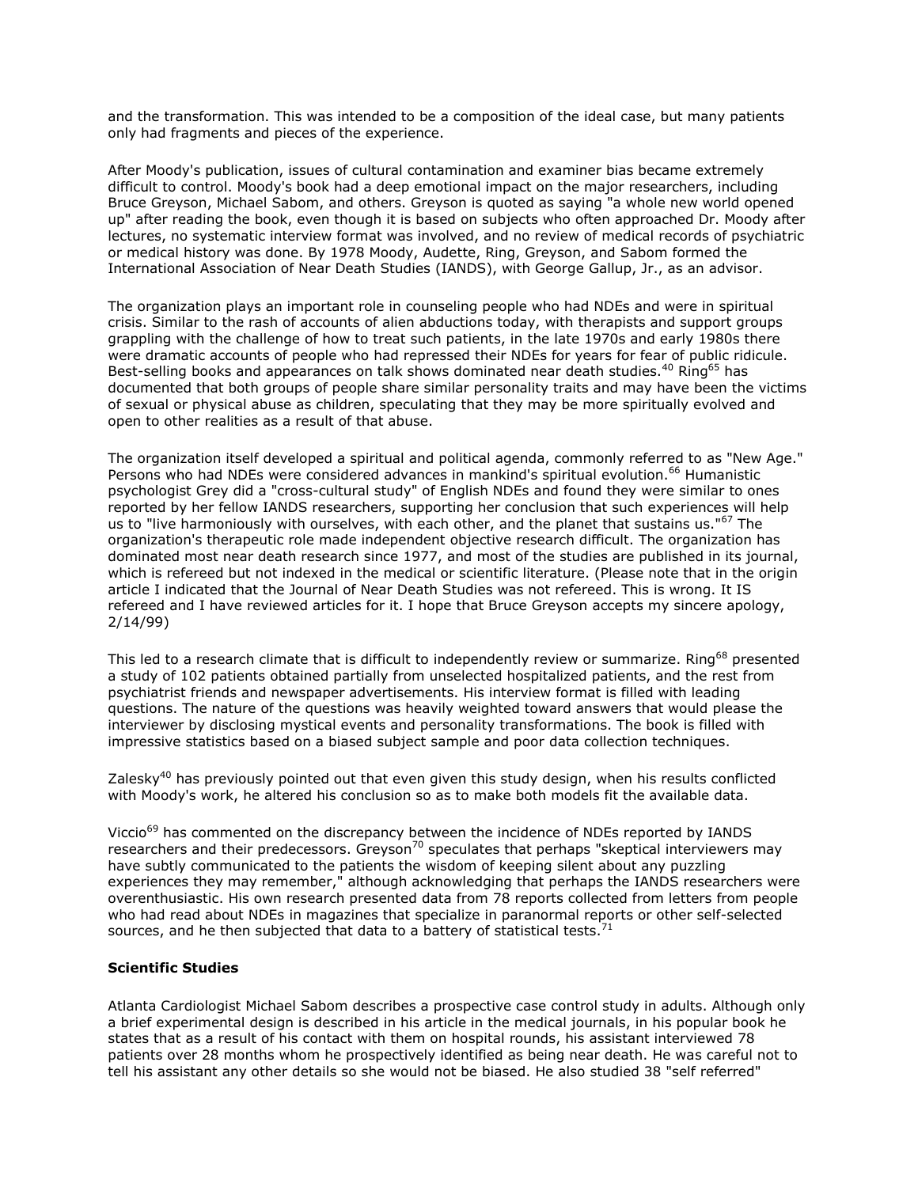and the transformation. This was intended to be a composition of the ideal case, but many patients only had fragments and pieces of the experience.

After Moody's publication, issues of cultural contamination and examiner bias became extremely difficult to control. Moody's book had a deep emotional impact on the major researchers, including Bruce Greyson, Michael Sabom, and others. Greyson is quoted as saying "a whole new world opened up" after reading the book, even though it is based on subjects who often approached Dr. Moody after lectures, no systematic interview format was involved, and no review of medical records of psychiatric or medical history was done. By 1978 Moody, Audette, Ring, Greyson, and Sabom formed the International Association of Near Death Studies (IANDS), with George Gallup, Jr., as an advisor.

The organization plays an important role in counseling people who had NDEs and were in spiritual crisis. Similar to the rash of accounts of alien abductions today, with therapists and support groups grappling with the challenge of how to treat such patients, in the late 1970s and early 1980s there were dramatic accounts of people who had repressed their NDEs for years for fear of public ridicule. Best-selling books and appearances on talk shows dominated near death studies.<sup>40</sup> Ring<sup>65</sup> has documented that both groups of people share similar personality traits and may have been the victims of sexual or physical abuse as children, speculating that they may be more spiritually evolved and open to other realities as a result of that abuse.

The organization itself developed a spiritual and political agenda, commonly referred to as "New Age." Persons who had NDEs were considered advances in mankind's spiritual evolution.<sup>66</sup> Humanistic psychologist Grey did a "cross-cultural study" of English NDEs and found they were similar to ones reported by her fellow IANDS researchers, supporting her conclusion that such experiences will help us to "live harmoniously with ourselves, with each other, and the planet that sustains us."<sup>67</sup> The organization's therapeutic role made independent objective research difficult. The organization has dominated most near death research since 1977, and most of the studies are published in its journal, which is refereed but not indexed in the medical or scientific literature. (Please note that in the origin article I indicated that the Journal of Near Death Studies was not refereed. This is wrong. It IS refereed and I have reviewed articles for it. I hope that Bruce Greyson accepts my sincere apology, 2/14/99)

This led to a research climate that is difficult to independently review or summarize. Ring<sup>68</sup> presented a study of 102 patients obtained partially from unselected hospitalized patients, and the rest from psychiatrist friends and newspaper advertisements. His interview format is filled with leading questions. The nature of the questions was heavily weighted toward answers that would please the interviewer by disclosing mystical events and personality transformations. The book is filled with impressive statistics based on a biased subject sample and poor data collection techniques.

Zalesky<sup>40</sup> has previously pointed out that even given this study design, when his results conflicted with Moody's work, he altered his conclusion so as to make both models fit the available data.

Viccio<sup>69</sup> has commented on the discrepancy between the incidence of NDEs reported by IANDS researchers and their predecessors. Greyson<sup>70</sup> speculates that perhaps "skeptical interviewers may have subtly communicated to the patients the wisdom of keeping silent about any puzzling experiences they may remember," although acknowledging that perhaps the IANDS researchers were overenthusiastic. His own research presented data from 78 reports collected from letters from people who had read about NDEs in magazines that specialize in paranormal reports or other self-selected sources, and he then subjected that data to a battery of statistical tests.<sup>71</sup>

# **Scientific Studies**

Atlanta Cardiologist Michael Sabom describes a prospective case control study in adults. Although only a brief experimental design is described in his article in the medical journals, in his popular book he states that as a result of his contact with them on hospital rounds, his assistant interviewed 78 patients over 28 months whom he prospectively identified as being near death. He was careful not to tell his assistant any other details so she would not be biased. He also studied 38 "self referred"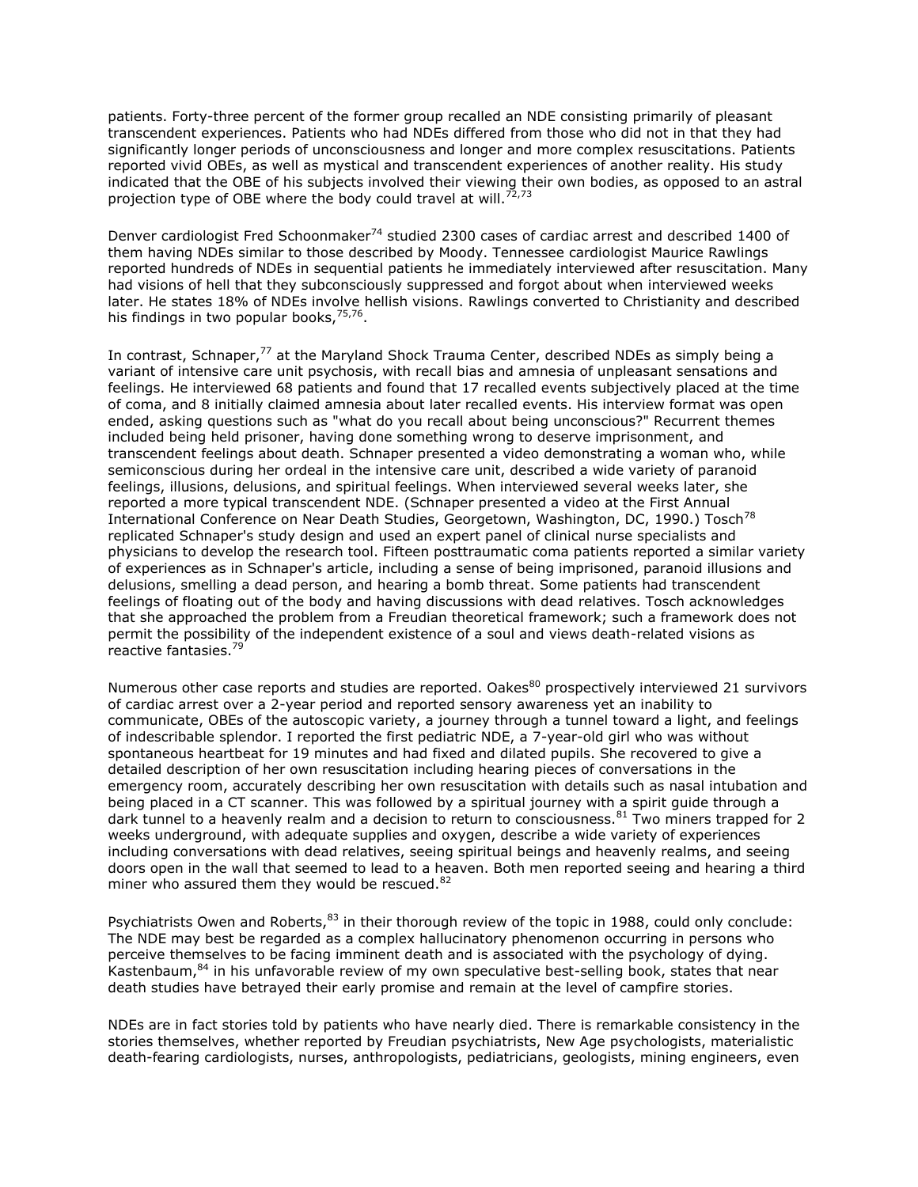patients. Forty-three percent of the former group recalled an NDE consisting primarily of pleasant transcendent experiences. Patients who had NDEs differed from those who did not in that they had significantly longer periods of unconsciousness and longer and more complex resuscitations. Patients reported vivid OBEs, as well as mystical and transcendent experiences of another reality. His study indicated that the OBE of his subjects involved their viewing their own bodies, as opposed to an astral projection type of OBE where the body could travel at will.<sup>72,73</sup>

Denver cardiologist Fred Schoonmaker<sup>74</sup> studied 2300 cases of cardiac arrest and described 1400 of them having NDEs similar to those described by Moody. Tennessee cardiologist Maurice Rawlings reported hundreds of NDEs in sequential patients he immediately interviewed after resuscitation. Many had visions of hell that they subconsciously suppressed and forgot about when interviewed weeks later. He states 18% of NDEs involve hellish visions. Rawlings converted to Christianity and described his findings in two popular books, 75,76.

In contrast, Schnaper,<sup>77</sup> at the Maryland Shock Trauma Center, described NDEs as simply being a variant of intensive care unit psychosis, with recall bias and amnesia of unpleasant sensations and feelings. He interviewed 68 patients and found that 17 recalled events subjectively placed at the time of coma, and 8 initially claimed amnesia about later recalled events. His interview format was open ended, asking questions such as "what do you recall about being unconscious?" Recurrent themes included being held prisoner, having done something wrong to deserve imprisonment, and transcendent feelings about death. Schnaper presented a video demonstrating a woman who, while semiconscious during her ordeal in the intensive care unit, described a wide variety of paranoid feelings, illusions, delusions, and spiritual feelings. When interviewed several weeks later, she reported a more typical transcendent NDE. (Schnaper presented a video at the First Annual International Conference on Near Death Studies, Georgetown, Washington, DC, 1990.) Tosch<sup>78</sup> replicated Schnaper's study design and used an expert panel of clinical nurse specialists and physicians to develop the research tool. Fifteen posttraumatic coma patients reported a similar variety of experiences as in Schnaper's article, including a sense of being imprisoned, paranoid illusions and delusions, smelling a dead person, and hearing a bomb threat. Some patients had transcendent feelings of floating out of the body and having discussions with dead relatives. Tosch acknowledges that she approached the problem from a Freudian theoretical framework; such a framework does not permit the possibility of the independent existence of a soul and views death-related visions as reactive fantasies.<sup>79</sup>

Numerous other case reports and studies are reported. Oakes<sup>80</sup> prospectively interviewed 21 survivors of cardiac arrest over a 2-year period and reported sensory awareness yet an inability to communicate, OBEs of the autoscopic variety, a journey through a tunnel toward a light, and feelings of indescribable splendor. I reported the first pediatric NDE, a 7-year-old girl who was without spontaneous heartbeat for 19 minutes and had fixed and dilated pupils. She recovered to give a detailed description of her own resuscitation including hearing pieces of conversations in the emergency room, accurately describing her own resuscitation with details such as nasal intubation and being placed in a CT scanner. This was followed by a spiritual journey with a spirit guide through a dark tunnel to a heavenly realm and a decision to return to consciousness.<sup>81</sup> Two miners trapped for 2 weeks underground, with adequate supplies and oxygen, describe a wide variety of experiences including conversations with dead relatives, seeing spiritual beings and heavenly realms, and seeing doors open in the wall that seemed to lead to a heaven. Both men reported seeing and hearing a third miner who assured them they would be rescued.<sup>82</sup>

Psychiatrists Owen and Roberts, 83 in their thorough review of the topic in 1988, could only conclude: The NDE may best be regarded as a complex hallucinatory phenomenon occurring in persons who perceive themselves to be facing imminent death and is associated with the psychology of dying. Kastenbaum, $84$  in his unfavorable review of my own speculative best-selling book, states that near death studies have betrayed their early promise and remain at the level of campfire stories.

NDEs are in fact stories told by patients who have nearly died. There is remarkable consistency in the stories themselves, whether reported by Freudian psychiatrists, New Age psychologists, materialistic death-fearing cardiologists, nurses, anthropologists, pediatricians, geologists, mining engineers, even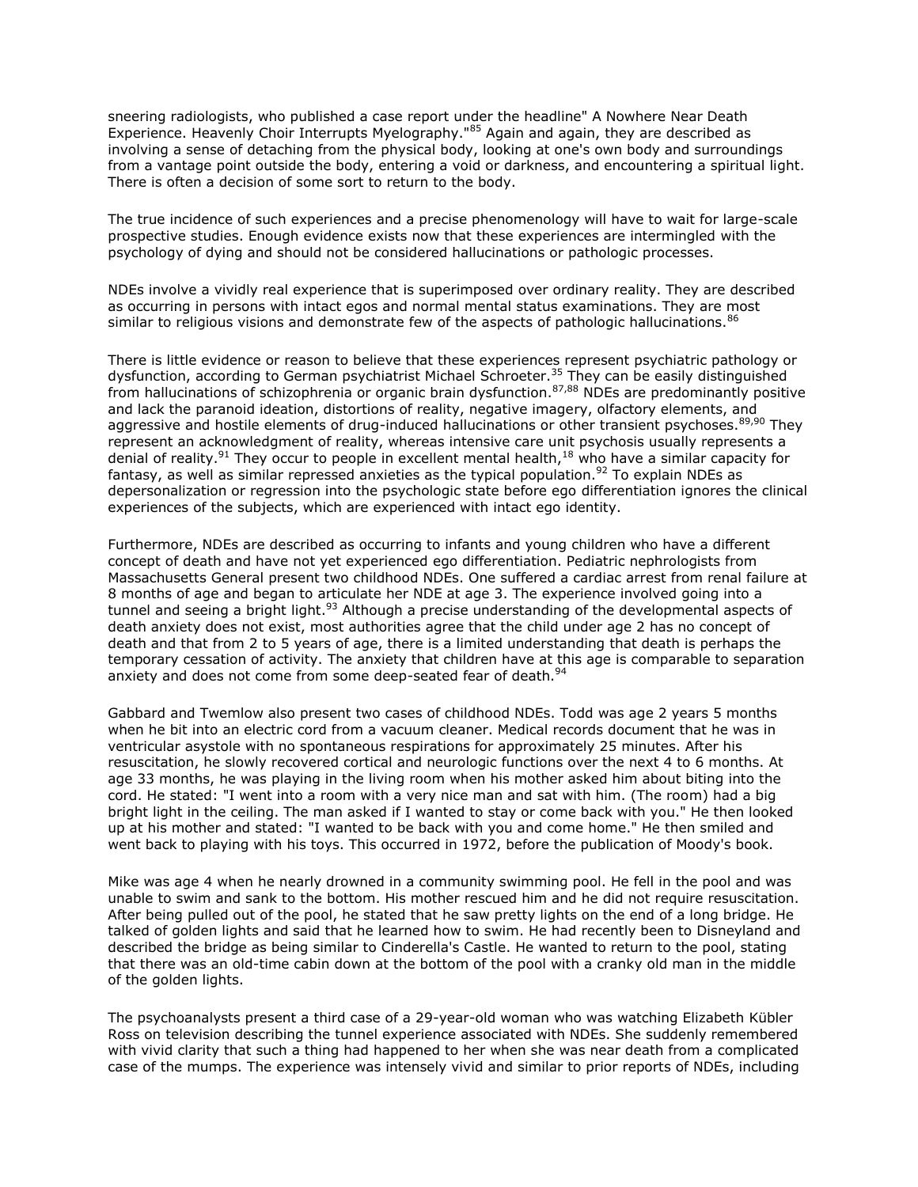sneering radiologists, who published a case report under the headline" A Nowhere Near Death Experience. Heavenly Choir Interrupts Myelography."<sup>85</sup> Again and again, they are described as involving a sense of detaching from the physical body, looking at one's own body and surroundings from a vantage point outside the body, entering a void or darkness, and encountering a spiritual light. There is often a decision of some sort to return to the body.

The true incidence of such experiences and a precise phenomenology will have to wait for large-scale prospective studies. Enough evidence exists now that these experiences are intermingled with the psychology of dying and should not be considered hallucinations or pathologic processes.

NDEs involve a vividly real experience that is superimposed over ordinary reality. They are described as occurring in persons with intact egos and normal mental status examinations. They are most similar to religious visions and demonstrate few of the aspects of pathologic hallucinations.<sup>86</sup>

There is little evidence or reason to believe that these experiences represent psychiatric pathology or dysfunction, according to German psychiatrist Michael Schroeter.<sup>35</sup> They can be easily distinguished from hallucinations of schizophrenia or organic brain dysfunction.87,88 NDEs are predominantly positive and lack the paranoid ideation, distortions of reality, negative imagery, olfactory elements, and aggressive and hostile elements of drug-induced hallucinations or other transient psychoses.<sup>89,90</sup> They represent an acknowledgment of reality, whereas intensive care unit psychosis usually represents a denial of reality.<sup>91</sup> They occur to people in excellent mental health,<sup>18</sup> who have a similar capacity for fantasy, as well as similar repressed anxieties as the typical population.<sup>92</sup> To explain NDEs as depersonalization or regression into the psychologic state before ego differentiation ignores the clinical experiences of the subjects, which are experienced with intact ego identity.

Furthermore, NDEs are described as occurring to infants and young children who have a different concept of death and have not yet experienced ego differentiation. Pediatric nephrologists from Massachusetts General present two childhood NDEs. One suffered a cardiac arrest from renal failure at 8 months of age and began to articulate her NDE at age 3. The experience involved going into a tunnel and seeing a bright light.<sup>93</sup> Although a precise understanding of the developmental aspects of death anxiety does not exist, most authorities agree that the child under age 2 has no concept of death and that from 2 to 5 years of age, there is a limited understanding that death is perhaps the temporary cessation of activity. The anxiety that children have at this age is comparable to separation anxiety and does not come from some deep-seated fear of death.<sup>94</sup>

Gabbard and Twemlow also present two cases of childhood NDEs. Todd was age 2 years 5 months when he bit into an electric cord from a vacuum cleaner. Medical records document that he was in ventricular asystole with no spontaneous respirations for approximately 25 minutes. After his resuscitation, he slowly recovered cortical and neurologic functions over the next 4 to 6 months. At age 33 months, he was playing in the living room when his mother asked him about biting into the cord. He stated: "I went into a room with a very nice man and sat with him. (The room) had a big bright light in the ceiling. The man asked if I wanted to stay or come back with you." He then looked up at his mother and stated: "I wanted to be back with you and come home." He then smiled and went back to playing with his toys. This occurred in 1972, before the publication of Moody's book.

Mike was age 4 when he nearly drowned in a community swimming pool. He fell in the pool and was unable to swim and sank to the bottom. His mother rescued him and he did not require resuscitation. After being pulled out of the pool, he stated that he saw pretty lights on the end of a long bridge. He talked of golden lights and said that he learned how to swim. He had recently been to Disneyland and described the bridge as being similar to Cinderella's Castle. He wanted to return to the pool, stating that there was an old-time cabin down at the bottom of the pool with a cranky old man in the middle of the golden lights.

The psychoanalysts present a third case of a 29-year-old woman who was watching Elizabeth Kübler Ross on television describing the tunnel experience associated with NDEs. She suddenly remembered with vivid clarity that such a thing had happened to her when she was near death from a complicated case of the mumps. The experience was intensely vivid and similar to prior reports of NDEs, including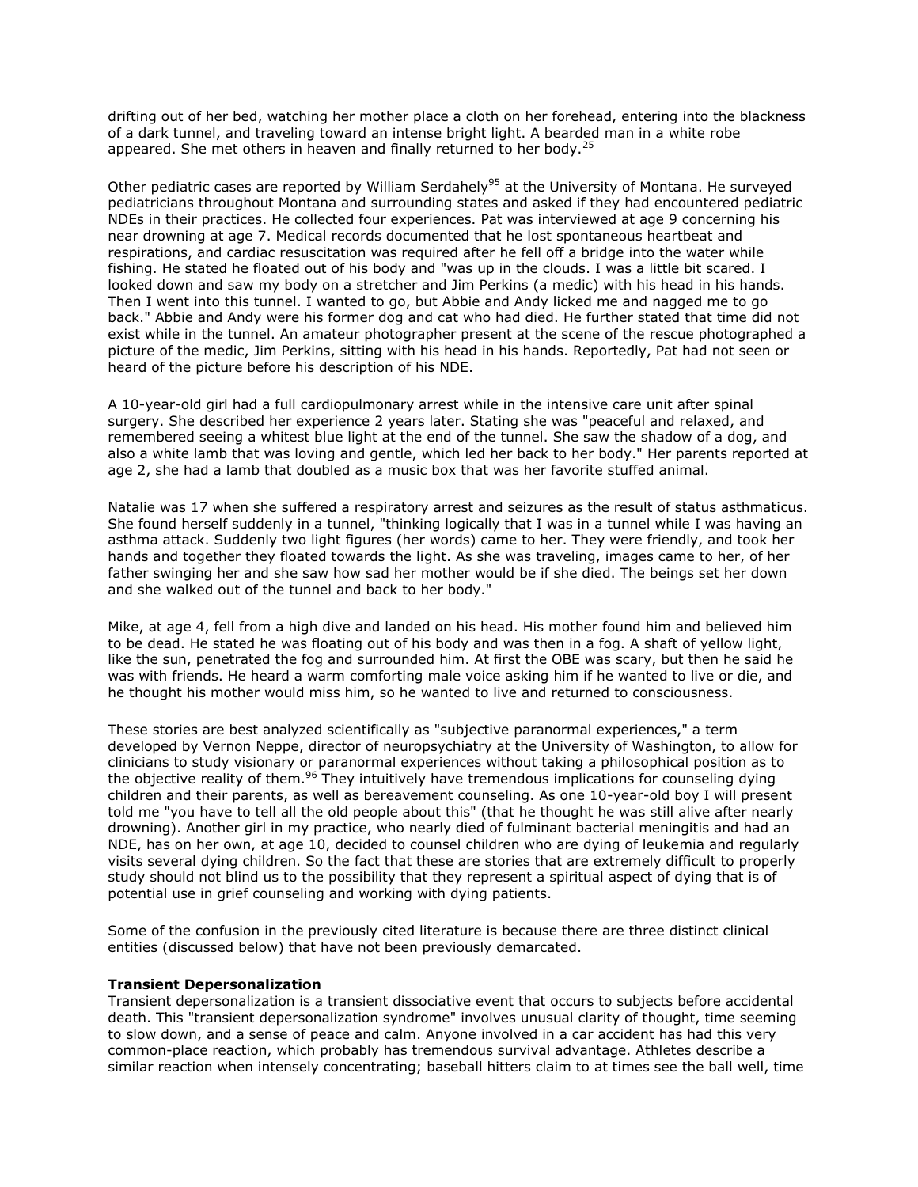drifting out of her bed, watching her mother place a cloth on her forehead, entering into the blackness of a dark tunnel, and traveling toward an intense bright light. A bearded man in a white robe appeared. She met others in heaven and finally returned to her body.<sup>25</sup>

Other pediatric cases are reported by William Serdahely<sup>95</sup> at the University of Montana. He surveyed pediatricians throughout Montana and surrounding states and asked if they had encountered pediatric NDEs in their practices. He collected four experiences. Pat was interviewed at age 9 concerning his near drowning at age 7. Medical records documented that he lost spontaneous heartbeat and respirations, and cardiac resuscitation was required after he fell off a bridge into the water while fishing. He stated he floated out of his body and "was up in the clouds. I was a little bit scared. I looked down and saw my body on a stretcher and Jim Perkins (a medic) with his head in his hands. Then I went into this tunnel. I wanted to go, but Abbie and Andy licked me and nagged me to go back." Abbie and Andy were his former dog and cat who had died. He further stated that time did not exist while in the tunnel. An amateur photographer present at the scene of the rescue photographed a picture of the medic, Jim Perkins, sitting with his head in his hands. Reportedly, Pat had not seen or heard of the picture before his description of his NDE.

A 10-year-old girl had a full cardiopulmonary arrest while in the intensive care unit after spinal surgery. She described her experience 2 years later. Stating she was "peaceful and relaxed, and remembered seeing a whitest blue light at the end of the tunnel. She saw the shadow of a dog, and also a white lamb that was loving and gentle, which led her back to her body." Her parents reported at age 2, she had a lamb that doubled as a music box that was her favorite stuffed animal.

Natalie was 17 when she suffered a respiratory arrest and seizures as the result of status asthmaticus. She found herself suddenly in a tunnel, "thinking logically that I was in a tunnel while I was having an asthma attack. Suddenly two light figures (her words) came to her. They were friendly, and took her hands and together they floated towards the light. As she was traveling, images came to her, of her father swinging her and she saw how sad her mother would be if she died. The beings set her down and she walked out of the tunnel and back to her body."

Mike, at age 4, fell from a high dive and landed on his head. His mother found him and believed him to be dead. He stated he was floating out of his body and was then in a fog. A shaft of yellow light, like the sun, penetrated the fog and surrounded him. At first the OBE was scary, but then he said he was with friends. He heard a warm comforting male voice asking him if he wanted to live or die, and he thought his mother would miss him, so he wanted to live and returned to consciousness.

These stories are best analyzed scientifically as "subjective paranormal experiences," a term developed by Vernon Neppe, director of neuropsychiatry at the University of Washington, to allow for clinicians to study visionary or paranormal experiences without taking a philosophical position as to the objective reality of them.<sup>96</sup> They intuitively have tremendous implications for counseling dying children and their parents, as well as bereavement counseling. As one 10-year-old boy I will present told me "you have to tell all the old people about this" (that he thought he was still alive after nearly drowning). Another girl in my practice, who nearly died of fulminant bacterial meningitis and had an NDE, has on her own, at age 10, decided to counsel children who are dying of leukemia and regularly visits several dying children. So the fact that these are stories that are extremely difficult to properly study should not blind us to the possibility that they represent a spiritual aspect of dying that is of potential use in grief counseling and working with dying patients.

Some of the confusion in the previously cited literature is because there are three distinct clinical entities (discussed below) that have not been previously demarcated.

### **Transient Depersonalization**

Transient depersonalization is a transient dissociative event that occurs to subjects before accidental death. This "transient depersonalization syndrome" involves unusual clarity of thought, time seeming to slow down, and a sense of peace and calm. Anyone involved in a car accident has had this very common-place reaction, which probably has tremendous survival advantage. Athletes describe a similar reaction when intensely concentrating; baseball hitters claim to at times see the ball well, time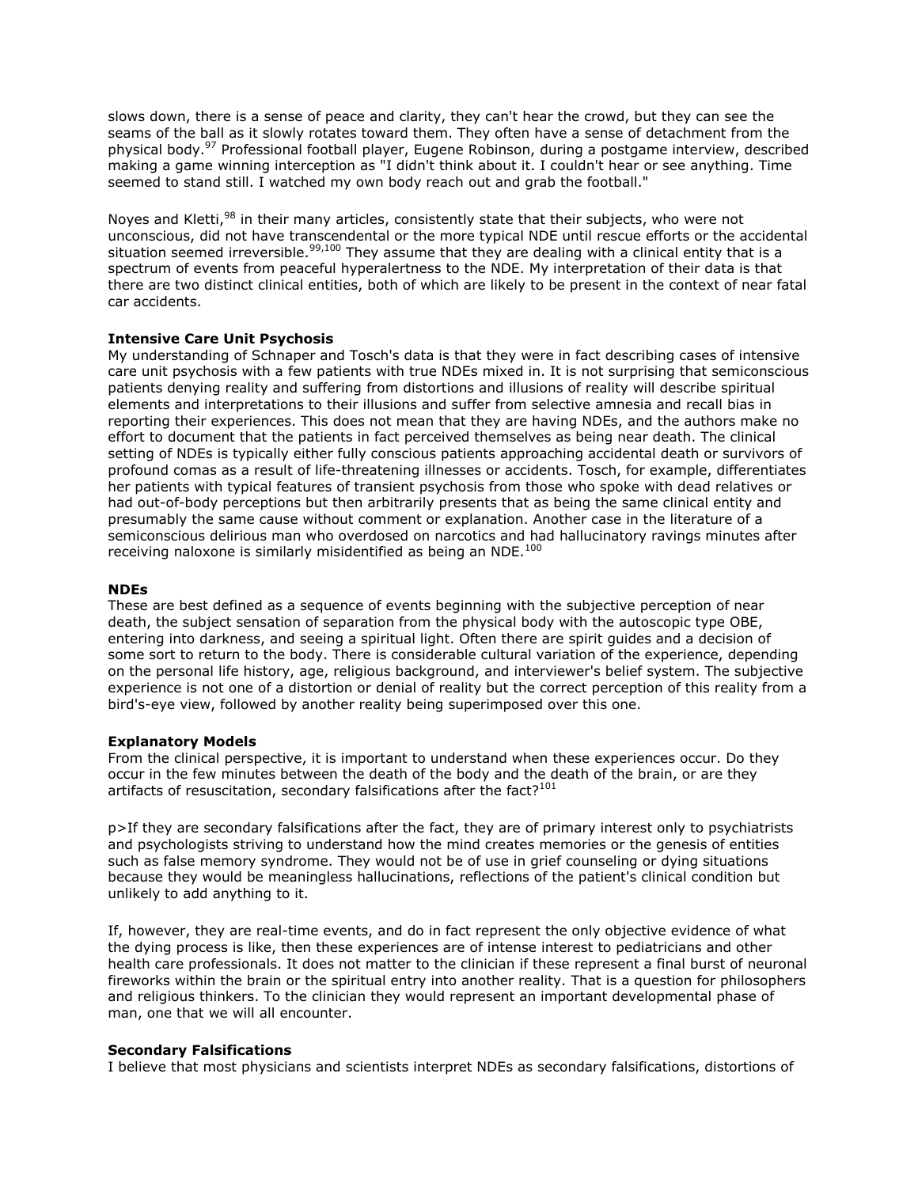slows down, there is a sense of peace and clarity, they can't hear the crowd, but they can see the seams of the ball as it slowly rotates toward them. They often have a sense of detachment from the physical body.<sup>97</sup> Professional football player, Eugene Robinson, during a postgame interview, described making a game winning interception as "I didn't think about it. I couldn't hear or see anything. Time seemed to stand still. I watched my own body reach out and grab the football."

Noyes and Kletti,<sup>98</sup> in their many articles, consistently state that their subjects, who were not unconscious, did not have transcendental or the more typical NDE until rescue efforts or the accidental situation seemed irreversible.<sup>99,100</sup> They assume that they are dealing with a clinical entity that is a spectrum of events from peaceful hyperalertness to the NDE. My interpretation of their data is that there are two distinct clinical entities, both of which are likely to be present in the context of near fatal car accidents.

# **Intensive Care Unit Psychosis**

My understanding of Schnaper and Tosch's data is that they were in fact describing cases of intensive care unit psychosis with a few patients with true NDEs mixed in. It is not surprising that semiconscious patients denying reality and suffering from distortions and illusions of reality will describe spiritual elements and interpretations to their illusions and suffer from selective amnesia and recall bias in reporting their experiences. This does not mean that they are having NDEs, and the authors make no effort to document that the patients in fact perceived themselves as being near death. The clinical setting of NDEs is typically either fully conscious patients approaching accidental death or survivors of profound comas as a result of life-threatening illnesses or accidents. Tosch, for example, differentiates her patients with typical features of transient psychosis from those who spoke with dead relatives or had out-of-body perceptions but then arbitrarily presents that as being the same clinical entity and presumably the same cause without comment or explanation. Another case in the literature of a semiconscious delirious man who overdosed on narcotics and had hallucinatory ravings minutes after receiving naloxone is similarly misidentified as being an NDE.<sup>100</sup>

### **NDEs**

These are best defined as a sequence of events beginning with the subjective perception of near death, the subject sensation of separation from the physical body with the autoscopic type OBE, entering into darkness, and seeing a spiritual light. Often there are spirit guides and a decision of some sort to return to the body. There is considerable cultural variation of the experience, depending on the personal life history, age, religious background, and interviewer's belief system. The subjective experience is not one of a distortion or denial of reality but the correct perception of this reality from a bird's-eye view, followed by another reality being superimposed over this one.

### **Explanatory Models**

From the clinical perspective, it is important to understand when these experiences occur. Do they occur in the few minutes between the death of the body and the death of the brain, or are they artifacts of resuscitation, secondary falsifications after the fact?<sup>101</sup>

p>If they are secondary falsifications after the fact, they are of primary interest only to psychiatrists and psychologists striving to understand how the mind creates memories or the genesis of entities such as false memory syndrome. They would not be of use in grief counseling or dying situations because they would be meaningless hallucinations, reflections of the patient's clinical condition but unlikely to add anything to it.

If, however, they are real-time events, and do in fact represent the only objective evidence of what the dying process is like, then these experiences are of intense interest to pediatricians and other health care professionals. It does not matter to the clinician if these represent a final burst of neuronal fireworks within the brain or the spiritual entry into another reality. That is a question for philosophers and religious thinkers. To the clinician they would represent an important developmental phase of man, one that we will all encounter.

### **Secondary Falsifications**

I believe that most physicians and scientists interpret NDEs as secondary falsifications, distortions of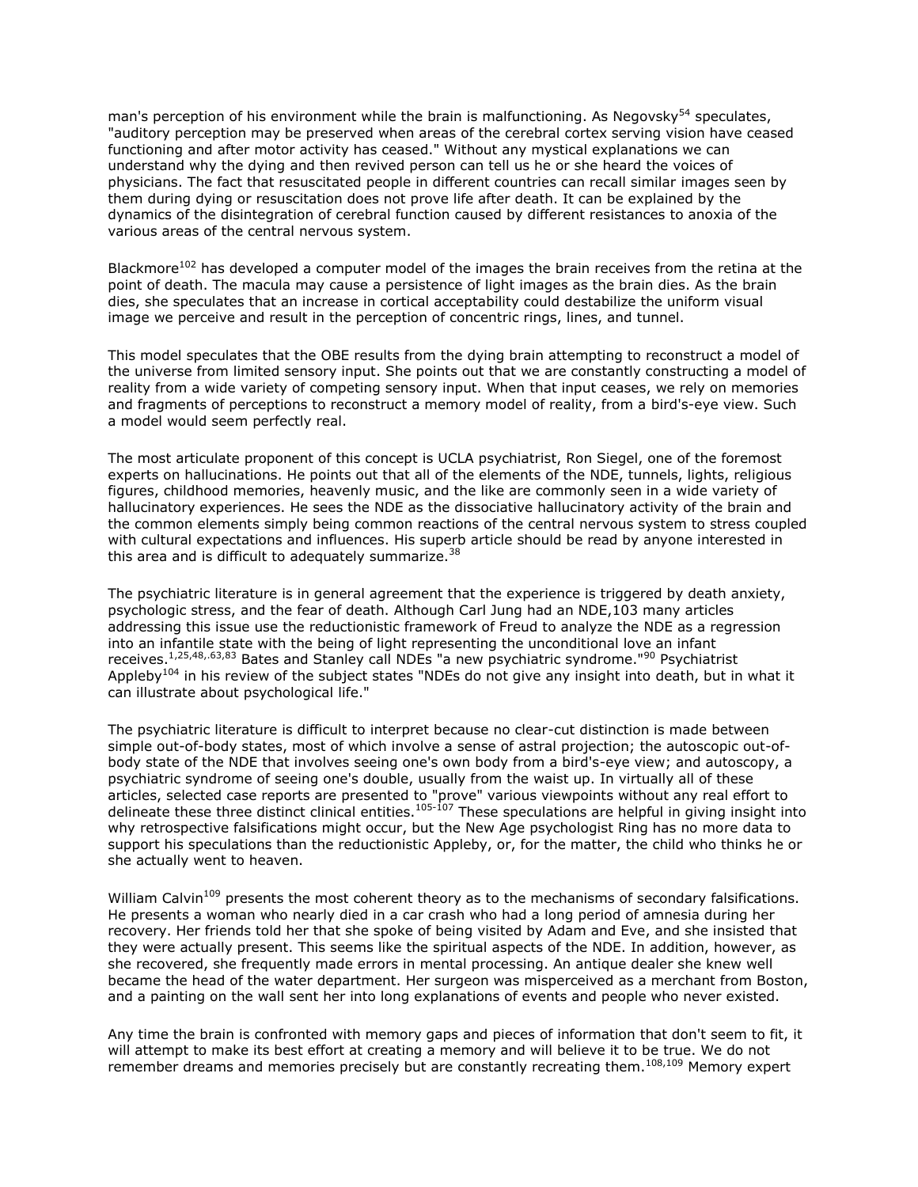man's perception of his environment while the brain is malfunctioning. As Negovsky<sup>54</sup> speculates, "auditory perception may be preserved when areas of the cerebral cortex serving vision have ceased functioning and after motor activity has ceased." Without any mystical explanations we can understand why the dying and then revived person can tell us he or she heard the voices of physicians. The fact that resuscitated people in different countries can recall similar images seen by them during dying or resuscitation does not prove life after death. It can be explained by the dynamics of the disintegration of cerebral function caused by different resistances to anoxia of the various areas of the central nervous system.

Blackmore<sup>102</sup> has developed a computer model of the images the brain receives from the retina at the point of death. The macula may cause a persistence of light images as the brain dies. As the brain dies, she speculates that an increase in cortical acceptability could destabilize the uniform visual image we perceive and result in the perception of concentric rings, lines, and tunnel.

This model speculates that the OBE results from the dying brain attempting to reconstruct a model of the universe from limited sensory input. She points out that we are constantly constructing a model of reality from a wide variety of competing sensory input. When that input ceases, we rely on memories and fragments of perceptions to reconstruct a memory model of reality, from a bird's-eye view. Such a model would seem perfectly real.

The most articulate proponent of this concept is UCLA psychiatrist, Ron Siegel, one of the foremost experts on hallucinations. He points out that all of the elements of the NDE, tunnels, lights, religious figures, childhood memories, heavenly music, and the like are commonly seen in a wide variety of hallucinatory experiences. He sees the NDE as the dissociative hallucinatory activity of the brain and the common elements simply being common reactions of the central nervous system to stress coupled with cultural expectations and influences. His superb article should be read by anyone interested in this area and is difficult to adequately summarize.<sup>38</sup>

The psychiatric literature is in general agreement that the experience is triggered by death anxiety, psychologic stress, and the fear of death. Although Carl Jung had an NDE,103 many articles addressing this issue use the reductionistic framework of Freud to analyze the NDE as a regression into an infantile state with the being of light representing the unconditional love an infant receives.1,25,48,.63,83 Bates and Stanley call NDEs "a new psychiatric syndrome."<sup>90</sup> Psychiatrist Appleby<sup>104</sup> in his review of the subject states "NDEs do not give any insight into death, but in what it can illustrate about psychological life."

The psychiatric literature is difficult to interpret because no clear-cut distinction is made between simple out-of-body states, most of which involve a sense of astral projection; the autoscopic out-ofbody state of the NDE that involves seeing one's own body from a bird's-eye view; and autoscopy, a psychiatric syndrome of seeing one's double, usually from the waist up. In virtually all of these articles, selected case reports are presented to "prove" various viewpoints without any real effort to delineate these three distinct clinical entities.<sup>105-107</sup> These speculations are helpful in giving insight into why retrospective falsifications might occur, but the New Age psychologist Ring has no more data to support his speculations than the reductionistic Appleby, or, for the matter, the child who thinks he or she actually went to heaven.

William Calvin<sup>109</sup> presents the most coherent theory as to the mechanisms of secondary falsifications. He presents a woman who nearly died in a car crash who had a long period of amnesia during her recovery. Her friends told her that she spoke of being visited by Adam and Eve, and she insisted that they were actually present. This seems like the spiritual aspects of the NDE. In addition, however, as she recovered, she frequently made errors in mental processing. An antique dealer she knew well became the head of the water department. Her surgeon was misperceived as a merchant from Boston, and a painting on the wall sent her into long explanations of events and people who never existed.

Any time the brain is confronted with memory gaps and pieces of information that don't seem to fit, it will attempt to make its best effort at creating a memory and will believe it to be true. We do not remember dreams and memories precisely but are constantly recreating them.<sup>108,109</sup> Memory expert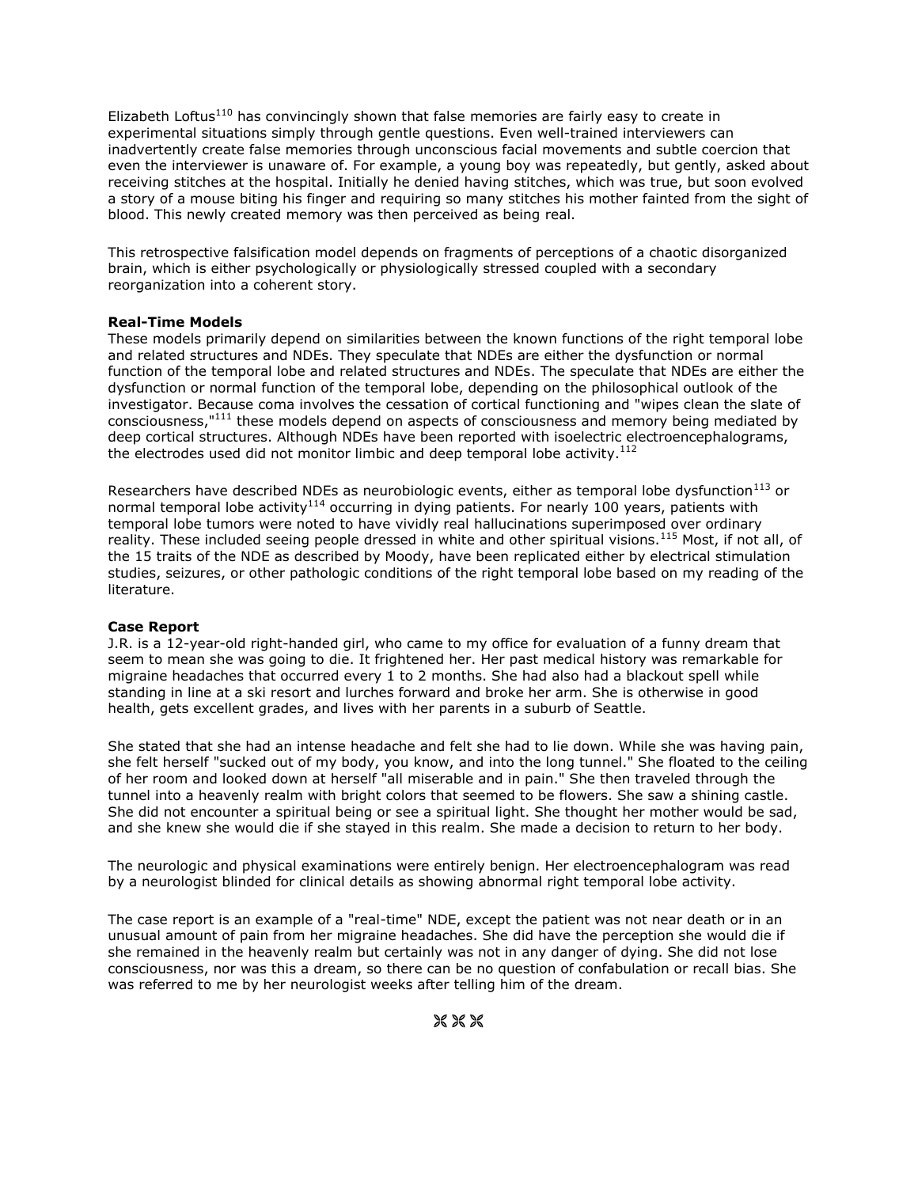Elizabeth Loftus $110$  has convincingly shown that false memories are fairly easy to create in experimental situations simply through gentle questions. Even well-trained interviewers can inadvertently create false memories through unconscious facial movements and subtle coercion that even the interviewer is unaware of. For example, a young boy was repeatedly, but gently, asked about receiving stitches at the hospital. Initially he denied having stitches, which was true, but soon evolved a story of a mouse biting his finger and requiring so many stitches his mother fainted from the sight of blood. This newly created memory was then perceived as being real.

This retrospective falsification model depends on fragments of perceptions of a chaotic disorganized brain, which is either psychologically or physiologically stressed coupled with a secondary reorganization into a coherent story.

# **Real-Time Models**

These models primarily depend on similarities between the known functions of the right temporal lobe and related structures and NDEs. They speculate that NDEs are either the dysfunction or normal function of the temporal lobe and related structures and NDEs. The speculate that NDEs are either the dysfunction or normal function of the temporal lobe, depending on the philosophical outlook of the investigator. Because coma involves the cessation of cortical functioning and "wipes clean the slate of consciousness,"<sup>111</sup> these models depend on aspects of consciousness and memory being mediated by deep cortical structures. Although NDEs have been reported with isoelectric electroencephalograms, the electrodes used did not monitor limbic and deep temporal lobe activity.<sup>112</sup>

Researchers have described NDEs as neurobiologic events, either as temporal lobe dysfunction $^{113}$  or normal temporal lobe activity<sup>114</sup> occurring in dying patients. For nearly 100 years, patients with temporal lobe tumors were noted to have vividly real hallucinations superimposed over ordinary reality. These included seeing people dressed in white and other spiritual visions.<sup>115</sup> Most, if not all, of the 15 traits of the NDE as described by Moody, have been replicated either by electrical stimulation studies, seizures, or other pathologic conditions of the right temporal lobe based on my reading of the literature.

### **Case Report**

J.R. is a 12-year-old right-handed girl, who came to my office for evaluation of a funny dream that seem to mean she was going to die. It frightened her. Her past medical history was remarkable for migraine headaches that occurred every 1 to 2 months. She had also had a blackout spell while standing in line at a ski resort and lurches forward and broke her arm. She is otherwise in good health, gets excellent grades, and lives with her parents in a suburb of Seattle.

She stated that she had an intense headache and felt she had to lie down. While she was having pain, she felt herself "sucked out of my body, you know, and into the long tunnel." She floated to the ceiling of her room and looked down at herself "all miserable and in pain." She then traveled through the tunnel into a heavenly realm with bright colors that seemed to be flowers. She saw a shining castle. She did not encounter a spiritual being or see a spiritual light. She thought her mother would be sad, and she knew she would die if she stayed in this realm. She made a decision to return to her body.

The neurologic and physical examinations were entirely benign. Her electroencephalogram was read by a neurologist blinded for clinical details as showing abnormal right temporal lobe activity.

The case report is an example of a "real-time" NDE, except the patient was not near death or in an unusual amount of pain from her migraine headaches. She did have the perception she would die if she remained in the heavenly realm but certainly was not in any danger of dying. She did not lose consciousness, nor was this a dream, so there can be no question of confabulation or recall bias. She was referred to me by her neurologist weeks after telling him of the dream.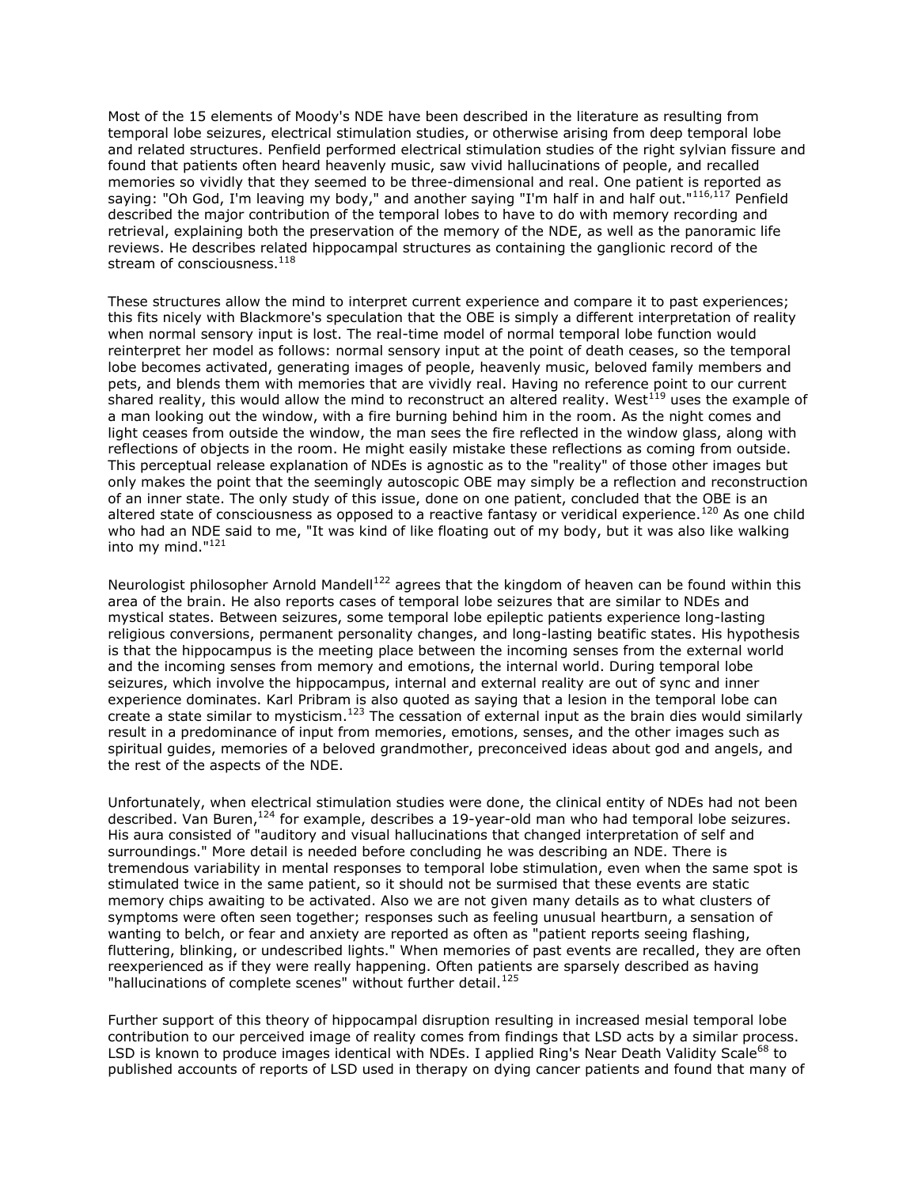Most of the 15 elements of Moody's NDE have been described in the literature as resulting from temporal lobe seizures, electrical stimulation studies, or otherwise arising from deep temporal lobe and related structures. Penfield performed electrical stimulation studies of the right sylvian fissure and found that patients often heard heavenly music, saw vivid hallucinations of people, and recalled memories so vividly that they seemed to be three-dimensional and real. One patient is reported as saying: "Oh God, I'm leaving my body," and another saying "I'm half in and half out."<sup>116,117</sup> Penfield described the major contribution of the temporal lobes to have to do with memory recording and retrieval, explaining both the preservation of the memory of the NDE, as well as the panoramic life reviews. He describes related hippocampal structures as containing the ganglionic record of the stream of consciousness.<sup>118</sup>

These structures allow the mind to interpret current experience and compare it to past experiences; this fits nicely with Blackmore's speculation that the OBE is simply a different interpretation of reality when normal sensory input is lost. The real-time model of normal temporal lobe function would reinterpret her model as follows: normal sensory input at the point of death ceases, so the temporal lobe becomes activated, generating images of people, heavenly music, beloved family members and pets, and blends them with memories that are vividly real. Having no reference point to our current shared reality, this would allow the mind to reconstruct an altered reality. West<sup>119</sup> uses the example of a man looking out the window, with a fire burning behind him in the room. As the night comes and light ceases from outside the window, the man sees the fire reflected in the window glass, along with reflections of objects in the room. He might easily mistake these reflections as coming from outside. This perceptual release explanation of NDEs is agnostic as to the "reality" of those other images but only makes the point that the seemingly autoscopic OBE may simply be a reflection and reconstruction of an inner state. The only study of this issue, done on one patient, concluded that the OBE is an altered state of consciousness as opposed to a reactive fantasy or veridical experience.<sup>120</sup> As one child who had an NDE said to me, "It was kind of like floating out of my body, but it was also like walking into my mind."<sup>121</sup>

Neurologist philosopher Arnold Mandell<sup>122</sup> agrees that the kingdom of heaven can be found within this area of the brain. He also reports cases of temporal lobe seizures that are similar to NDEs and mystical states. Between seizures, some temporal lobe epileptic patients experience long-lasting religious conversions, permanent personality changes, and long-lasting beatific states. His hypothesis is that the hippocampus is the meeting place between the incoming senses from the external world and the incoming senses from memory and emotions, the internal world. During temporal lobe seizures, which involve the hippocampus, internal and external reality are out of sync and inner experience dominates. Karl Pribram is also quoted as saying that a lesion in the temporal lobe can create a state similar to mysticism.<sup>123</sup> The cessation of external input as the brain dies would similarly result in a predominance of input from memories, emotions, senses, and the other images such as spiritual guides, memories of a beloved grandmother, preconceived ideas about god and angels, and the rest of the aspects of the NDE.

Unfortunately, when electrical stimulation studies were done, the clinical entity of NDEs had not been described. Van Buren,<sup>124</sup> for example, describes a 19-year-old man who had temporal lobe seizures. His aura consisted of "auditory and visual hallucinations that changed interpretation of self and surroundings." More detail is needed before concluding he was describing an NDE. There is tremendous variability in mental responses to temporal lobe stimulation, even when the same spot is stimulated twice in the same patient, so it should not be surmised that these events are static memory chips awaiting to be activated. Also we are not given many details as to what clusters of symptoms were often seen together; responses such as feeling unusual heartburn, a sensation of wanting to belch, or fear and anxiety are reported as often as "patient reports seeing flashing, fluttering, blinking, or undescribed lights." When memories of past events are recalled, they are often reexperienced as if they were really happening. Often patients are sparsely described as having "hallucinations of complete scenes" without further detail.<sup>125</sup>

Further support of this theory of hippocampal disruption resulting in increased mesial temporal lobe contribution to our perceived image of reality comes from findings that LSD acts by a similar process. LSD is known to produce images identical with NDEs. I applied Ring's Near Death Validity Scale<sup>68</sup> to published accounts of reports of LSD used in therapy on dying cancer patients and found that many of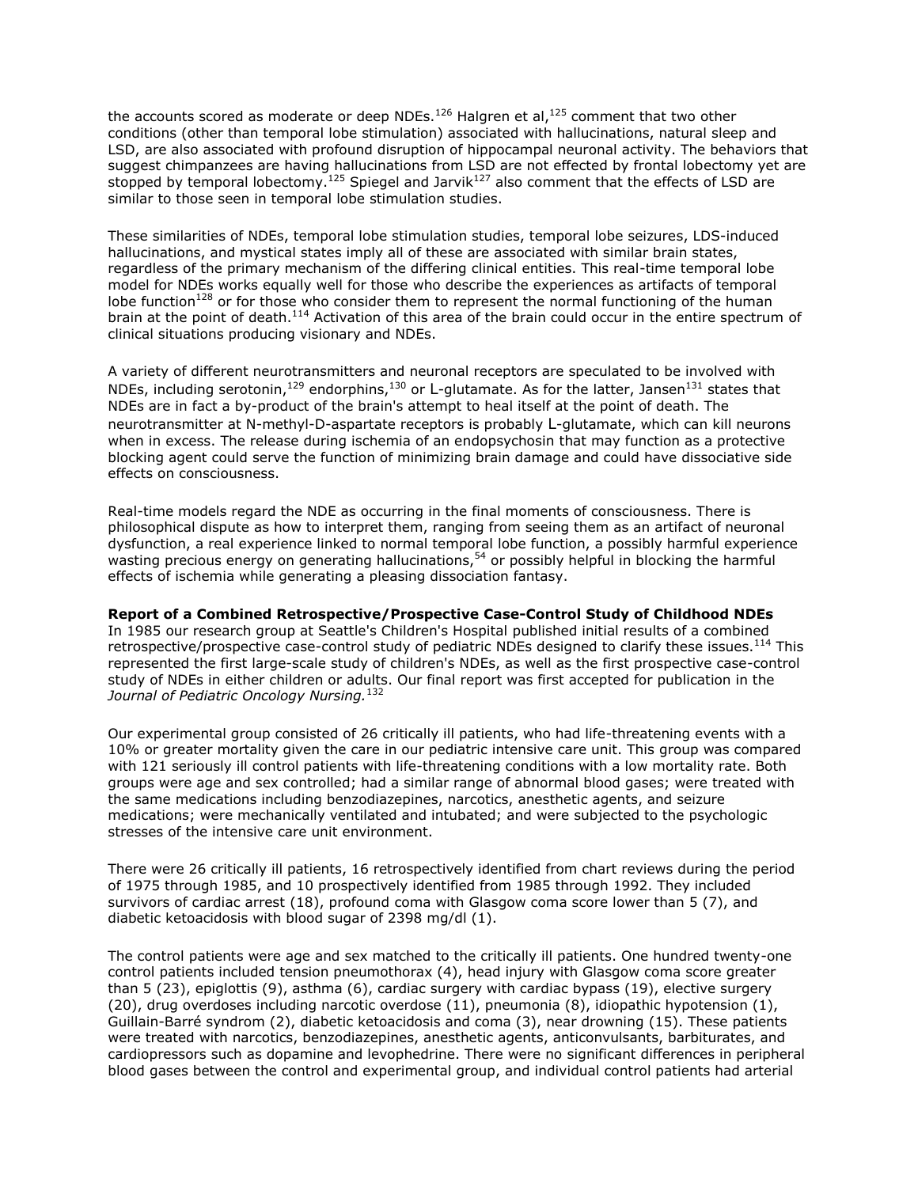the accounts scored as moderate or deep NDEs.<sup>126</sup> Halgren et al,<sup>125</sup> comment that two other conditions (other than temporal lobe stimulation) associated with hallucinations, natural sleep and LSD, are also associated with profound disruption of hippocampal neuronal activity. The behaviors that suggest chimpanzees are having hallucinations from LSD are not effected by frontal lobectomy yet are stopped by temporal lobectomy.<sup>125</sup> Spiegel and Jarvik<sup>127</sup> also comment that the effects of LSD are similar to those seen in temporal lobe stimulation studies.

These similarities of NDEs, temporal lobe stimulation studies, temporal lobe seizures, LDS-induced hallucinations, and mystical states imply all of these are associated with similar brain states, regardless of the primary mechanism of the differing clinical entities. This real-time temporal lobe model for NDEs works equally well for those who describe the experiences as artifacts of temporal lobe function<sup>128</sup> or for those who consider them to represent the normal functioning of the human brain at the point of death.<sup>114</sup> Activation of this area of the brain could occur in the entire spectrum of clinical situations producing visionary and NDEs.

A variety of different neurotransmitters and neuronal receptors are speculated to be involved with NDEs, including serotonin,<sup>129</sup> endorphins,<sup>130</sup> or L-glutamate. As for the latter, Jansen<sup>131</sup> states that NDEs are in fact a by-product of the brain's attempt to heal itself at the point of death. The neurotransmitter at N-methyl-D-aspartate receptors is probably L-glutamate, which can kill neurons when in excess. The release during ischemia of an endopsychosin that may function as a protective blocking agent could serve the function of minimizing brain damage and could have dissociative side effects on consciousness.

Real-time models regard the NDE as occurring in the final moments of consciousness. There is philosophical dispute as how to interpret them, ranging from seeing them as an artifact of neuronal dysfunction, a real experience linked to normal temporal lobe function, a possibly harmful experience wasting precious energy on generating hallucinations,<sup>54</sup> or possibly helpful in blocking the harmful effects of ischemia while generating a pleasing dissociation fantasy.

# **Report of a Combined Retrospective/Prospective Case-Control Study of Childhood NDEs**

In 1985 our research group at Seattle's Children's Hospital published initial results of a combined retrospective/prospective case-control study of pediatric NDEs designed to clarify these issues.<sup>114</sup> This represented the first large-scale study of children's NDEs, as well as the first prospective case-control study of NDEs in either children or adults. Our final report was first accepted for publication in the *Journal of Pediatric Oncology Nursing.*<sup>132</sup>

Our experimental group consisted of 26 critically ill patients, who had life-threatening events with a 10% or greater mortality given the care in our pediatric intensive care unit. This group was compared with 121 seriously ill control patients with life-threatening conditions with a low mortality rate. Both groups were age and sex controlled; had a similar range of abnormal blood gases; were treated with the same medications including benzodiazepines, narcotics, anesthetic agents, and seizure medications; were mechanically ventilated and intubated; and were subjected to the psychologic stresses of the intensive care unit environment.

There were 26 critically ill patients, 16 retrospectively identified from chart reviews during the period of 1975 through 1985, and 10 prospectively identified from 1985 through 1992. They included survivors of cardiac arrest (18), profound coma with Glasgow coma score lower than 5 (7), and diabetic ketoacidosis with blood sugar of 2398 mg/dl (1).

The control patients were age and sex matched to the critically ill patients. One hundred twenty-one control patients included tension pneumothorax (4), head injury with Glasgow coma score greater than 5 (23), epiglottis (9), asthma (6), cardiac surgery with cardiac bypass (19), elective surgery (20), drug overdoses including narcotic overdose (11), pneumonia (8), idiopathic hypotension (1), Guillain-Barré syndrom (2), diabetic ketoacidosis and coma (3), near drowning (15). These patients were treated with narcotics, benzodiazepines, anesthetic agents, anticonvulsants, barbiturates, and cardiopressors such as dopamine and levophedrine. There were no significant differences in peripheral blood gases between the control and experimental group, and individual control patients had arterial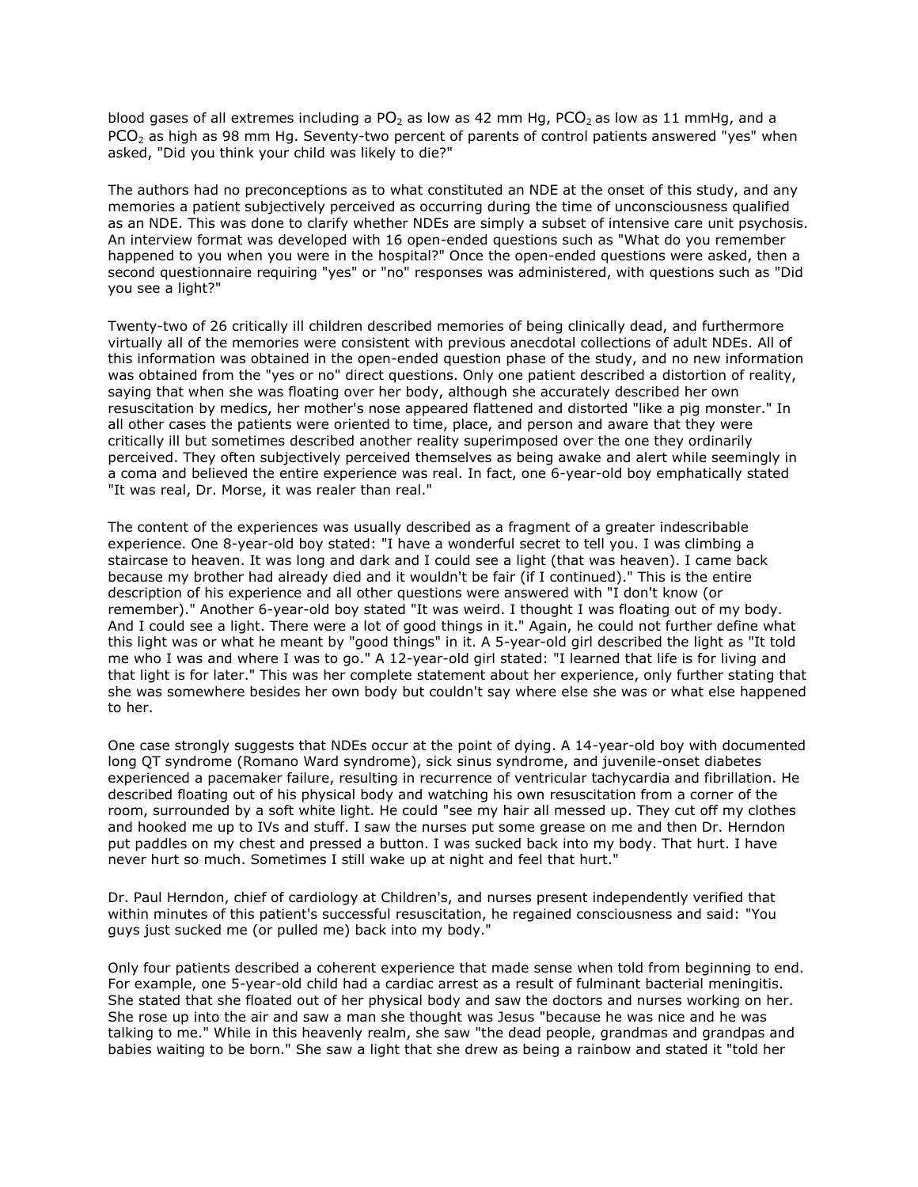blood gases of all extremes including a PO<sub>2</sub> as low as 42 mm Hg, PCO<sub>2</sub> as low as 11 mmHg, and a PCO<sub>2</sub> as high as 98 mm Hg. Seventy-two percent of parents of control patients answered "yes" when asked, "Did you think your child was likely to die?"

The authors had no preconceptions as to what constituted an NDE at the onset of this study, and any memories a patient subjectively perceived as occurring during the time of unconsciousness qualified as an NDE. This was done to clarify whether NDEs are simply a subset of intensive care unit psychosis. An interview format was developed with 16 open-ended questions such as "What do you remember happened to you when you were in the hospital?" Once the open-ended questions were asked, then a second questionnaire requiring "yes" or "no" responses was administered, with questions such as "Did you see a light?"

Twenty-two of 26 critically ill children described memories of being clinically dead, and furthermore virtually all of the memories were consistent with previous anecdotal collections of adult NDEs. All of this information was obtained in the open-ended question phase of the study, and no new information was obtained from the "yes or no" direct questions. Only one patient described a distortion of reality, saying that when she was floating over her body, although she accurately described her own resuscitation by medics, her mother's nose appeared flattened and distorted "like a pig monster." In all other cases the patients were oriented to time, place, and person and aware that they were critically ill but sometimes described another reality superimposed over the one they ordinarily perceived. They often subjectively perceived themselves as being awake and alert while seemingly in a coma and believed the entire experience was real. In fact, one 6-year-old boy emphatically stated "It was real, Dr. Morse, it was realer than real."

The content of the experiences was usually described as a fragment of a greater indescribable experience. One 8-year-old boy stated: "I have a wonderful secret to tell you. I was climbing a staircase to heaven. It was long and dark and I could see a light (that was heaven). I came back because my brother had already died and it wouldn't be fair (if I continued)." This is the entire description of his experience and all other questions were answered with "I don't know (or remember)." Another 6-year-old boy stated "It was weird. I thought I was floating out of my body. And I could see a light. There were a lot of good things in it." Again, he could not further define what this light was or what he meant by "good things" in it. A 5-year-old girl described the light as "It told me who I was and where I was to go." A 12-year-old girl stated: "I learned that life is for living and that light is for later." This was her complete statement about her experience, only further stating that she was somewhere besides her own body but couldn't say where else she was or what else happened to her.

One case strongly suggests that NDEs occur at the point of dying. A 14-year-old boy with documented long QT syndrome (Romano Ward syndrome), sick sinus syndrome, and juvenile-onset diabetes experienced a pacemaker failure, resulting in recurrence of ventricular tachycardia and fibrillation. He described floating out of his physical body and watching his own resuscitation from a corner of the room, surrounded by a soft white light. He could "see my hair all messed up. They cut off my clothes and hooked me up to IVs and stuff. I saw the nurses put some grease on me and then Dr. Herndon put paddles on my chest and pressed a button. I was sucked back into my body. That hurt. I have never hurt so much. Sometimes I still wake up at night and feel that hurt."

Dr. Paul Herndon, chief of cardiology at Children's, and nurses present independently verified that within minutes of this patient's successful resuscitation, he regained consciousness and said: "You guys just sucked me (or pulled me) back into my body."

Only four patients described a coherent experience that made sense when told from beginning to end. For example, one 5-year-old child had a cardiac arrest as a result of fulminant bacterial meningitis. She stated that she floated out of her physical body and saw the doctors and nurses working on her. She rose up into the air and saw a man she thought was Jesus "because he was nice and he was talking to me." While in this heavenly realm, she saw "the dead people, grandmas and grandpas and babies waiting to be born." She saw a light that she drew as being a rainbow and stated it "told her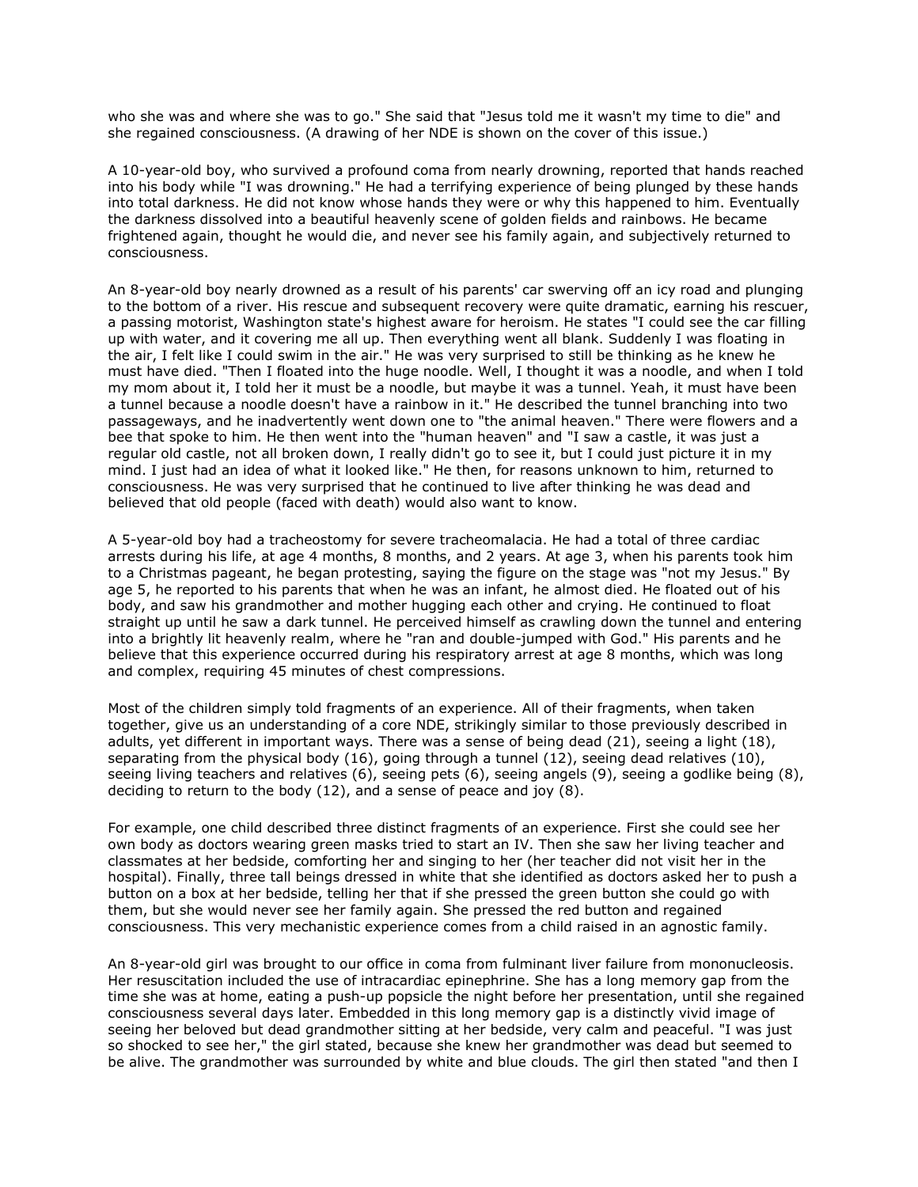who she was and where she was to go." She said that "Jesus told me it wasn't my time to die" and she regained consciousness. (A drawing of her NDE is shown on the cover of this issue.)

A 10-year-old boy, who survived a profound coma from nearly drowning, reported that hands reached into his body while "I was drowning." He had a terrifying experience of being plunged by these hands into total darkness. He did not know whose hands they were or why this happened to him. Eventually the darkness dissolved into a beautiful heavenly scene of golden fields and rainbows. He became frightened again, thought he would die, and never see his family again, and subjectively returned to consciousness.

An 8-year-old boy nearly drowned as a result of his parents' car swerving off an icy road and plunging to the bottom of a river. His rescue and subsequent recovery were quite dramatic, earning his rescuer, a passing motorist, Washington state's highest aware for heroism. He states "I could see the car filling up with water, and it covering me all up. Then everything went all blank. Suddenly I was floating in the air, I felt like I could swim in the air." He was very surprised to still be thinking as he knew he must have died. "Then I floated into the huge noodle. Well, I thought it was a noodle, and when I told my mom about it, I told her it must be a noodle, but maybe it was a tunnel. Yeah, it must have been a tunnel because a noodle doesn't have a rainbow in it." He described the tunnel branching into two passageways, and he inadvertently went down one to "the animal heaven." There were flowers and a bee that spoke to him. He then went into the "human heaven" and "I saw a castle, it was just a regular old castle, not all broken down, I really didn't go to see it, but I could just picture it in my mind. I just had an idea of what it looked like." He then, for reasons unknown to him, returned to consciousness. He was very surprised that he continued to live after thinking he was dead and believed that old people (faced with death) would also want to know.

A 5-year-old boy had a tracheostomy for severe tracheomalacia. He had a total of three cardiac arrests during his life, at age 4 months, 8 months, and 2 years. At age 3, when his parents took him to a Christmas pageant, he began protesting, saying the figure on the stage was "not my Jesus." By age 5, he reported to his parents that when he was an infant, he almost died. He floated out of his body, and saw his grandmother and mother hugging each other and crying. He continued to float straight up until he saw a dark tunnel. He perceived himself as crawling down the tunnel and entering into a brightly lit heavenly realm, where he "ran and double-jumped with God." His parents and he believe that this experience occurred during his respiratory arrest at age 8 months, which was long and complex, requiring 45 minutes of chest compressions.

Most of the children simply told fragments of an experience. All of their fragments, when taken together, give us an understanding of a core NDE, strikingly similar to those previously described in adults, yet different in important ways. There was a sense of being dead (21), seeing a light (18), separating from the physical body (16), going through a tunnel (12), seeing dead relatives (10), seeing living teachers and relatives (6), seeing pets (6), seeing angels (9), seeing a godlike being (8), deciding to return to the body (12), and a sense of peace and joy (8).

For example, one child described three distinct fragments of an experience. First she could see her own body as doctors wearing green masks tried to start an IV. Then she saw her living teacher and classmates at her bedside, comforting her and singing to her (her teacher did not visit her in the hospital). Finally, three tall beings dressed in white that she identified as doctors asked her to push a button on a box at her bedside, telling her that if she pressed the green button she could go with them, but she would never see her family again. She pressed the red button and regained consciousness. This very mechanistic experience comes from a child raised in an agnostic family.

An 8-year-old girl was brought to our office in coma from fulminant liver failure from mononucleosis. Her resuscitation included the use of intracardiac epinephrine. She has a long memory gap from the time she was at home, eating a push-up popsicle the night before her presentation, until she regained consciousness several days later. Embedded in this long memory gap is a distinctly vivid image of seeing her beloved but dead grandmother sitting at her bedside, very calm and peaceful. "I was just so shocked to see her," the girl stated, because she knew her grandmother was dead but seemed to be alive. The grandmother was surrounded by white and blue clouds. The girl then stated "and then I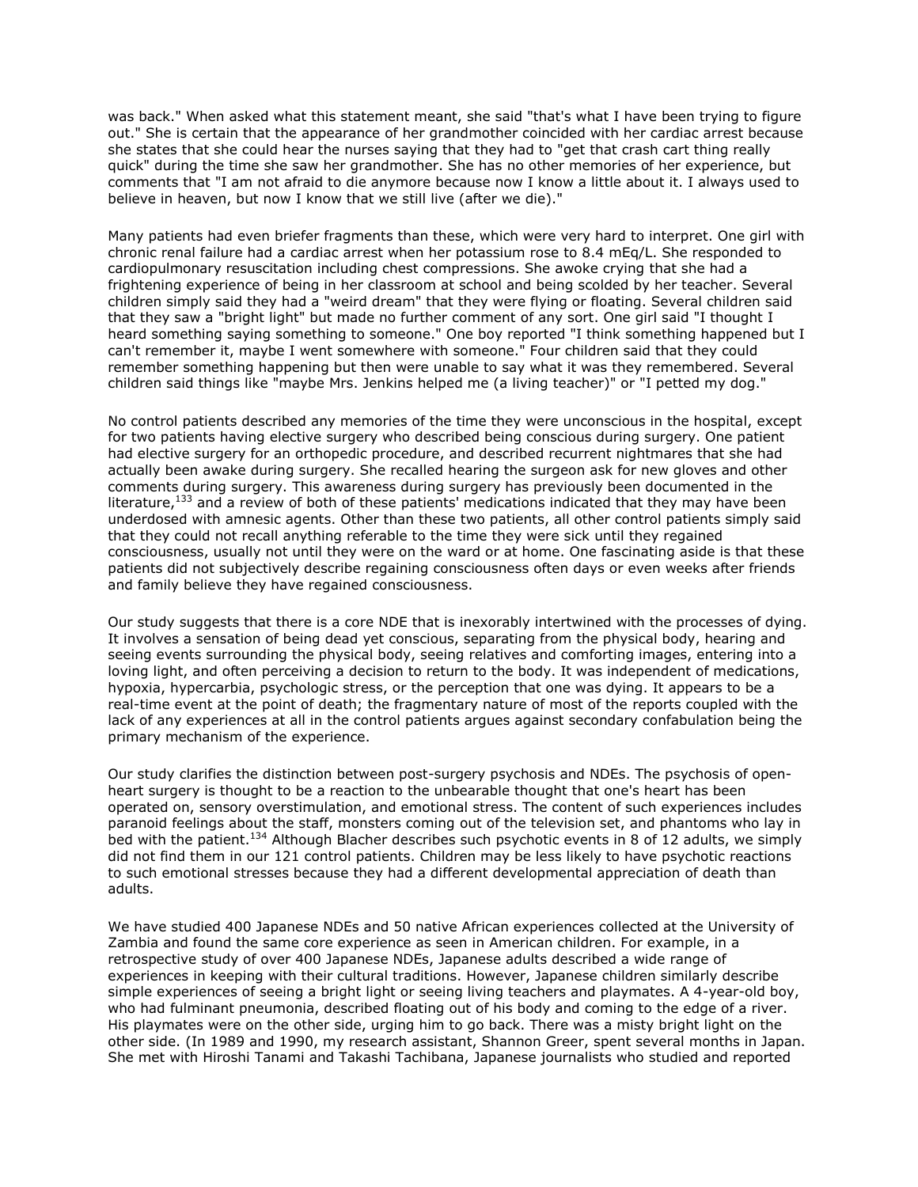was back." When asked what this statement meant, she said "that's what I have been trying to figure out." She is certain that the appearance of her grandmother coincided with her cardiac arrest because she states that she could hear the nurses saying that they had to "get that crash cart thing really quick" during the time she saw her grandmother. She has no other memories of her experience, but comments that "I am not afraid to die anymore because now I know a little about it. I always used to believe in heaven, but now I know that we still live (after we die)."

Many patients had even briefer fragments than these, which were very hard to interpret. One girl with chronic renal failure had a cardiac arrest when her potassium rose to 8.4 mEq/L. She responded to cardiopulmonary resuscitation including chest compressions. She awoke crying that she had a frightening experience of being in her classroom at school and being scolded by her teacher. Several children simply said they had a "weird dream" that they were flying or floating. Several children said that they saw a "bright light" but made no further comment of any sort. One girl said "I thought I heard something saying something to someone." One boy reported "I think something happened but I can't remember it, maybe I went somewhere with someone." Four children said that they could remember something happening but then were unable to say what it was they remembered. Several children said things like "maybe Mrs. Jenkins helped me (a living teacher)" or "I petted my dog."

No control patients described any memories of the time they were unconscious in the hospital, except for two patients having elective surgery who described being conscious during surgery. One patient had elective surgery for an orthopedic procedure, and described recurrent nightmares that she had actually been awake during surgery. She recalled hearing the surgeon ask for new gloves and other comments during surgery. This awareness during surgery has previously been documented in the literature, $1^{33}$  and a review of both of these patients' medications indicated that they may have been underdosed with amnesic agents. Other than these two patients, all other control patients simply said that they could not recall anything referable to the time they were sick until they regained consciousness, usually not until they were on the ward or at home. One fascinating aside is that these patients did not subjectively describe regaining consciousness often days or even weeks after friends and family believe they have regained consciousness.

Our study suggests that there is a core NDE that is inexorably intertwined with the processes of dying. It involves a sensation of being dead yet conscious, separating from the physical body, hearing and seeing events surrounding the physical body, seeing relatives and comforting images, entering into a loving light, and often perceiving a decision to return to the body. It was independent of medications, hypoxia, hypercarbia, psychologic stress, or the perception that one was dying. It appears to be a real-time event at the point of death; the fragmentary nature of most of the reports coupled with the lack of any experiences at all in the control patients argues against secondary confabulation being the primary mechanism of the experience.

Our study clarifies the distinction between post-surgery psychosis and NDEs. The psychosis of openheart surgery is thought to be a reaction to the unbearable thought that one's heart has been operated on, sensory overstimulation, and emotional stress. The content of such experiences includes paranoid feelings about the staff, monsters coming out of the television set, and phantoms who lay in bed with the patient.<sup>134</sup> Although Blacher describes such psychotic events in 8 of 12 adults, we simply did not find them in our 121 control patients. Children may be less likely to have psychotic reactions to such emotional stresses because they had a different developmental appreciation of death than adults.

We have studied 400 Japanese NDEs and 50 native African experiences collected at the University of Zambia and found the same core experience as seen in American children. For example, in a retrospective study of over 400 Japanese NDEs, Japanese adults described a wide range of experiences in keeping with their cultural traditions. However, Japanese children similarly describe simple experiences of seeing a bright light or seeing living teachers and playmates. A 4-year-old boy, who had fulminant pneumonia, described floating out of his body and coming to the edge of a river. His playmates were on the other side, urging him to go back. There was a misty bright light on the other side. (In 1989 and 1990, my research assistant, Shannon Greer, spent several months in Japan. She met with Hiroshi Tanami and Takashi Tachibana, Japanese journalists who studied and reported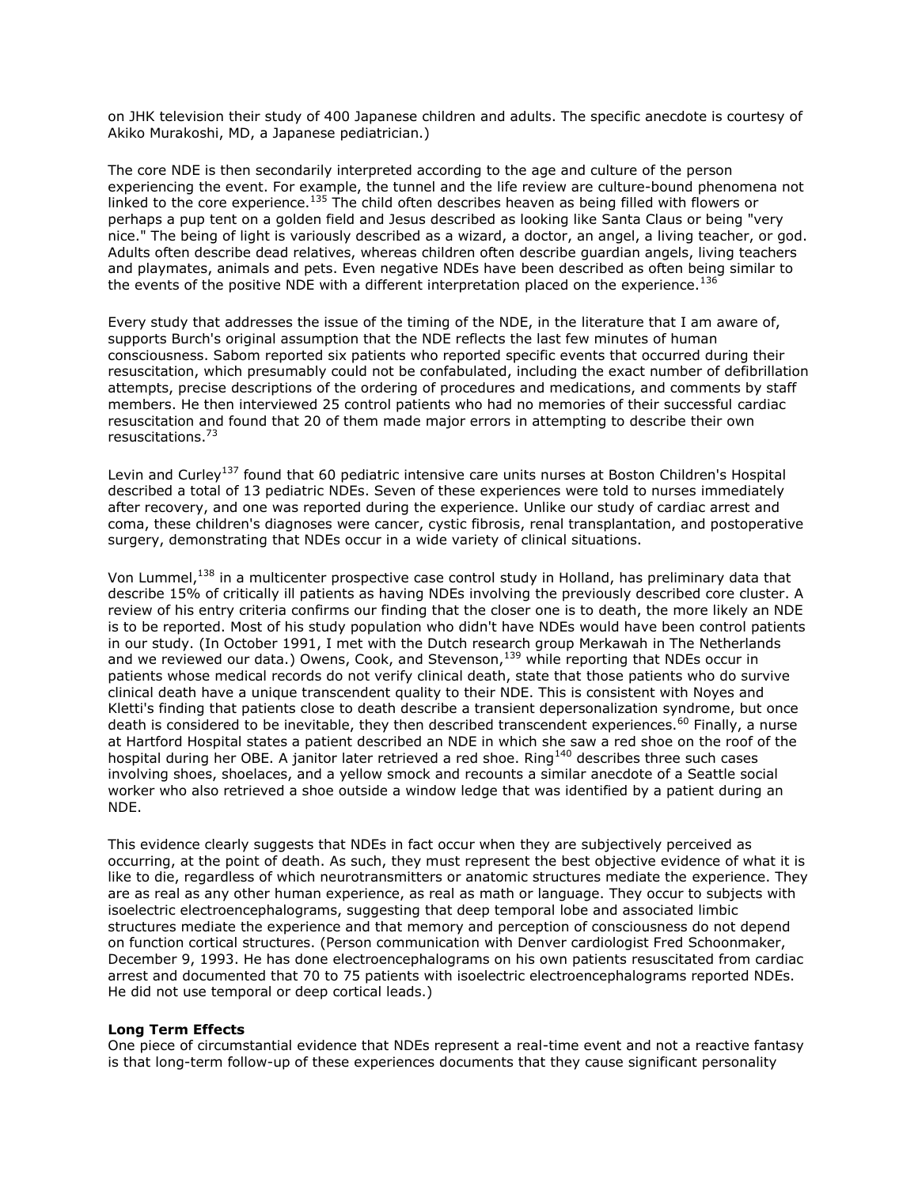on JHK television their study of 400 Japanese children and adults. The specific anecdote is courtesy of Akiko Murakoshi, MD, a Japanese pediatrician.)

The core NDE is then secondarily interpreted according to the age and culture of the person experiencing the event. For example, the tunnel and the life review are culture-bound phenomena not linked to the core experience.<sup>135</sup> The child often describes heaven as being filled with flowers or perhaps a pup tent on a golden field and Jesus described as looking like Santa Claus or being "very nice." The being of light is variously described as a wizard, a doctor, an angel, a living teacher, or god. Adults often describe dead relatives, whereas children often describe guardian angels, living teachers and playmates, animals and pets. Even negative NDEs have been described as often being similar to the events of the positive NDE with a different interpretation placed on the experience.<sup>136</sup>

Every study that addresses the issue of the timing of the NDE, in the literature that I am aware of, supports Burch's original assumption that the NDE reflects the last few minutes of human consciousness. Sabom reported six patients who reported specific events that occurred during their resuscitation, which presumably could not be confabulated, including the exact number of defibrillation attempts, precise descriptions of the ordering of procedures and medications, and comments by staff members. He then interviewed 25 control patients who had no memories of their successful cardiac resuscitation and found that 20 of them made major errors in attempting to describe their own resuscitations.<sup>73</sup>

Levin and Curley<sup>137</sup> found that 60 pediatric intensive care units nurses at Boston Children's Hospital described a total of 13 pediatric NDEs. Seven of these experiences were told to nurses immediately after recovery, and one was reported during the experience. Unlike our study of cardiac arrest and coma, these children's diagnoses were cancer, cystic fibrosis, renal transplantation, and postoperative surgery, demonstrating that NDEs occur in a wide variety of clinical situations.

Von Lummel,<sup>138</sup> in a multicenter prospective case control study in Holland, has preliminary data that describe 15% of critically ill patients as having NDEs involving the previously described core cluster. A review of his entry criteria confirms our finding that the closer one is to death, the more likely an NDE is to be reported. Most of his study population who didn't have NDEs would have been control patients in our study. (In October 1991, I met with the Dutch research group Merkawah in The Netherlands and we reviewed our data.) Owens, Cook, and Stevenson, <sup>139</sup> while reporting that NDEs occur in patients whose medical records do not verify clinical death, state that those patients who do survive clinical death have a unique transcendent quality to their NDE. This is consistent with Noyes and Kletti's finding that patients close to death describe a transient depersonalization syndrome, but once death is considered to be inevitable, they then described transcendent experiences.<sup>60</sup> Finally, a nurse at Hartford Hospital states a patient described an NDE in which she saw a red shoe on the roof of the hospital during her OBE. A janitor later retrieved a red shoe. Ring<sup>140</sup> describes three such cases involving shoes, shoelaces, and a yellow smock and recounts a similar anecdote of a Seattle social worker who also retrieved a shoe outside a window ledge that was identified by a patient during an NDE.

This evidence clearly suggests that NDEs in fact occur when they are subjectively perceived as occurring, at the point of death. As such, they must represent the best objective evidence of what it is like to die, regardless of which neurotransmitters or anatomic structures mediate the experience. They are as real as any other human experience, as real as math or language. They occur to subjects with isoelectric electroencephalograms, suggesting that deep temporal lobe and associated limbic structures mediate the experience and that memory and perception of consciousness do not depend on function cortical structures. (Person communication with Denver cardiologist Fred Schoonmaker, December 9, 1993. He has done electroencephalograms on his own patients resuscitated from cardiac arrest and documented that 70 to 75 patients with isoelectric electroencephalograms reported NDEs. He did not use temporal or deep cortical leads.)

### **Long Term Effects**

One piece of circumstantial evidence that NDEs represent a real-time event and not a reactive fantasy is that long-term follow-up of these experiences documents that they cause significant personality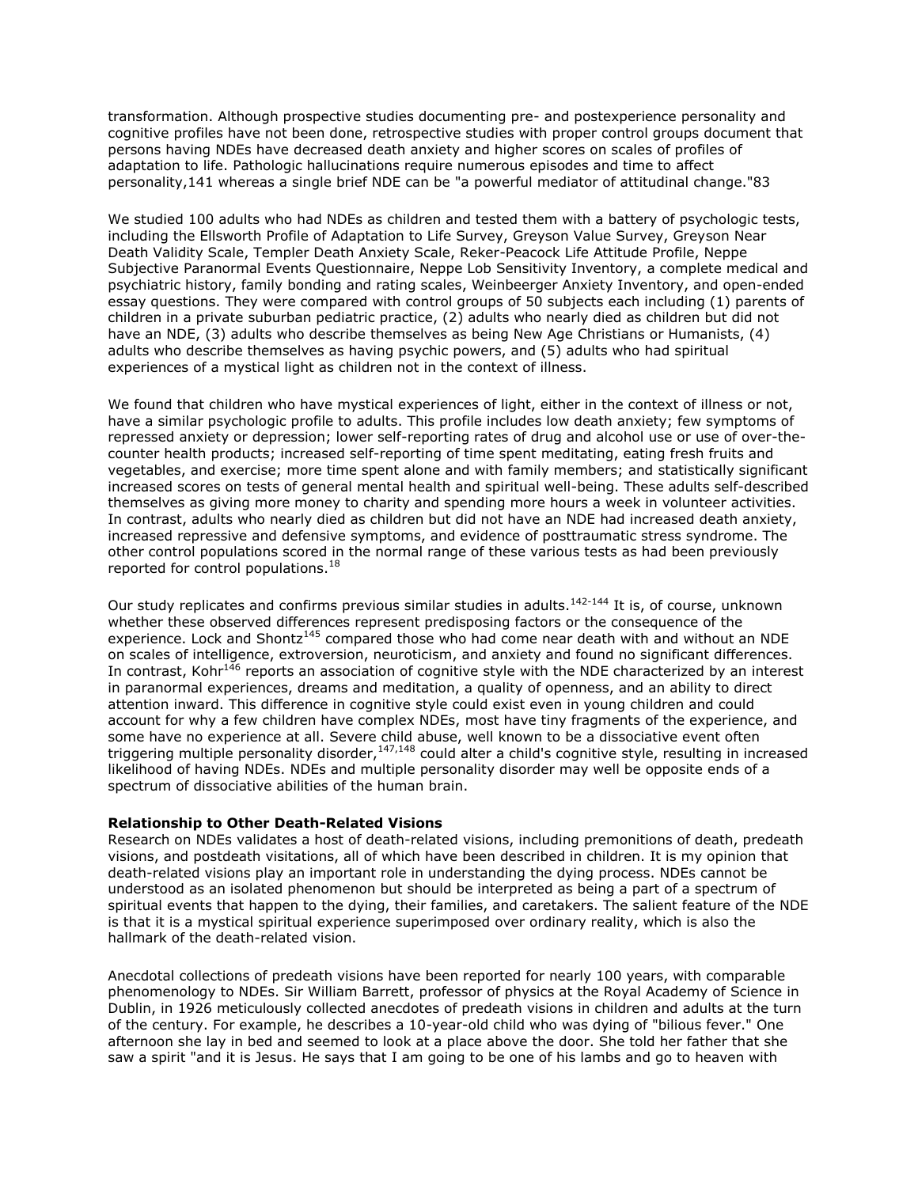transformation. Although prospective studies documenting pre- and postexperience personality and cognitive profiles have not been done, retrospective studies with proper control groups document that persons having NDEs have decreased death anxiety and higher scores on scales of profiles of adaptation to life. Pathologic hallucinations require numerous episodes and time to affect personality,141 whereas a single brief NDE can be "a powerful mediator of attitudinal change."83

We studied 100 adults who had NDEs as children and tested them with a battery of psychologic tests, including the Ellsworth Profile of Adaptation to Life Survey, Greyson Value Survey, Greyson Near Death Validity Scale, Templer Death Anxiety Scale, Reker-Peacock Life Attitude Profile, Neppe Subjective Paranormal Events Questionnaire, Neppe Lob Sensitivity Inventory, a complete medical and psychiatric history, family bonding and rating scales, Weinbeerger Anxiety Inventory, and open-ended essay questions. They were compared with control groups of 50 subjects each including (1) parents of children in a private suburban pediatric practice, (2) adults who nearly died as children but did not have an NDE, (3) adults who describe themselves as being New Age Christians or Humanists, (4) adults who describe themselves as having psychic powers, and (5) adults who had spiritual experiences of a mystical light as children not in the context of illness.

We found that children who have mystical experiences of light, either in the context of illness or not, have a similar psychologic profile to adults. This profile includes low death anxiety; few symptoms of repressed anxiety or depression; lower self-reporting rates of drug and alcohol use or use of over-thecounter health products; increased self-reporting of time spent meditating, eating fresh fruits and vegetables, and exercise; more time spent alone and with family members; and statistically significant increased scores on tests of general mental health and spiritual well-being. These adults self-described themselves as giving more money to charity and spending more hours a week in volunteer activities. In contrast, adults who nearly died as children but did not have an NDE had increased death anxiety, increased repressive and defensive symptoms, and evidence of posttraumatic stress syndrome. The other control populations scored in the normal range of these various tests as had been previously reported for control populations.<sup>18</sup>

Our study replicates and confirms previous similar studies in adults.<sup>142-144</sup> It is, of course, unknown whether these observed differences represent predisposing factors or the consequence of the experience. Lock and Shontz<sup>145</sup> compared those who had come near death with and without an NDE on scales of intelligence, extroversion, neuroticism, and anxiety and found no significant differences. In contrast, Kohr<sup>146</sup> reports an association of cognitive style with the NDE characterized by an interest in paranormal experiences, dreams and meditation, a quality of openness, and an ability to direct attention inward. This difference in cognitive style could exist even in young children and could account for why a few children have complex NDEs, most have tiny fragments of the experience, and some have no experience at all. Severe child abuse, well known to be a dissociative event often triggering multiple personality disorder, <sup>147,148</sup> could alter a child's cognitive style, resulting in increased likelihood of having NDEs. NDEs and multiple personality disorder may well be opposite ends of a spectrum of dissociative abilities of the human brain.

# **Relationship to Other Death-Related Visions**

Research on NDEs validates a host of death-related visions, including premonitions of death, predeath visions, and postdeath visitations, all of which have been described in children. It is my opinion that death-related visions play an important role in understanding the dying process. NDEs cannot be understood as an isolated phenomenon but should be interpreted as being a part of a spectrum of spiritual events that happen to the dying, their families, and caretakers. The salient feature of the NDE is that it is a mystical spiritual experience superimposed over ordinary reality, which is also the hallmark of the death-related vision.

Anecdotal collections of predeath visions have been reported for nearly 100 years, with comparable phenomenology to NDEs. Sir William Barrett, professor of physics at the Royal Academy of Science in Dublin, in 1926 meticulously collected anecdotes of predeath visions in children and adults at the turn of the century. For example, he describes a 10-year-old child who was dying of "bilious fever." One afternoon she lay in bed and seemed to look at a place above the door. She told her father that she saw a spirit "and it is Jesus. He says that I am going to be one of his lambs and go to heaven with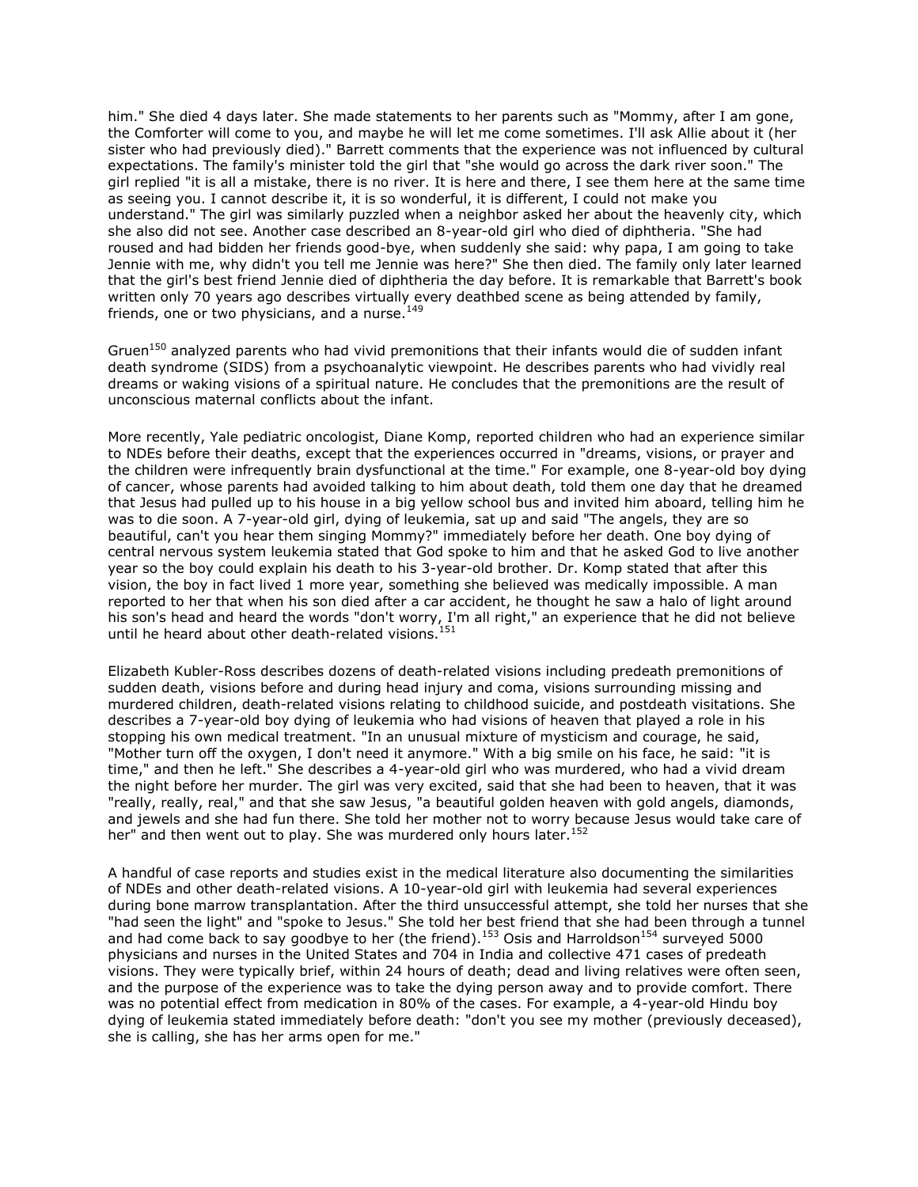him." She died 4 days later. She made statements to her parents such as "Mommy, after I am gone, the Comforter will come to you, and maybe he will let me come sometimes. I'll ask Allie about it (her sister who had previously died)." Barrett comments that the experience was not influenced by cultural expectations. The family's minister told the girl that "she would go across the dark river soon." The girl replied "it is all a mistake, there is no river. It is here and there, I see them here at the same time as seeing you. I cannot describe it, it is so wonderful, it is different, I could not make you understand." The girl was similarly puzzled when a neighbor asked her about the heavenly city, which she also did not see. Another case described an 8-year-old girl who died of diphtheria. "She had roused and had bidden her friends good-bye, when suddenly she said: why papa, I am going to take Jennie with me, why didn't you tell me Jennie was here?" She then died. The family only later learned that the girl's best friend Jennie died of diphtheria the day before. It is remarkable that Barrett's book written only 70 years ago describes virtually every deathbed scene as being attended by family, friends, one or two physicians, and a nurse. $149$ 

Gruen<sup>150</sup> analyzed parents who had vivid premonitions that their infants would die of sudden infant death syndrome (SIDS) from a psychoanalytic viewpoint. He describes parents who had vividly real dreams or waking visions of a spiritual nature. He concludes that the premonitions are the result of unconscious maternal conflicts about the infant.

More recently, Yale pediatric oncologist, Diane Komp, reported children who had an experience similar to NDEs before their deaths, except that the experiences occurred in "dreams, visions, or prayer and the children were infrequently brain dysfunctional at the time." For example, one 8-year-old boy dying of cancer, whose parents had avoided talking to him about death, told them one day that he dreamed that Jesus had pulled up to his house in a big yellow school bus and invited him aboard, telling him he was to die soon. A 7-year-old girl, dying of leukemia, sat up and said "The angels, they are so beautiful, can't you hear them singing Mommy?" immediately before her death. One boy dying of central nervous system leukemia stated that God spoke to him and that he asked God to live another year so the boy could explain his death to his 3-year-old brother. Dr. Komp stated that after this vision, the boy in fact lived 1 more year, something she believed was medically impossible. A man reported to her that when his son died after a car accident, he thought he saw a halo of light around his son's head and heard the words "don't worry, I'm all right," an experience that he did not believe until he heard about other death-related visions.<sup>151</sup>

Elizabeth Kubler-Ross describes dozens of death-related visions including predeath premonitions of sudden death, visions before and during head injury and coma, visions surrounding missing and murdered children, death-related visions relating to childhood suicide, and postdeath visitations. She describes a 7-year-old boy dying of leukemia who had visions of heaven that played a role in his stopping his own medical treatment. "In an unusual mixture of mysticism and courage, he said, "Mother turn off the oxygen, I don't need it anymore." With a big smile on his face, he said: "it is time," and then he left." She describes a 4-year-old girl who was murdered, who had a vivid dream the night before her murder. The girl was very excited, said that she had been to heaven, that it was "really, really, real," and that she saw Jesus, "a beautiful golden heaven with gold angels, diamonds, and jewels and she had fun there. She told her mother not to worry because Jesus would take care of her" and then went out to play. She was murdered only hours later.<sup>152</sup>

A handful of case reports and studies exist in the medical literature also documenting the similarities of NDEs and other death-related visions. A 10-year-old girl with leukemia had several experiences during bone marrow transplantation. After the third unsuccessful attempt, she told her nurses that she "had seen the light" and "spoke to Jesus." She told her best friend that she had been through a tunnel and had come back to say goodbye to her (the friend).<sup>153</sup> Osis and Harroldson<sup>154</sup> surveyed 5000 physicians and nurses in the United States and 704 in India and collective 471 cases of predeath visions. They were typically brief, within 24 hours of death; dead and living relatives were often seen, and the purpose of the experience was to take the dying person away and to provide comfort. There was no potential effect from medication in 80% of the cases. For example, a 4-year-old Hindu boy dying of leukemia stated immediately before death: "don't you see my mother (previously deceased), she is calling, she has her arms open for me."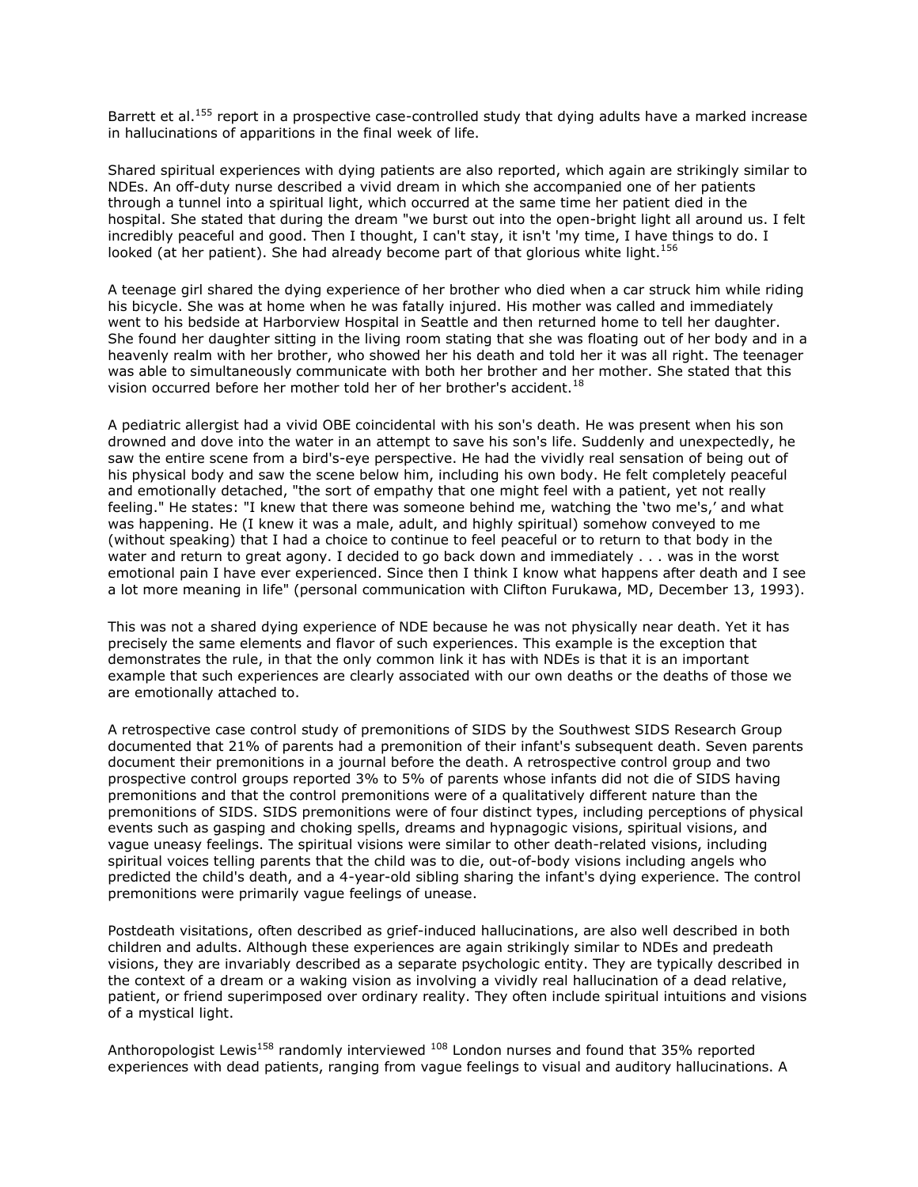Barrett et al.<sup>155</sup> report in a prospective case-controlled study that dying adults have a marked increase in hallucinations of apparitions in the final week of life.

Shared spiritual experiences with dying patients are also reported, which again are strikingly similar to NDEs. An off-duty nurse described a vivid dream in which she accompanied one of her patients through a tunnel into a spiritual light, which occurred at the same time her patient died in the hospital. She stated that during the dream "we burst out into the open-bright light all around us. I felt incredibly peaceful and good. Then I thought, I can't stay, it isn't 'my time, I have things to do. I looked (at her patient). She had already become part of that glorious white light.<sup>156</sup>

A teenage girl shared the dying experience of her brother who died when a car struck him while riding his bicycle. She was at home when he was fatally injured. His mother was called and immediately went to his bedside at Harborview Hospital in Seattle and then returned home to tell her daughter. She found her daughter sitting in the living room stating that she was floating out of her body and in a heavenly realm with her brother, who showed her his death and told her it was all right. The teenager was able to simultaneously communicate with both her brother and her mother. She stated that this vision occurred before her mother told her of her brother's accident.<sup>18</sup>

A pediatric allergist had a vivid OBE coincidental with his son's death. He was present when his son drowned and dove into the water in an attempt to save his son's life. Suddenly and unexpectedly, he saw the entire scene from a bird's-eye perspective. He had the vividly real sensation of being out of his physical body and saw the scene below him, including his own body. He felt completely peaceful and emotionally detached, "the sort of empathy that one might feel with a patient, yet not really feeling." He states: "I knew that there was someone behind me, watching the 'two me's,' and what was happening. He (I knew it was a male, adult, and highly spiritual) somehow conveyed to me (without speaking) that I had a choice to continue to feel peaceful or to return to that body in the water and return to great agony. I decided to go back down and immediately . . . was in the worst emotional pain I have ever experienced. Since then I think I know what happens after death and I see a lot more meaning in life" (personal communication with Clifton Furukawa, MD, December 13, 1993).

This was not a shared dying experience of NDE because he was not physically near death. Yet it has precisely the same elements and flavor of such experiences. This example is the exception that demonstrates the rule, in that the only common link it has with NDEs is that it is an important example that such experiences are clearly associated with our own deaths or the deaths of those we are emotionally attached to.

A retrospective case control study of premonitions of SIDS by the Southwest SIDS Research Group documented that 21% of parents had a premonition of their infant's subsequent death. Seven parents document their premonitions in a journal before the death. A retrospective control group and two prospective control groups reported 3% to 5% of parents whose infants did not die of SIDS having premonitions and that the control premonitions were of a qualitatively different nature than the premonitions of SIDS. SIDS premonitions were of four distinct types, including perceptions of physical events such as gasping and choking spells, dreams and hypnagogic visions, spiritual visions, and vague uneasy feelings. The spiritual visions were similar to other death-related visions, including spiritual voices telling parents that the child was to die, out-of-body visions including angels who predicted the child's death, and a 4-year-old sibling sharing the infant's dying experience. The control premonitions were primarily vague feelings of unease.

Postdeath visitations, often described as grief-induced hallucinations, are also well described in both children and adults. Although these experiences are again strikingly similar to NDEs and predeath visions, they are invariably described as a separate psychologic entity. They are typically described in the context of a dream or a waking vision as involving a vividly real hallucination of a dead relative, patient, or friend superimposed over ordinary reality. They often include spiritual intuitions and visions of a mystical light.

Anthoropologist Lewis<sup>158</sup> randomly interviewed <sup>108</sup> London nurses and found that 35% reported experiences with dead patients, ranging from vague feelings to visual and auditory hallucinations. A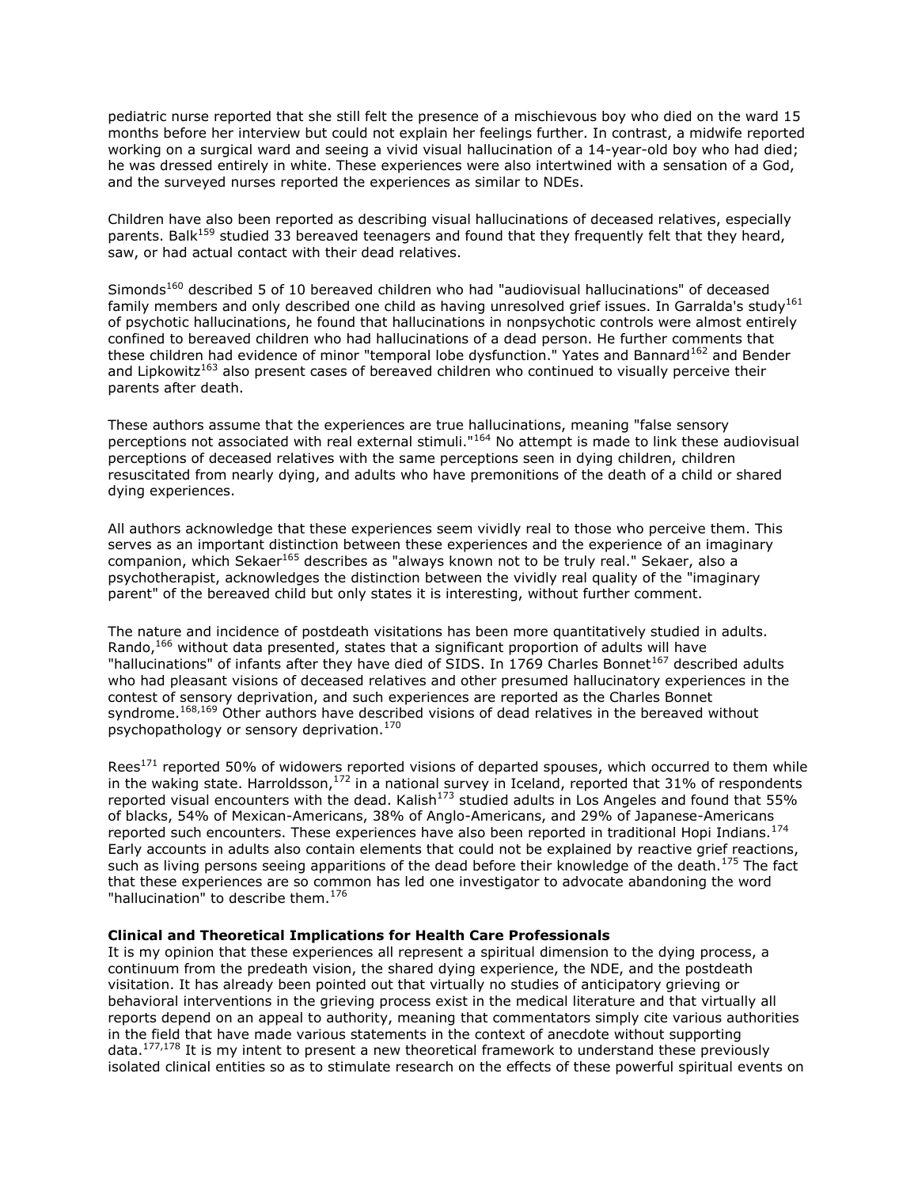pediatric nurse reported that she still felt the presence of a mischievous boy who died on the ward 15 months before her interview but could not explain her feelings further. In contrast, a midwife reported working on a surgical ward and seeing a vivid visual hallucination of a 14-year-old boy who had died; he was dressed entirely in white. These experiences were also intertwined with a sensation of a God, and the surveyed nurses reported the experiences as similar to NDEs.

Children have also been reported as describing visual hallucinations of deceased relatives, especially parents. Balk<sup>159</sup> studied 33 bereaved teenagers and found that they frequently felt that they heard, saw, or had actual contact with their dead relatives.

Simonds<sup>160</sup> described 5 of 10 bereaved children who had "audiovisual hallucinations" of deceased family members and only described one child as having unresolved grief issues. In Garralda's study<sup>161</sup> of psychotic hallucinations, he found that hallucinations in nonpsychotic controls were almost entirely confined to bereaved children who had hallucinations of a dead person. He further comments that these children had evidence of minor "temporal lobe dysfunction." Yates and Bannard<sup>162</sup> and Bender and Lipkowitz<sup>163</sup> also present cases of bereaved children who continued to visually perceive their parents after death.

These authors assume that the experiences are true hallucinations, meaning "false sensory perceptions not associated with real external stimuli."<sup>164</sup> No attempt is made to link these audiovisual perceptions of deceased relatives with the same perceptions seen in dying children, children resuscitated from nearly dying, and adults who have premonitions of the death of a child or shared dying experiences.

All authors acknowledge that these experiences seem vividly real to those who perceive them. This serves as an important distinction between these experiences and the experience of an imaginary companion, which Sekaer<sup>165</sup> describes as "always known not to be truly real." Sekaer, also a psychotherapist, acknowledges the distinction between the vividly real quality of the "imaginary parent" of the bereaved child but only states it is interesting, without further comment.

The nature and incidence of postdeath visitations has been more quantitatively studied in adults. Rando,<sup>166</sup> without data presented, states that a significant proportion of adults will have "hallucinations" of infants after they have died of SIDS. In 1769 Charles Bonnet<sup>167</sup> described adults who had pleasant visions of deceased relatives and other presumed hallucinatory experiences in the contest of sensory deprivation, and such experiences are reported as the Charles Bonnet syndrome.<sup>168,169</sup> Other authors have described visions of dead relatives in the bereaved without psychopathology or sensory deprivation.<sup>170</sup>

Rees<sup>171</sup> reported 50% of widowers reported visions of departed spouses, which occurred to them while in the waking state. Harroldsson,<sup>172</sup> in a national survey in Iceland, reported that 31% of respondents reported visual encounters with the dead. Kalish<sup>173</sup> studied adults in Los Angeles and found that 55% of blacks, 54% of Mexican-Americans, 38% of Anglo-Americans, and 29% of Japanese-Americans reported such encounters. These experiences have also been reported in traditional Hopi Indians.<sup>174</sup> Early accounts in adults also contain elements that could not be explained by reactive grief reactions, such as living persons seeing apparitions of the dead before their knowledge of the death.<sup>175</sup> The fact that these experiences are so common has led one investigator to advocate abandoning the word "hallucination" to describe them.<sup>176</sup>

### **Clinical and Theoretical Implications for Health Care Professionals**

It is my opinion that these experiences all represent a spiritual dimension to the dying process, a continuum from the predeath vision, the shared dying experience, the NDE, and the postdeath visitation. It has already been pointed out that virtually no studies of anticipatory grieving or behavioral interventions in the grieving process exist in the medical literature and that virtually all reports depend on an appeal to authority, meaning that commentators simply cite various authorities in the field that have made various statements in the context of anecdote without supporting data. $177,178$  It is my intent to present a new theoretical framework to understand these previously isolated clinical entities so as to stimulate research on the effects of these powerful spiritual events on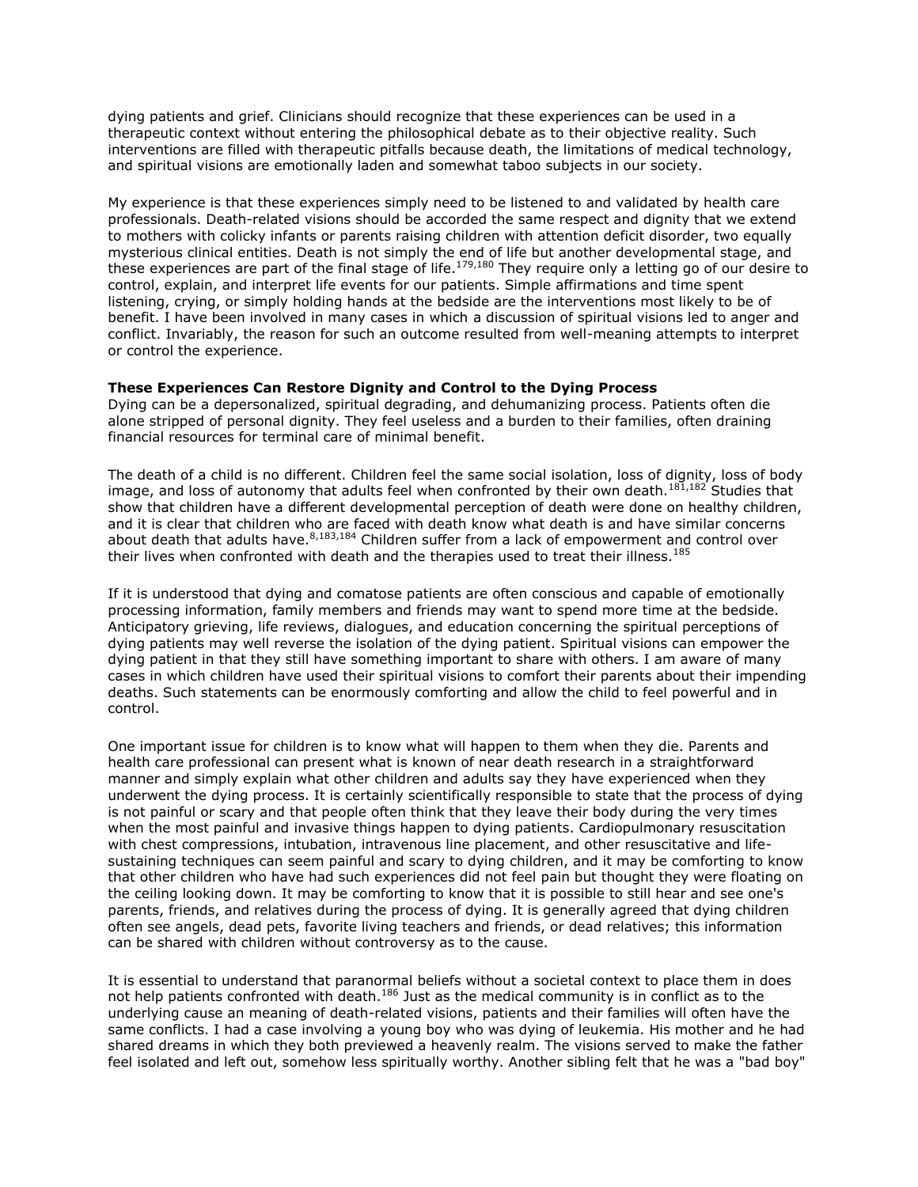dying patients and grief. Clinicians should recognize that these experiences can be used in a therapeutic context without entering the philosophical debate as to their objective reality. Such interventions are filled with therapeutic pitfalls because death, the limitations of medical technology, and spiritual visions are emotionally laden and somewhat taboo subjects in our society.

My experience is that these experiences simply need to be listened to and validated by health care professionals. Death-related visions should be accorded the same respect and dignity that we extend to mothers with colicky infants or parents raising children with attention deficit disorder, two equally mysterious clinical entities. Death is not simply the end of life but another developmental stage, and these experiences are part of the final stage of life.179,180 They require only a letting go of our desire to control, explain, and interpret life events for our patients. Simple affirmations and time spent listening, crying, or simply holding hands at the bedside are the interventions most likely to be of benefit. I have been involved in many cases in which a discussion of spiritual visions led to anger and conflict. Invariably, the reason for such an outcome resulted from well-meaning attempts to interpret or control the experience.

### **These Experiences Can Restore Dignity and Control to the Dying Process**

Dying can be a depersonalized, spiritual degrading, and dehumanizing process. Patients often die alone stripped of personal dignity. They feel useless and a burden to their families, often draining financial resources for terminal care of minimal benefit.

The death of a child is no different. Children feel the same social isolation, loss of dignity, loss of body image, and loss of autonomy that adults feel when confronted by their own death.<sup>181,182</sup> Studies that show that children have a different developmental perception of death were done on healthy children, and it is clear that children who are faced with death know what death is and have similar concerns about death that adults have.<sup>8,183,184</sup> Children suffer from a lack of empowerment and control over their lives when confronted with death and the therapies used to treat their illness.<sup>185</sup>

If it is understood that dying and comatose patients are often conscious and capable of emotionally processing information, family members and friends may want to spend more time at the bedside. Anticipatory grieving, life reviews, dialogues, and education concerning the spiritual perceptions of dying patients may well reverse the isolation of the dying patient. Spiritual visions can empower the dying patient in that they still have something important to share with others. I am aware of many cases in which children have used their spiritual visions to comfort their parents about their impending deaths. Such statements can be enormously comforting and allow the child to feel powerful and in control.

One important issue for children is to know what will happen to them when they die. Parents and health care professional can present what is known of near death research in a straightforward manner and simply explain what other children and adults say they have experienced when they underwent the dying process. It is certainly scientifically responsible to state that the process of dying is not painful or scary and that people often think that they leave their body during the very times when the most painful and invasive things happen to dying patients. Cardiopulmonary resuscitation with chest compressions, intubation, intravenous line placement, and other resuscitative and lifesustaining techniques can seem painful and scary to dying children, and it may be comforting to know that other children who have had such experiences did not feel pain but thought they were floating on the ceiling looking down. It may be comforting to know that it is possible to still hear and see one's parents, friends, and relatives during the process of dying. It is generally agreed that dying children often see angels, dead pets, favorite living teachers and friends, or dead relatives; this information can be shared with children without controversy as to the cause.

It is essential to understand that paranormal beliefs without a societal context to place them in does not help patients confronted with death.<sup>186</sup> Just as the medical community is in conflict as to the underlying cause an meaning of death-related visions, patients and their families will often have the same conflicts. I had a case involving a young boy who was dying of leukemia. His mother and he had shared dreams in which they both previewed a heavenly realm. The visions served to make the father feel isolated and left out, somehow less spiritually worthy. Another sibling felt that he was a "bad boy"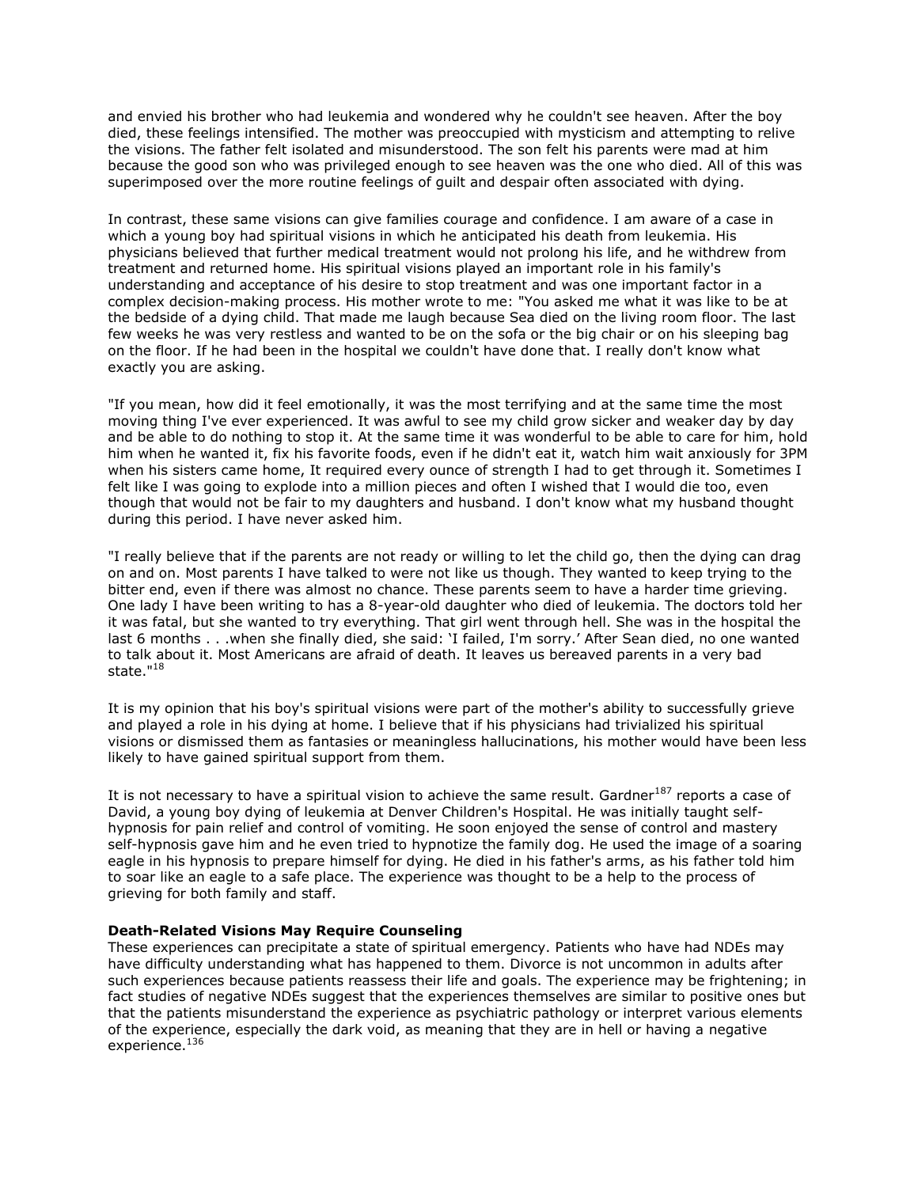and envied his brother who had leukemia and wondered why he couldn't see heaven. After the boy died, these feelings intensified. The mother was preoccupied with mysticism and attempting to relive the visions. The father felt isolated and misunderstood. The son felt his parents were mad at him because the good son who was privileged enough to see heaven was the one who died. All of this was superimposed over the more routine feelings of guilt and despair often associated with dying.

In contrast, these same visions can give families courage and confidence. I am aware of a case in which a young boy had spiritual visions in which he anticipated his death from leukemia. His physicians believed that further medical treatment would not prolong his life, and he withdrew from treatment and returned home. His spiritual visions played an important role in his family's understanding and acceptance of his desire to stop treatment and was one important factor in a complex decision-making process. His mother wrote to me: "You asked me what it was like to be at the bedside of a dying child. That made me laugh because Sea died on the living room floor. The last few weeks he was very restless and wanted to be on the sofa or the big chair or on his sleeping bag on the floor. If he had been in the hospital we couldn't have done that. I really don't know what exactly you are asking.

"If you mean, how did it feel emotionally, it was the most terrifying and at the same time the most moving thing I've ever experienced. It was awful to see my child grow sicker and weaker day by day and be able to do nothing to stop it. At the same time it was wonderful to be able to care for him, hold him when he wanted it, fix his favorite foods, even if he didn't eat it, watch him wait anxiously for 3PM when his sisters came home, It required every ounce of strength I had to get through it. Sometimes I felt like I was going to explode into a million pieces and often I wished that I would die too, even though that would not be fair to my daughters and husband. I don't know what my husband thought during this period. I have never asked him.

"I really believe that if the parents are not ready or willing to let the child go, then the dying can drag on and on. Most parents I have talked to were not like us though. They wanted to keep trying to the bitter end, even if there was almost no chance. These parents seem to have a harder time grieving. One lady I have been writing to has a 8-year-old daughter who died of leukemia. The doctors told her it was fatal, but she wanted to try everything. That girl went through hell. She was in the hospital the last 6 months . . .when she finally died, she said: 'I failed, I'm sorry.' After Sean died, no one wanted to talk about it. Most Americans are afraid of death. It leaves us bereaved parents in a very bad state."<sup>18</sup>

It is my opinion that his boy's spiritual visions were part of the mother's ability to successfully grieve and played a role in his dying at home. I believe that if his physicians had trivialized his spiritual visions or dismissed them as fantasies or meaningless hallucinations, his mother would have been less likely to have gained spiritual support from them.

It is not necessary to have a spiritual vision to achieve the same result. Gardner<sup>187</sup> reports a case of David, a young boy dying of leukemia at Denver Children's Hospital. He was initially taught selfhypnosis for pain relief and control of vomiting. He soon enjoyed the sense of control and mastery self-hypnosis gave him and he even tried to hypnotize the family dog. He used the image of a soaring eagle in his hypnosis to prepare himself for dying. He died in his father's arms, as his father told him to soar like an eagle to a safe place. The experience was thought to be a help to the process of grieving for both family and staff.

# **Death-Related Visions May Require Counseling**

These experiences can precipitate a state of spiritual emergency. Patients who have had NDEs may have difficulty understanding what has happened to them. Divorce is not uncommon in adults after such experiences because patients reassess their life and goals. The experience may be frightening; in fact studies of negative NDEs suggest that the experiences themselves are similar to positive ones but that the patients misunderstand the experience as psychiatric pathology or interpret various elements of the experience, especially the dark void, as meaning that they are in hell or having a negative experience.<sup>136</sup>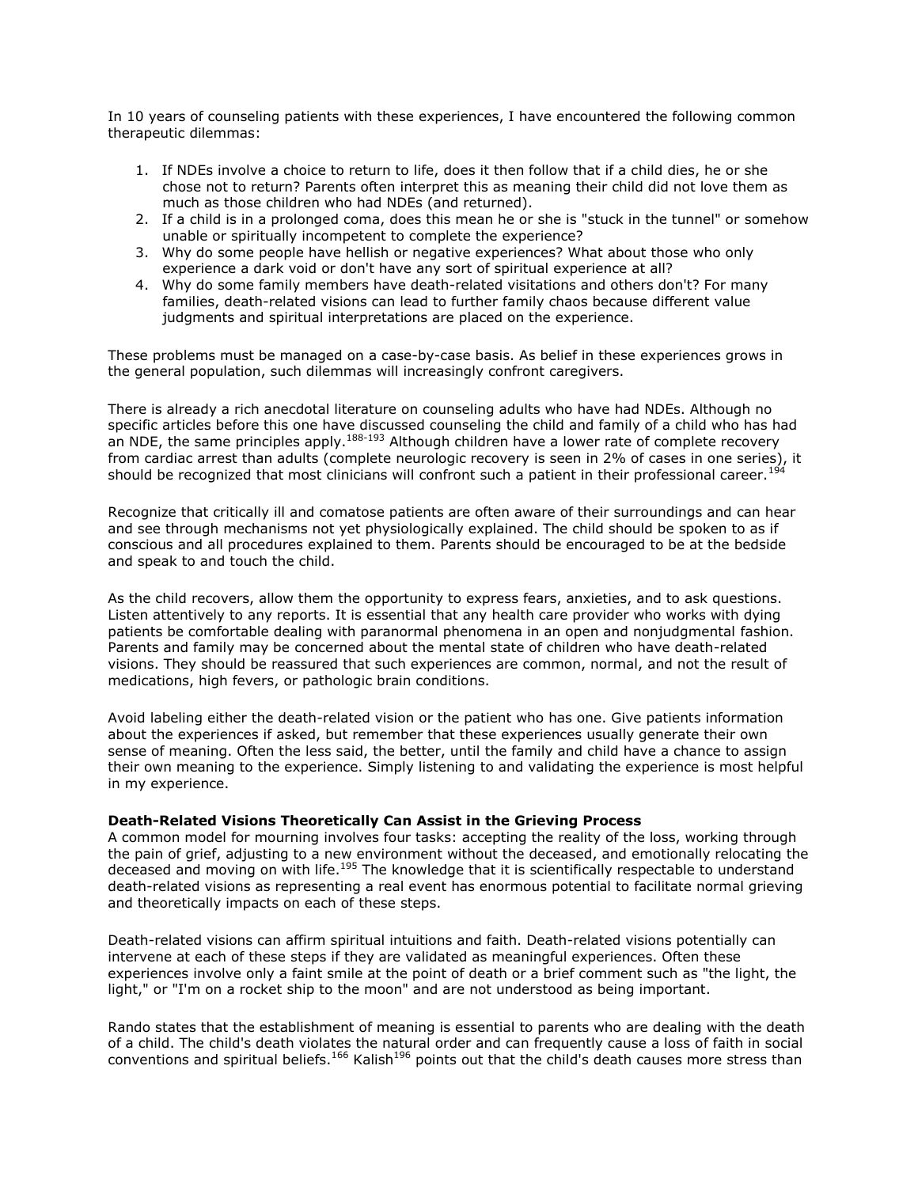In 10 years of counseling patients with these experiences, I have encountered the following common therapeutic dilemmas:

- 1. If NDEs involve a choice to return to life, does it then follow that if a child dies, he or she chose not to return? Parents often interpret this as meaning their child did not love them as much as those children who had NDEs (and returned).
- 2. If a child is in a prolonged coma, does this mean he or she is "stuck in the tunnel" or somehow unable or spiritually incompetent to complete the experience?
- 3. Why do some people have hellish or negative experiences? What about those who only experience a dark void or don't have any sort of spiritual experience at all?
- 4. Why do some family members have death-related visitations and others don't? For many families, death-related visions can lead to further family chaos because different value judgments and spiritual interpretations are placed on the experience.

These problems must be managed on a case-by-case basis. As belief in these experiences grows in the general population, such dilemmas will increasingly confront caregivers.

There is already a rich anecdotal literature on counseling adults who have had NDEs. Although no specific articles before this one have discussed counseling the child and family of a child who has had an NDE, the same principles apply.<sup>188-193</sup> Although children have a lower rate of complete recovery from cardiac arrest than adults (complete neurologic recovery is seen in 2% of cases in one series), it should be recognized that most clinicians will confront such a patient in their professional career.<sup>194</sup>

Recognize that critically ill and comatose patients are often aware of their surroundings and can hear and see through mechanisms not yet physiologically explained. The child should be spoken to as if conscious and all procedures explained to them. Parents should be encouraged to be at the bedside and speak to and touch the child.

As the child recovers, allow them the opportunity to express fears, anxieties, and to ask questions. Listen attentively to any reports. It is essential that any health care provider who works with dying patients be comfortable dealing with paranormal phenomena in an open and nonjudgmental fashion. Parents and family may be concerned about the mental state of children who have death-related visions. They should be reassured that such experiences are common, normal, and not the result of medications, high fevers, or pathologic brain conditions.

Avoid labeling either the death-related vision or the patient who has one. Give patients information about the experiences if asked, but remember that these experiences usually generate their own sense of meaning. Often the less said, the better, until the family and child have a chance to assign their own meaning to the experience. Simply listening to and validating the experience is most helpful in my experience.

# **Death-Related Visions Theoretically Can Assist in the Grieving Process**

A common model for mourning involves four tasks: accepting the reality of the loss, working through the pain of grief, adjusting to a new environment without the deceased, and emotionally relocating the deceased and moving on with life.<sup>195</sup> The knowledge that it is scientifically respectable to understand death-related visions as representing a real event has enormous potential to facilitate normal grieving and theoretically impacts on each of these steps.

Death-related visions can affirm spiritual intuitions and faith. Death-related visions potentially can intervene at each of these steps if they are validated as meaningful experiences. Often these experiences involve only a faint smile at the point of death or a brief comment such as "the light, the light," or "I'm on a rocket ship to the moon" and are not understood as being important.

Rando states that the establishment of meaning is essential to parents who are dealing with the death of a child. The child's death violates the natural order and can frequently cause a loss of faith in social conventions and spiritual beliefs.<sup>166</sup> Kalish<sup>196</sup> points out that the child's death causes more stress than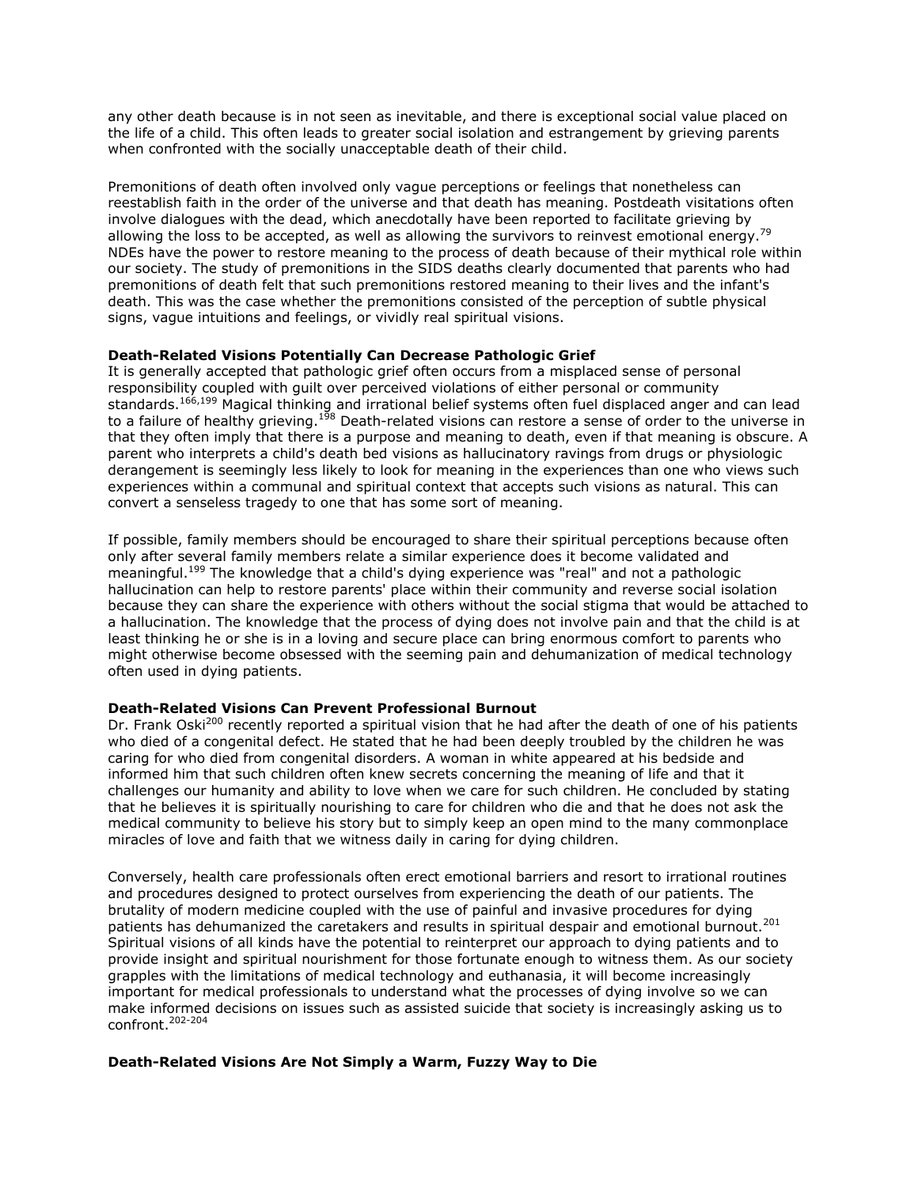any other death because is in not seen as inevitable, and there is exceptional social value placed on the life of a child. This often leads to greater social isolation and estrangement by grieving parents when confronted with the socially unacceptable death of their child.

Premonitions of death often involved only vague perceptions or feelings that nonetheless can reestablish faith in the order of the universe and that death has meaning. Postdeath visitations often involve dialogues with the dead, which anecdotally have been reported to facilitate grieving by allowing the loss to be accepted, as well as allowing the survivors to reinvest emotional energy.<sup>79</sup> NDEs have the power to restore meaning to the process of death because of their mythical role within our society. The study of premonitions in the SIDS deaths clearly documented that parents who had premonitions of death felt that such premonitions restored meaning to their lives and the infant's death. This was the case whether the premonitions consisted of the perception of subtle physical signs, vague intuitions and feelings, or vividly real spiritual visions.

# **Death-Related Visions Potentially Can Decrease Pathologic Grief**

It is generally accepted that pathologic grief often occurs from a misplaced sense of personal responsibility coupled with guilt over perceived violations of either personal or community standards.<sup>166,199</sup> Magical thinking and irrational belief systems often fuel displaced anger and can lead to a failure of healthy grieving.<sup>198</sup> Death-related visions can restore a sense of order to the universe in that they often imply that there is a purpose and meaning to death, even if that meaning is obscure. A parent who interprets a child's death bed visions as hallucinatory ravings from drugs or physiologic derangement is seemingly less likely to look for meaning in the experiences than one who views such experiences within a communal and spiritual context that accepts such visions as natural. This can convert a senseless tragedy to one that has some sort of meaning.

If possible, family members should be encouraged to share their spiritual perceptions because often only after several family members relate a similar experience does it become validated and meaningful.<sup>199</sup> The knowledge that a child's dying experience was "real" and not a pathologic hallucination can help to restore parents' place within their community and reverse social isolation because they can share the experience with others without the social stigma that would be attached to a hallucination. The knowledge that the process of dying does not involve pain and that the child is at least thinking he or she is in a loving and secure place can bring enormous comfort to parents who might otherwise become obsessed with the seeming pain and dehumanization of medical technology often used in dying patients.

# **Death-Related Visions Can Prevent Professional Burnout**

Dr. Frank Oski<sup>200</sup> recently reported a spiritual vision that he had after the death of one of his patients who died of a congenital defect. He stated that he had been deeply troubled by the children he was caring for who died from congenital disorders. A woman in white appeared at his bedside and informed him that such children often knew secrets concerning the meaning of life and that it challenges our humanity and ability to love when we care for such children. He concluded by stating that he believes it is spiritually nourishing to care for children who die and that he does not ask the medical community to believe his story but to simply keep an open mind to the many commonplace miracles of love and faith that we witness daily in caring for dying children.

Conversely, health care professionals often erect emotional barriers and resort to irrational routines and procedures designed to protect ourselves from experiencing the death of our patients. The brutality of modern medicine coupled with the use of painful and invasive procedures for dying patients has dehumanized the caretakers and results in spiritual despair and emotional burnout.<sup>201</sup> Spiritual visions of all kinds have the potential to reinterpret our approach to dying patients and to provide insight and spiritual nourishment for those fortunate enough to witness them. As our society grapples with the limitations of medical technology and euthanasia, it will become increasingly important for medical professionals to understand what the processes of dying involve so we can make informed decisions on issues such as assisted suicide that society is increasingly asking us to confront.202-204

### **Death-Related Visions Are Not Simply a Warm, Fuzzy Way to Die**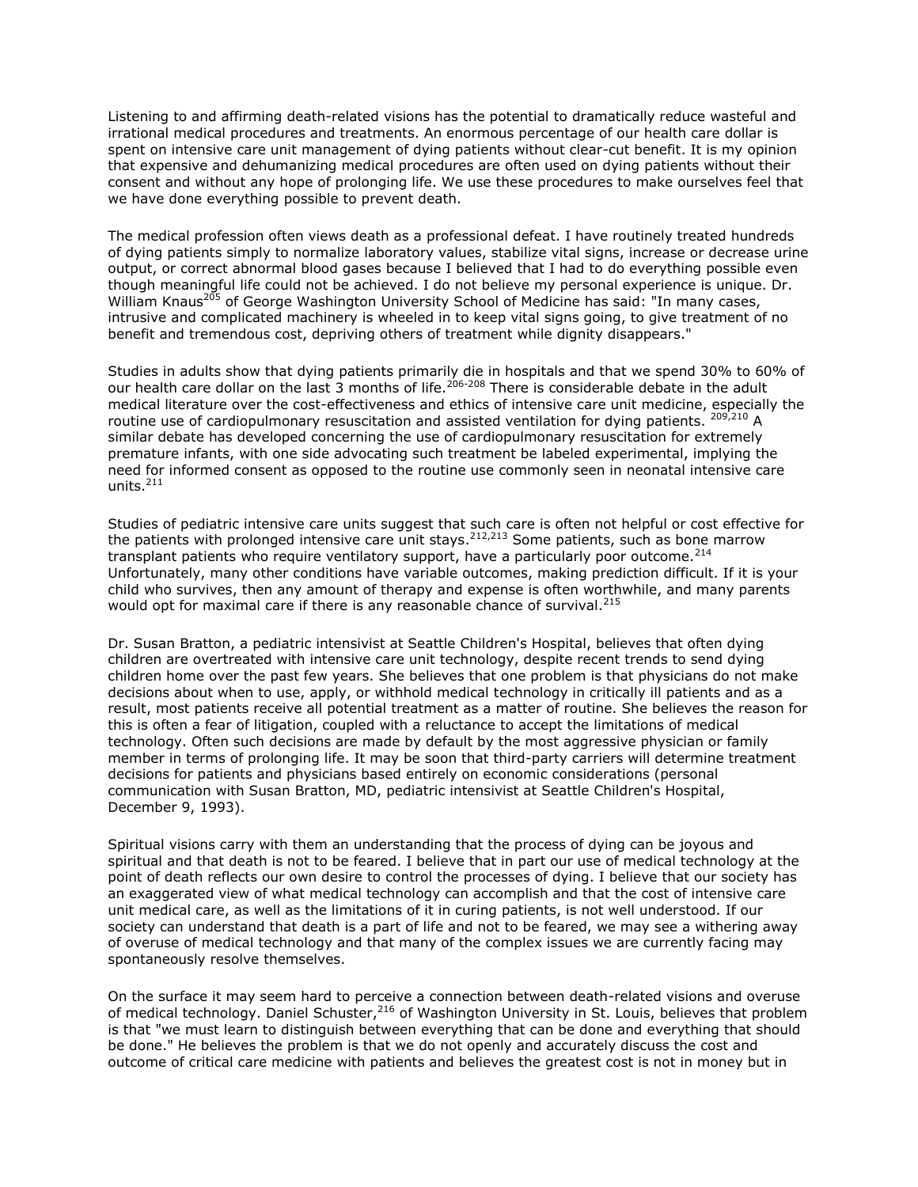Listening to and affirming death-related visions has the potential to dramatically reduce wasteful and irrational medical procedures and treatments. An enormous percentage of our health care dollar is spent on intensive care unit management of dying patients without clear-cut benefit. It is my opinion that expensive and dehumanizing medical procedures are often used on dying patients without their consent and without any hope of prolonging life. We use these procedures to make ourselves feel that we have done everything possible to prevent death.

The medical profession often views death as a professional defeat. I have routinely treated hundreds of dying patients simply to normalize laboratory values, stabilize vital signs, increase or decrease urine output, or correct abnormal blood gases because I believed that I had to do everything possible even though meaningful life could not be achieved. I do not believe my personal experience is unique. Dr. William Knaus<sup>205</sup> of George Washington University School of Medicine has said: "In many cases, intrusive and complicated machinery is wheeled in to keep vital signs going, to give treatment of no benefit and tremendous cost, depriving others of treatment while dignity disappears."

Studies in adults show that dying patients primarily die in hospitals and that we spend 30% to 60% of our health care dollar on the last 3 months of life.<sup>206-208</sup> There is considerable debate in the adult medical literature over the cost-effectiveness and ethics of intensive care unit medicine, especially the routine use of cardiopulmonary resuscitation and assisted ventilation for dying patients. 209,210 A similar debate has developed concerning the use of cardiopulmonary resuscitation for extremely premature infants, with one side advocating such treatment be labeled experimental, implying the need for informed consent as opposed to the routine use commonly seen in neonatal intensive care units.<sup>211</sup>

Studies of pediatric intensive care units suggest that such care is often not helpful or cost effective for the patients with prolonged intensive care unit stays.<sup>212,213</sup> Some patients, such as bone marrow transplant patients who require ventilatory support, have a particularly poor outcome.<sup>214</sup> Unfortunately, many other conditions have variable outcomes, making prediction difficult. If it is your child who survives, then any amount of therapy and expense is often worthwhile, and many parents would opt for maximal care if there is any reasonable chance of survival.<sup>215</sup>

Dr. Susan Bratton, a pediatric intensivist at Seattle Children's Hospital, believes that often dying children are overtreated with intensive care unit technology, despite recent trends to send dying children home over the past few years. She believes that one problem is that physicians do not make decisions about when to use, apply, or withhold medical technology in critically ill patients and as a result, most patients receive all potential treatment as a matter of routine. She believes the reason for this is often a fear of litigation, coupled with a reluctance to accept the limitations of medical technology. Often such decisions are made by default by the most aggressive physician or family member in terms of prolonging life. It may be soon that third-party carriers will determine treatment decisions for patients and physicians based entirely on economic considerations (personal communication with Susan Bratton, MD, pediatric intensivist at Seattle Children's Hospital, December 9, 1993).

Spiritual visions carry with them an understanding that the process of dying can be joyous and spiritual and that death is not to be feared. I believe that in part our use of medical technology at the point of death reflects our own desire to control the processes of dying. I believe that our society has an exaggerated view of what medical technology can accomplish and that the cost of intensive care unit medical care, as well as the limitations of it in curing patients, is not well understood. If our society can understand that death is a part of life and not to be feared, we may see a withering away of overuse of medical technology and that many of the complex issues we are currently facing may spontaneously resolve themselves.

On the surface it may seem hard to perceive a connection between death-related visions and overuse of medical technology. Daniel Schuster,<sup>216</sup> of Washington University in St. Louis, believes that problem is that "we must learn to distinguish between everything that can be done and everything that should be done." He believes the problem is that we do not openly and accurately discuss the cost and outcome of critical care medicine with patients and believes the greatest cost is not in money but in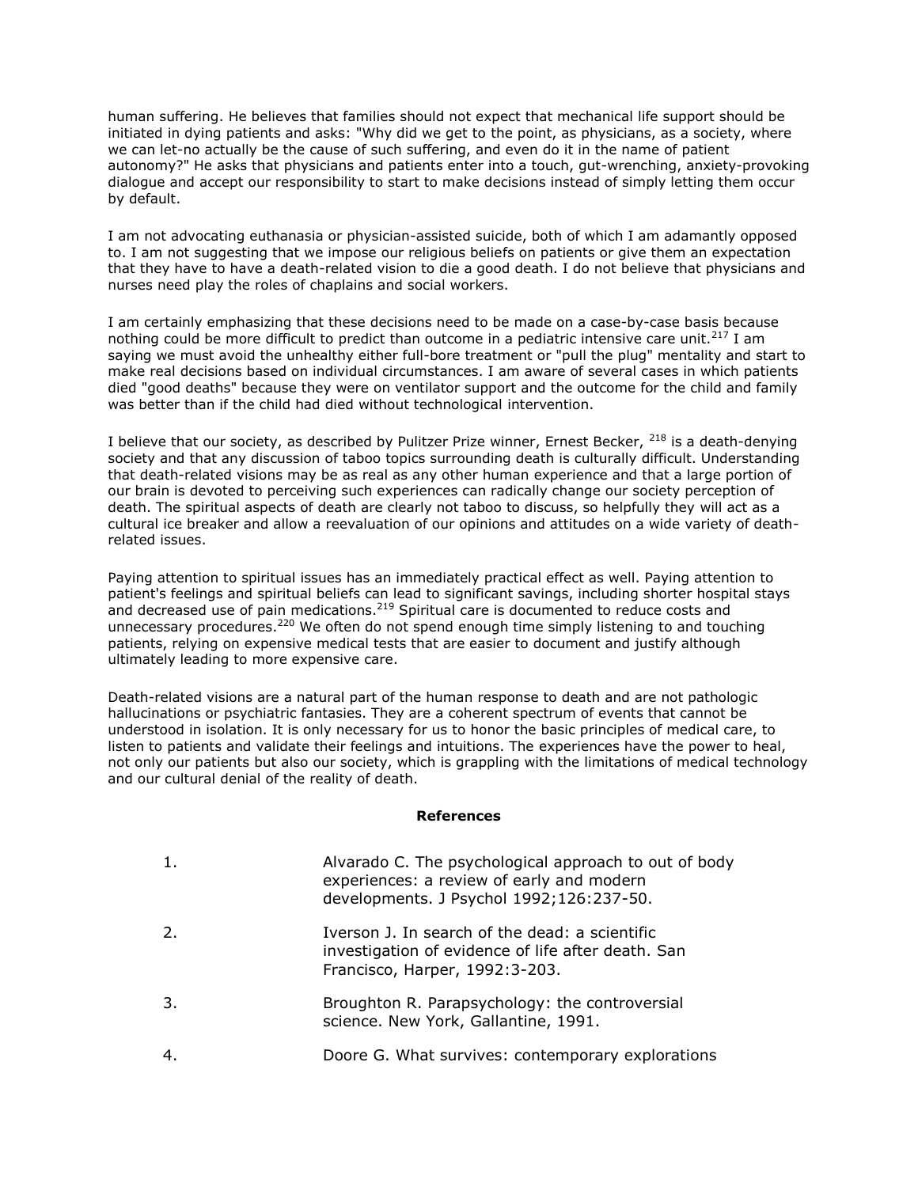human suffering. He believes that families should not expect that mechanical life support should be initiated in dying patients and asks: "Why did we get to the point, as physicians, as a society, where we can let-no actually be the cause of such suffering, and even do it in the name of patient autonomy?" He asks that physicians and patients enter into a touch, gut-wrenching, anxiety-provoking dialogue and accept our responsibility to start to make decisions instead of simply letting them occur by default.

I am not advocating euthanasia or physician-assisted suicide, both of which I am adamantly opposed to. I am not suggesting that we impose our religious beliefs on patients or give them an expectation that they have to have a death-related vision to die a good death. I do not believe that physicians and nurses need play the roles of chaplains and social workers.

I am certainly emphasizing that these decisions need to be made on a case-by-case basis because nothing could be more difficult to predict than outcome in a pediatric intensive care unit.<sup>217</sup> I am saying we must avoid the unhealthy either full-bore treatment or "pull the plug" mentality and start to make real decisions based on individual circumstances. I am aware of several cases in which patients died "good deaths" because they were on ventilator support and the outcome for the child and family was better than if the child had died without technological intervention.

I believe that our society, as described by Pulitzer Prize winner, Ernest Becker,  $218$  is a death-denying society and that any discussion of taboo topics surrounding death is culturally difficult. Understanding that death-related visions may be as real as any other human experience and that a large portion of our brain is devoted to perceiving such experiences can radically change our society perception of death. The spiritual aspects of death are clearly not taboo to discuss, so helpfully they will act as a cultural ice breaker and allow a reevaluation of our opinions and attitudes on a wide variety of deathrelated issues.

Paying attention to spiritual issues has an immediately practical effect as well. Paying attention to patient's feelings and spiritual beliefs can lead to significant savings, including shorter hospital stays and decreased use of pain medications.<sup>219</sup> Spiritual care is documented to reduce costs and unnecessary procedures.<sup>220</sup> We often do not spend enough time simply listening to and touching patients, relying on expensive medical tests that are easier to document and justify although ultimately leading to more expensive care.

Death-related visions are a natural part of the human response to death and are not pathologic hallucinations or psychiatric fantasies. They are a coherent spectrum of events that cannot be understood in isolation. It is only necessary for us to honor the basic principles of medical care, to listen to patients and validate their feelings and intuitions. The experiences have the power to heal, not only our patients but also our society, which is grappling with the limitations of medical technology and our cultural denial of the reality of death.

### **References**

|     | Alvarado C. The psychological approach to out of body<br>experiences: a review of early and modern<br>developments. J Psychol 1992;126:237-50. |
|-----|------------------------------------------------------------------------------------------------------------------------------------------------|
| -2. | Iverson J. In search of the dead: a scientific<br>investigation of evidence of life after death. San<br>Francisco, Harper, 1992:3-203.         |
| 3.  | Broughton R. Parapsychology: the controversial<br>science. New York, Gallantine, 1991.                                                         |
|     | Doore G. What survives: contemporary explorations                                                                                              |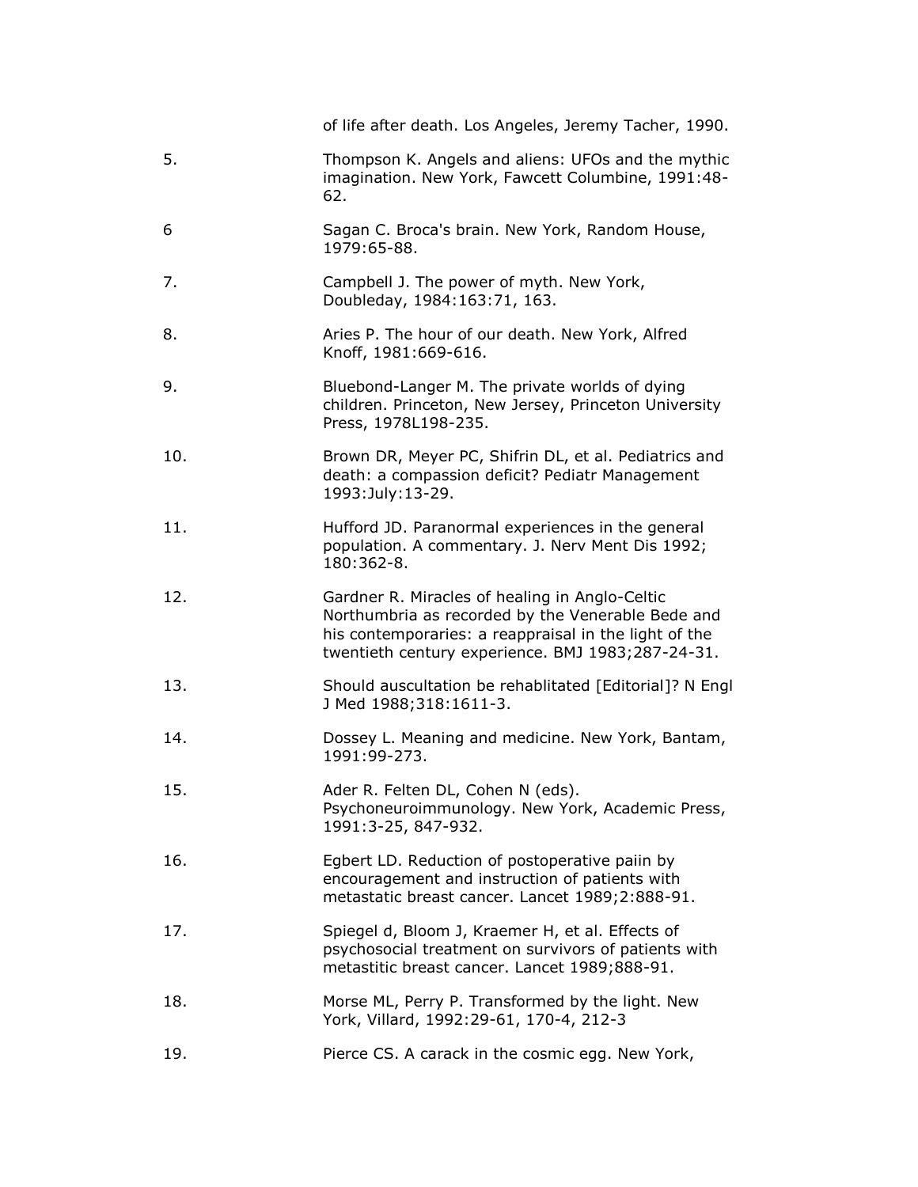|     | of life after death. Los Angeles, Jeremy Tacher, 1990.                                                                                                                                                            |
|-----|-------------------------------------------------------------------------------------------------------------------------------------------------------------------------------------------------------------------|
| 5.  | Thompson K. Angels and aliens: UFOs and the mythic<br>imagination. New York, Fawcett Columbine, 1991:48-<br>62.                                                                                                   |
| 6   | Sagan C. Broca's brain. New York, Random House,<br>1979:65-88.                                                                                                                                                    |
| 7.  | Campbell J. The power of myth. New York,<br>Doubleday, 1984:163:71, 163.                                                                                                                                          |
| 8.  | Aries P. The hour of our death. New York, Alfred<br>Knoff, 1981:669-616.                                                                                                                                          |
| 9.  | Bluebond-Langer M. The private worlds of dying<br>children. Princeton, New Jersey, Princeton University<br>Press, 1978L198-235.                                                                                   |
| 10. | Brown DR, Meyer PC, Shifrin DL, et al. Pediatrics and<br>death: a compassion deficit? Pediatr Management<br>1993: July: 13-29.                                                                                    |
| 11. | Hufford JD. Paranormal experiences in the general<br>population. A commentary. J. Nerv Ment Dis 1992;<br>180:362-8.                                                                                               |
| 12. | Gardner R. Miracles of healing in Anglo-Celtic<br>Northumbria as recorded by the Venerable Bede and<br>his contemporaries: a reappraisal in the light of the<br>twentieth century experience. BMJ 1983;287-24-31. |
| 13. | Should auscultation be rehablitated [Editorial]? N Engl<br>J Med 1988;318:1611-3.                                                                                                                                 |
| 14. | Dossey L. Meaning and medicine. New York, Bantam,<br>1991:99-273.                                                                                                                                                 |
| 15. | Ader R. Felten DL, Cohen N (eds).<br>Psychoneuroimmunology. New York, Academic Press,<br>1991:3-25, 847-932.                                                                                                      |
| 16. | Egbert LD. Reduction of postoperative paiin by<br>encouragement and instruction of patients with<br>metastatic breast cancer. Lancet 1989;2:888-91.                                                               |
| 17. | Spiegel d, Bloom J, Kraemer H, et al. Effects of<br>psychosocial treatment on survivors of patients with<br>metastitic breast cancer. Lancet 1989;888-91.                                                         |
| 18. | Morse ML, Perry P. Transformed by the light. New<br>York, Villard, 1992:29-61, 170-4, 212-3                                                                                                                       |
| 19. | Pierce CS. A carack in the cosmic egg. New York,                                                                                                                                                                  |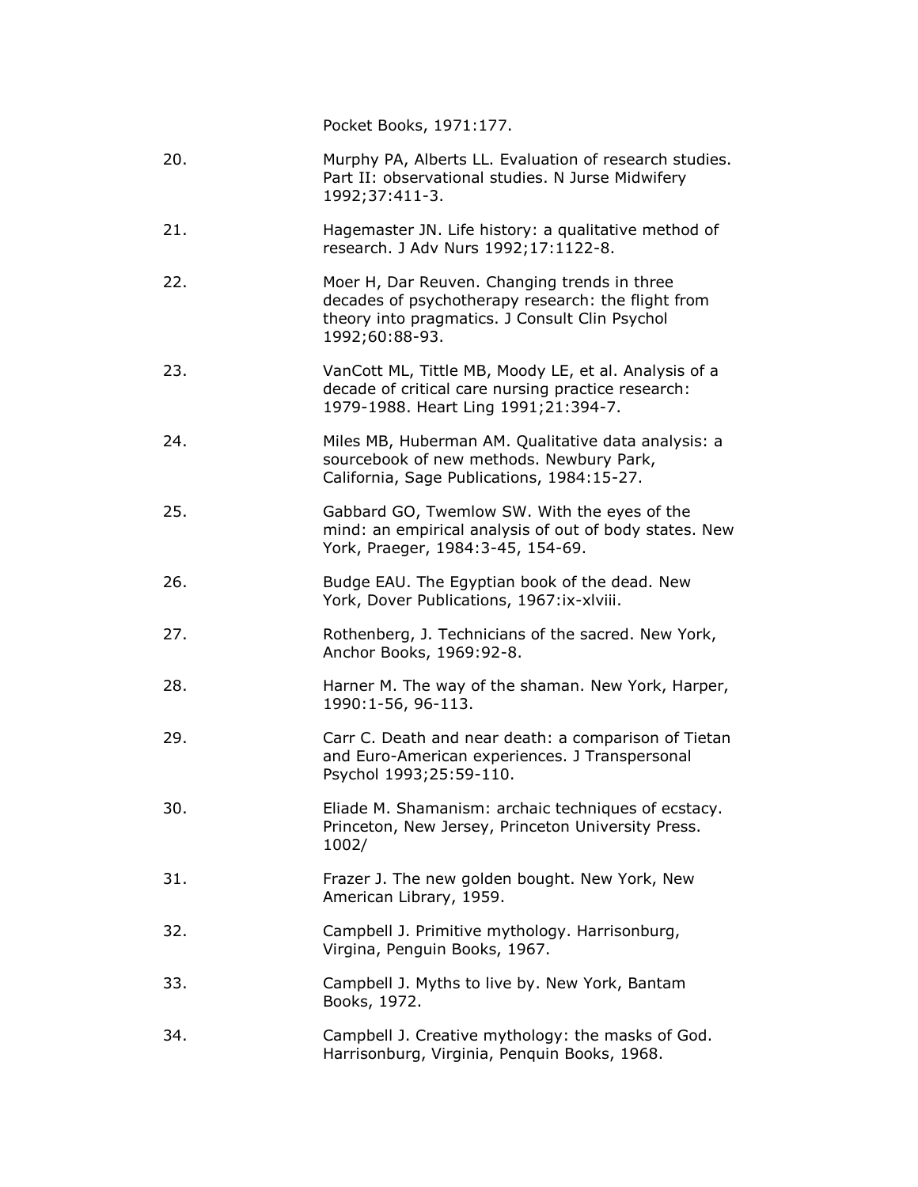Pocket Books, 1971:177.

| 20. | Murphy PA, Alberts LL. Evaluation of research studies.<br>Part II: observational studies. N Jurse Midwifery<br>1992;37:411-3.                                          |
|-----|------------------------------------------------------------------------------------------------------------------------------------------------------------------------|
| 21. | Hagemaster JN. Life history: a qualitative method of<br>research. J Adv Nurs 1992;17:1122-8.                                                                           |
| 22. | Moer H, Dar Reuven. Changing trends in three<br>decades of psychotherapy research: the flight from<br>theory into pragmatics. J Consult Clin Psychol<br>1992;60:88-93. |
| 23. | VanCott ML, Tittle MB, Moody LE, et al. Analysis of a<br>decade of critical care nursing practice research:<br>1979-1988. Heart Ling 1991;21:394-7.                    |
| 24. | Miles MB, Huberman AM. Qualitative data analysis: a<br>sourcebook of new methods. Newbury Park,<br>California, Sage Publications, 1984:15-27.                          |
| 25. | Gabbard GO, Twemlow SW. With the eyes of the<br>mind: an empirical analysis of out of body states. New<br>York, Praeger, 1984:3-45, 154-69.                            |
| 26. | Budge EAU. The Egyptian book of the dead. New<br>York, Dover Publications, 1967: ix-xlviii.                                                                            |
| 27. | Rothenberg, J. Technicians of the sacred. New York,<br>Anchor Books, 1969:92-8.                                                                                        |
| 28. | Harner M. The way of the shaman. New York, Harper,<br>1990:1-56, 96-113.                                                                                               |
| 29. | Carr C. Death and near death: a comparison of Tietan<br>and Euro-American experiences. J Transpersonal<br>Psychol 1993;25:59-110.                                      |
| 30. | Eliade M. Shamanism: archaic techniques of ecstacy.<br>Princeton, New Jersey, Princeton University Press.<br>1002/                                                     |
| 31. | Frazer J. The new golden bought. New York, New<br>American Library, 1959.                                                                                              |
| 32. | Campbell J. Primitive mythology. Harrisonburg,<br>Virgina, Penguin Books, 1967.                                                                                        |
| 33. | Campbell J. Myths to live by. New York, Bantam<br>Books, 1972.                                                                                                         |
| 34. | Campbell J. Creative mythology: the masks of God.<br>Harrisonburg, Virginia, Penquin Books, 1968.                                                                      |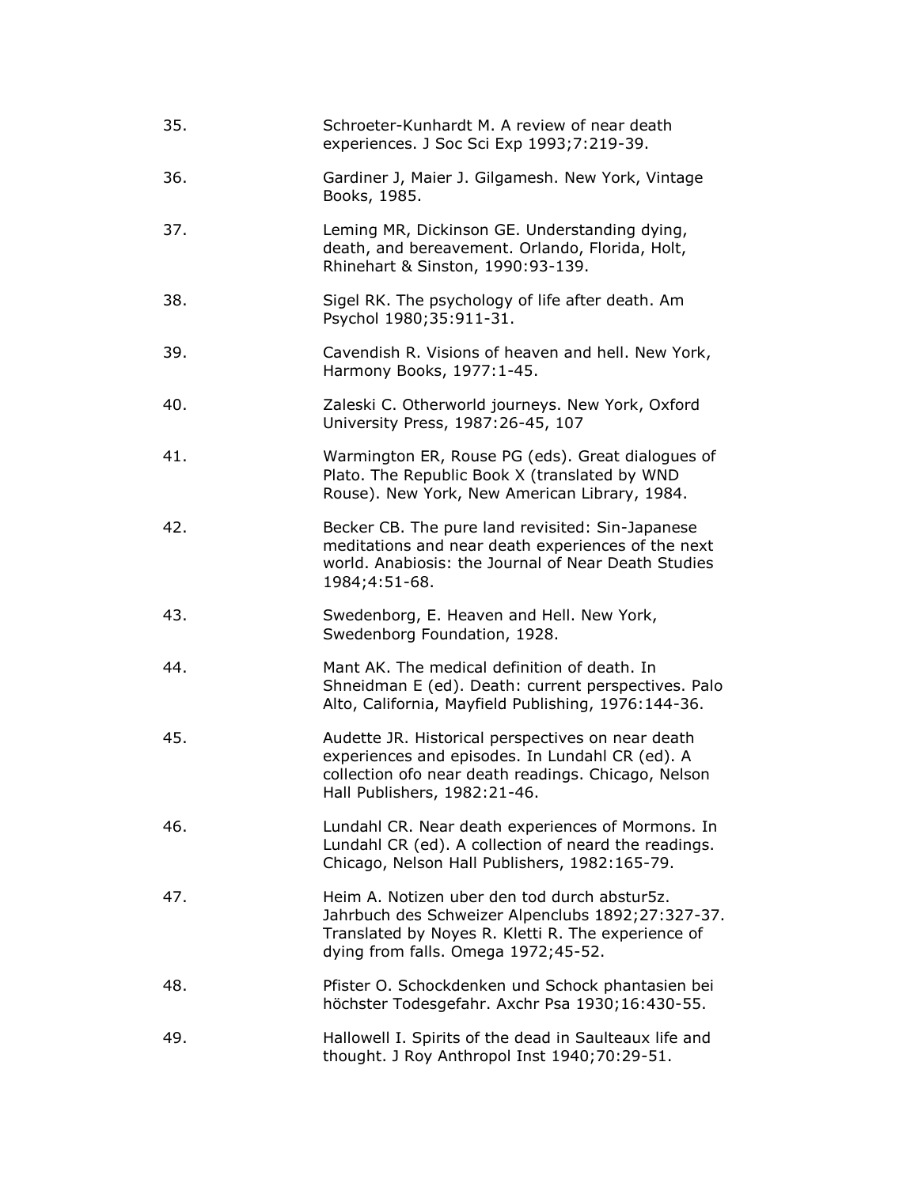| 35. | Schroeter-Kunhardt M. A review of near death<br>experiences. J Soc Sci Exp 1993;7:219-39.                                                                                                      |
|-----|------------------------------------------------------------------------------------------------------------------------------------------------------------------------------------------------|
| 36. | Gardiner J, Maier J. Gilgamesh. New York, Vintage<br>Books, 1985.                                                                                                                              |
| 37. | Leming MR, Dickinson GE. Understanding dying,<br>death, and bereavement. Orlando, Florida, Holt,<br>Rhinehart & Sinston, 1990:93-139.                                                          |
| 38. | Sigel RK. The psychology of life after death. Am<br>Psychol 1980;35:911-31.                                                                                                                    |
| 39. | Cavendish R. Visions of heaven and hell. New York,<br>Harmony Books, 1977:1-45.                                                                                                                |
| 40. | Zaleski C. Otherworld journeys. New York, Oxford<br>University Press, 1987:26-45, 107                                                                                                          |
| 41. | Warmington ER, Rouse PG (eds). Great dialogues of<br>Plato. The Republic Book X (translated by WND<br>Rouse). New York, New American Library, 1984.                                            |
| 42. | Becker CB. The pure land revisited: Sin-Japanese<br>meditations and near death experiences of the next<br>world. Anabiosis: the Journal of Near Death Studies<br>1984;4:51-68.                 |
| 43. | Swedenborg, E. Heaven and Hell. New York,<br>Swedenborg Foundation, 1928.                                                                                                                      |
| 44. | Mant AK. The medical definition of death. In<br>Shneidman E (ed). Death: current perspectives. Palo<br>Alto, California, Mayfield Publishing, 1976:144-36.                                     |
| 45. | Audette JR. Historical perspectives on near death<br>experiences and episodes. In Lundahl CR (ed). A<br>collection ofo near death readings. Chicago, Nelson<br>Hall Publishers, 1982:21-46.    |
| 46. | Lundahl CR. Near death experiences of Mormons. In<br>Lundahl CR (ed). A collection of neard the readings.<br>Chicago, Nelson Hall Publishers, 1982:165-79.                                     |
| 47. | Heim A. Notizen uber den tod durch abstur5z.<br>Jahrbuch des Schweizer Alpenclubs 1892;27:327-37.<br>Translated by Noyes R. Kletti R. The experience of<br>dying from falls. Omega 1972;45-52. |
| 48. | Pfister O. Schockdenken und Schock phantasien bei<br>höchster Todesgefahr. Axchr Psa 1930;16:430-55.                                                                                           |
| 49. | Hallowell I. Spirits of the dead in Saulteaux life and<br>thought. J Roy Anthropol Inst 1940;70:29-51.                                                                                         |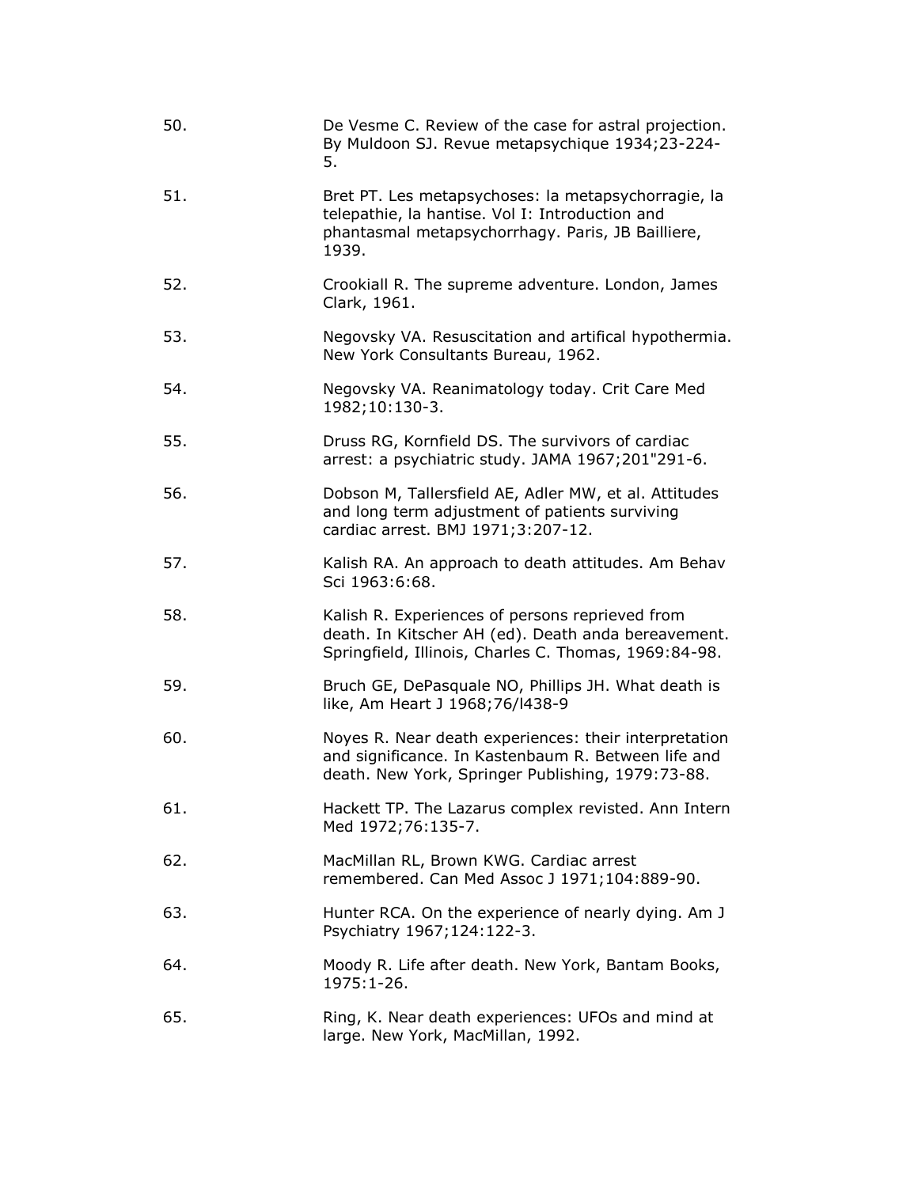| 50. | De Vesme C. Review of the case for astral projection.<br>By Muldoon SJ. Revue metapsychique 1934;23-224-<br>5.                                                       |
|-----|----------------------------------------------------------------------------------------------------------------------------------------------------------------------|
| 51. | Bret PT. Les metapsychoses: la metapsychorragie, la<br>telepathie, la hantise. Vol I: Introduction and<br>phantasmal metapsychorrhagy. Paris, JB Bailliere,<br>1939. |
| 52. | Crookiall R. The supreme adventure. London, James<br>Clark, 1961.                                                                                                    |
| 53. | Negovsky VA. Resuscitation and artifical hypothermia.<br>New York Consultants Bureau, 1962.                                                                          |
| 54. | Negovsky VA. Reanimatology today. Crit Care Med<br>1982;10:130-3.                                                                                                    |
| 55. | Druss RG, Kornfield DS. The survivors of cardiac<br>arrest: a psychiatric study. JAMA 1967;201"291-6.                                                                |
| 56. | Dobson M, Tallersfield AE, Adler MW, et al. Attitudes<br>and long term adjustment of patients surviving<br>cardiac arrest. BMJ 1971;3:207-12.                        |
| 57. | Kalish RA. An approach to death attitudes. Am Behav<br>Sci 1963:6:68.                                                                                                |
| 58. | Kalish R. Experiences of persons reprieved from<br>death. In Kitscher AH (ed). Death anda bereavement.<br>Springfield, Illinois, Charles C. Thomas, 1969:84-98.      |
| 59. | Bruch GE, DePasquale NO, Phillips JH. What death is<br>like, Am Heart J 1968;76/l438-9                                                                               |
| 60. | Noyes R. Near death experiences: their interpretation<br>and significance. In Kastenbaum R. Between life and<br>death. New York, Springer Publishing, 1979:73-88.    |
| 61. | Hackett TP. The Lazarus complex revisted. Ann Intern<br>Med 1972;76:135-7.                                                                                           |
| 62. | MacMillan RL, Brown KWG. Cardiac arrest<br>remembered. Can Med Assoc J 1971;104:889-90.                                                                              |
| 63. | Hunter RCA. On the experience of nearly dying. Am J<br>Psychiatry 1967; 124: 122-3.                                                                                  |
| 64. | Moody R. Life after death. New York, Bantam Books,<br>1975:1-26.                                                                                                     |
| 65. | Ring, K. Near death experiences: UFOs and mind at<br>large. New York, MacMillan, 1992.                                                                               |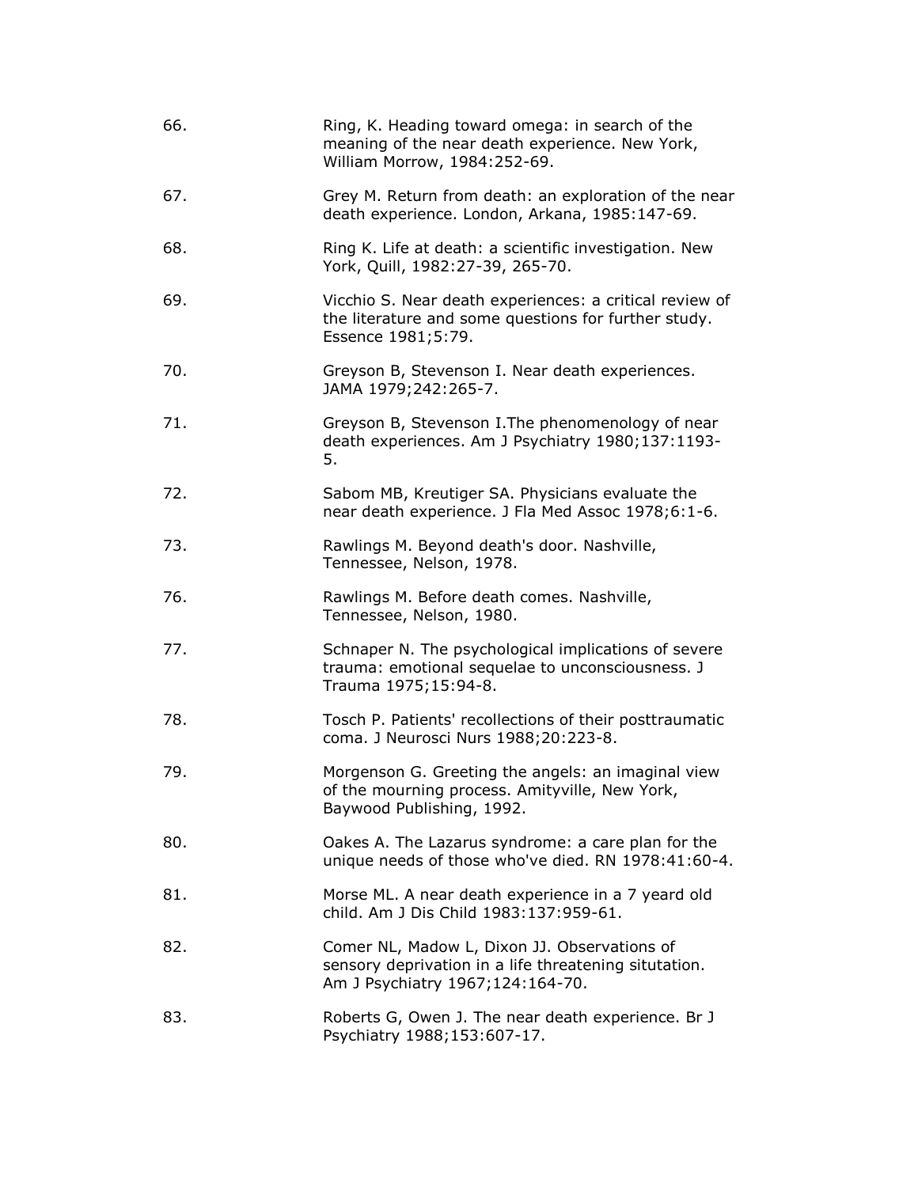| 66. | Ring, K. Heading toward omega: in search of the<br>meaning of the near death experience. New York,<br>William Morrow, 1984:252-69.          |
|-----|---------------------------------------------------------------------------------------------------------------------------------------------|
| 67. | Grey M. Return from death: an exploration of the near<br>death experience. London, Arkana, 1985:147-69.                                     |
| 68. | Ring K. Life at death: a scientific investigation. New<br>York, Quill, 1982:27-39, 265-70.                                                  |
| 69. | Vicchio S. Near death experiences: a critical review of<br>the literature and some questions for further study.<br>Essence 1981;5:79.       |
| 70. | Greyson B, Stevenson I. Near death experiences.<br>JAMA 1979;242:265-7.                                                                     |
| 71. | Greyson B, Stevenson I. The phenomenology of near<br>death experiences. Am J Psychiatry 1980;137:1193-<br>5.                                |
| 72. | Sabom MB, Kreutiger SA. Physicians evaluate the<br>near death experience. J Fla Med Assoc 1978;6:1-6.                                       |
| 73. | Rawlings M. Beyond death's door. Nashville,<br>Tennessee, Nelson, 1978.                                                                     |
| 76. | Rawlings M. Before death comes. Nashville,<br>Tennessee, Nelson, 1980.                                                                      |
| 77. | Schnaper N. The psychological implications of severe<br>trauma: emotional sequelae to unconsciousness. J<br>Trauma 1975;15:94-8.            |
| 78. | Tosch P. Patients' recollections of their posttraumatic<br>coma. J Neurosci Nurs 1988; 20: 223-8.                                           |
| 79. | Morgenson G. Greeting the angels: an imaginal view<br>of the mourning process. Amityville, New York,<br>Baywood Publishing, 1992.           |
| 80. | Oakes A. The Lazarus syndrome: a care plan for the<br>unique needs of those who've died. RN 1978:41:60-4.                                   |
| 81. | Morse ML. A near death experience in a 7 yeard old<br>child. Am J Dis Child 1983:137:959-61.                                                |
| 82. | Comer NL, Madow L, Dixon JJ. Observations of<br>sensory deprivation in a life threatening situtation.<br>Am J Psychiatry 1967; 124: 164-70. |
| 83. | Roberts G, Owen J. The near death experience. Br J<br>Psychiatry 1988;153:607-17.                                                           |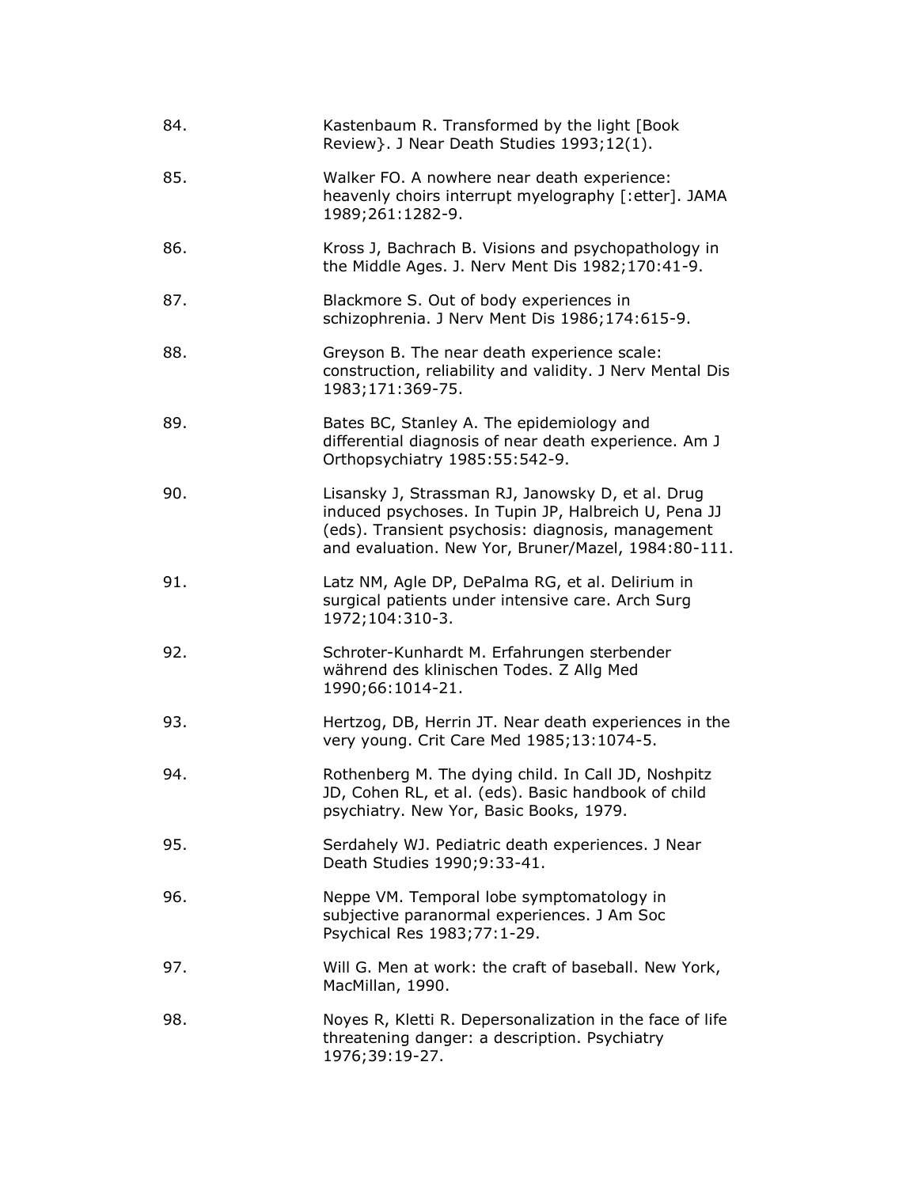| 84. | Kastenbaum R. Transformed by the light [Book<br>Review }. J Near Death Studies 1993;12(1).                                                                                                                            |
|-----|-----------------------------------------------------------------------------------------------------------------------------------------------------------------------------------------------------------------------|
| 85. | Walker FO. A nowhere near death experience:<br>heavenly choirs interrupt myelography [:etter]. JAMA<br>1989;261:1282-9.                                                                                               |
| 86. | Kross J, Bachrach B. Visions and psychopathology in<br>the Middle Ages. J. Nerv Ment Dis 1982;170:41-9.                                                                                                               |
| 87. | Blackmore S. Out of body experiences in<br>schizophrenia. J Nerv Ment Dis 1986;174:615-9.                                                                                                                             |
| 88. | Greyson B. The near death experience scale:<br>construction, reliability and validity. J Nerv Mental Dis<br>1983;171:369-75.                                                                                          |
| 89. | Bates BC, Stanley A. The epidemiology and<br>differential diagnosis of near death experience. Am J<br>Orthopsychiatry 1985:55:542-9.                                                                                  |
| 90. | Lisansky J, Strassman RJ, Janowsky D, et al. Drug<br>induced psychoses. In Tupin JP, Halbreich U, Pena JJ<br>(eds). Transient psychosis: diagnosis, management<br>and evaluation. New Yor, Bruner/Mazel, 1984:80-111. |
| 91. | Latz NM, Agle DP, DePalma RG, et al. Delirium in<br>surgical patients under intensive care. Arch Surg<br>1972;104:310-3.                                                                                              |
| 92. | Schroter-Kunhardt M. Erfahrungen sterbender<br>während des klinischen Todes. Z Allg Med<br>1990;66:1014-21.                                                                                                           |
| 93. | Hertzog, DB, Herrin JT. Near death experiences in the<br>very young. Crit Care Med 1985;13:1074-5.                                                                                                                    |
| 94. | Rothenberg M. The dying child. In Call JD, Noshpitz<br>JD, Cohen RL, et al. (eds). Basic handbook of child<br>psychiatry. New Yor, Basic Books, 1979.                                                                 |
| 95. | Serdahely WJ. Pediatric death experiences. J Near<br>Death Studies 1990;9:33-41.                                                                                                                                      |
| 96. | Neppe VM. Temporal lobe symptomatology in<br>subjective paranormal experiences. J Am Soc<br>Psychical Res 1983;77:1-29.                                                                                               |
| 97. | Will G. Men at work: the craft of baseball. New York,<br>MacMillan, 1990.                                                                                                                                             |
| 98. | Noyes R, Kletti R. Depersonalization in the face of life<br>threatening danger: a description. Psychiatry<br>1976;39:19-27.                                                                                           |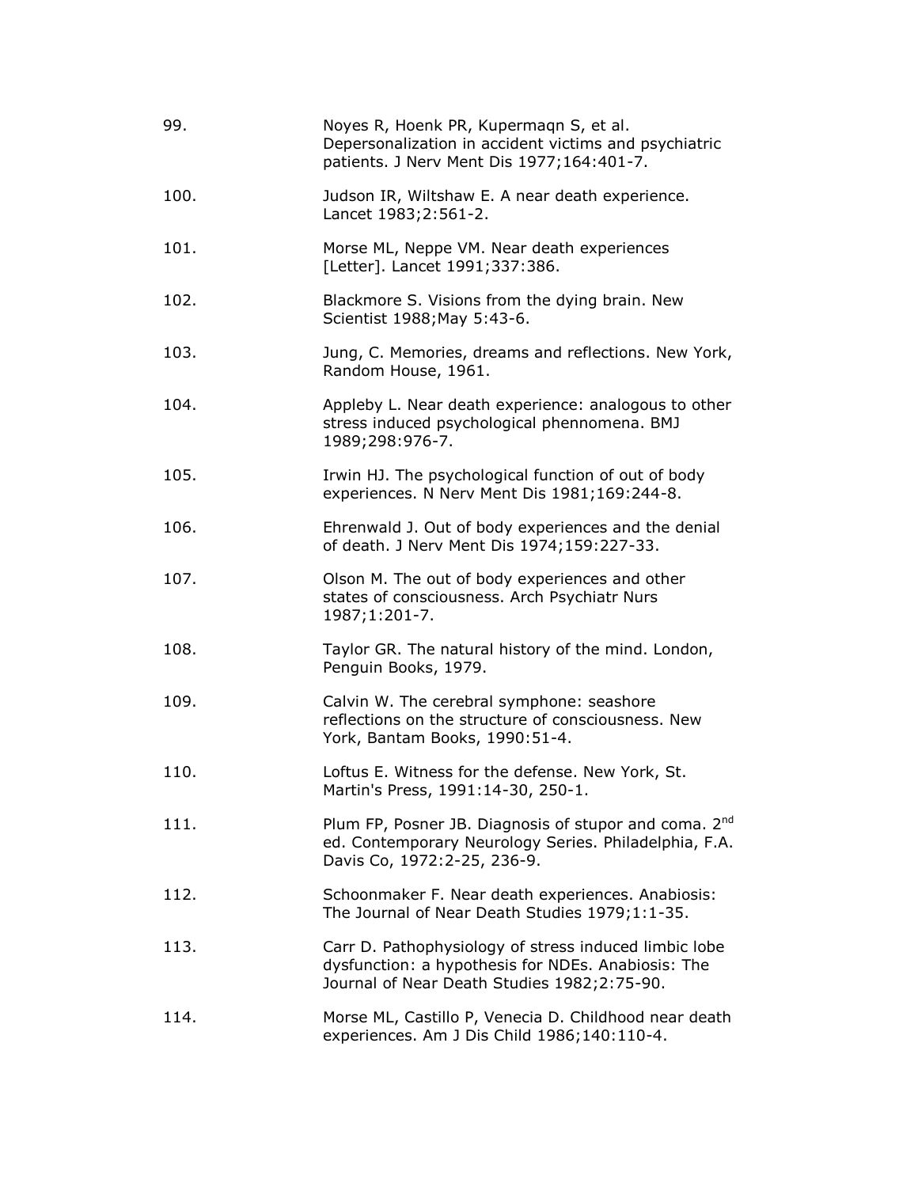| 99.  | Noyes R, Hoenk PR, Kupermagn S, et al.<br>Depersonalization in accident victims and psychiatric<br>patients. J Nerv Ment Dis 1977;164:401-7.               |
|------|------------------------------------------------------------------------------------------------------------------------------------------------------------|
| 100. | Judson IR, Wiltshaw E. A near death experience.<br>Lancet 1983;2:561-2.                                                                                    |
| 101. | Morse ML, Neppe VM. Near death experiences<br>[Letter]. Lancet 1991;337:386.                                                                               |
| 102. | Blackmore S. Visions from the dying brain. New<br>Scientist 1988; May 5:43-6.                                                                              |
| 103. | Jung, C. Memories, dreams and reflections. New York,<br>Random House, 1961.                                                                                |
| 104. | Appleby L. Near death experience: analogous to other<br>stress induced psychological phennomena. BMJ<br>1989;298:976-7.                                    |
| 105. | Irwin HJ. The psychological function of out of body<br>experiences. N Nerv Ment Dis 1981;169:244-8.                                                        |
| 106. | Ehrenwald J. Out of body experiences and the denial<br>of death. J Nerv Ment Dis 1974;159:227-33.                                                          |
| 107. | Olson M. The out of body experiences and other<br>states of consciousness. Arch Psychiatr Nurs<br>1987;1:201-7.                                            |
| 108. | Taylor GR. The natural history of the mind. London,<br>Penguin Books, 1979.                                                                                |
| 109. | Calvin W. The cerebral symphone: seashore<br>reflections on the structure of consciousness. New<br>York, Bantam Books, 1990:51-4.                          |
| 110. | Loftus E. Witness for the defense. New York, St.<br>Martin's Press, 1991:14-30, 250-1.                                                                     |
| 111. | Plum FP, Posner JB. Diagnosis of stupor and coma. 2 <sup>nd</sup><br>ed. Contemporary Neurology Series. Philadelphia, F.A.<br>Davis Co, 1972:2-25, 236-9.  |
| 112. | Schoonmaker F. Near death experiences. Anabiosis:<br>The Journal of Near Death Studies 1979;1:1-35.                                                        |
| 113. | Carr D. Pathophysiology of stress induced limbic lobe<br>dysfunction: a hypothesis for NDEs. Anabiosis: The<br>Journal of Near Death Studies 1982;2:75-90. |
| 114. | Morse ML, Castillo P, Venecia D. Childhood near death<br>experiences. Am J Dis Child 1986;140:110-4.                                                       |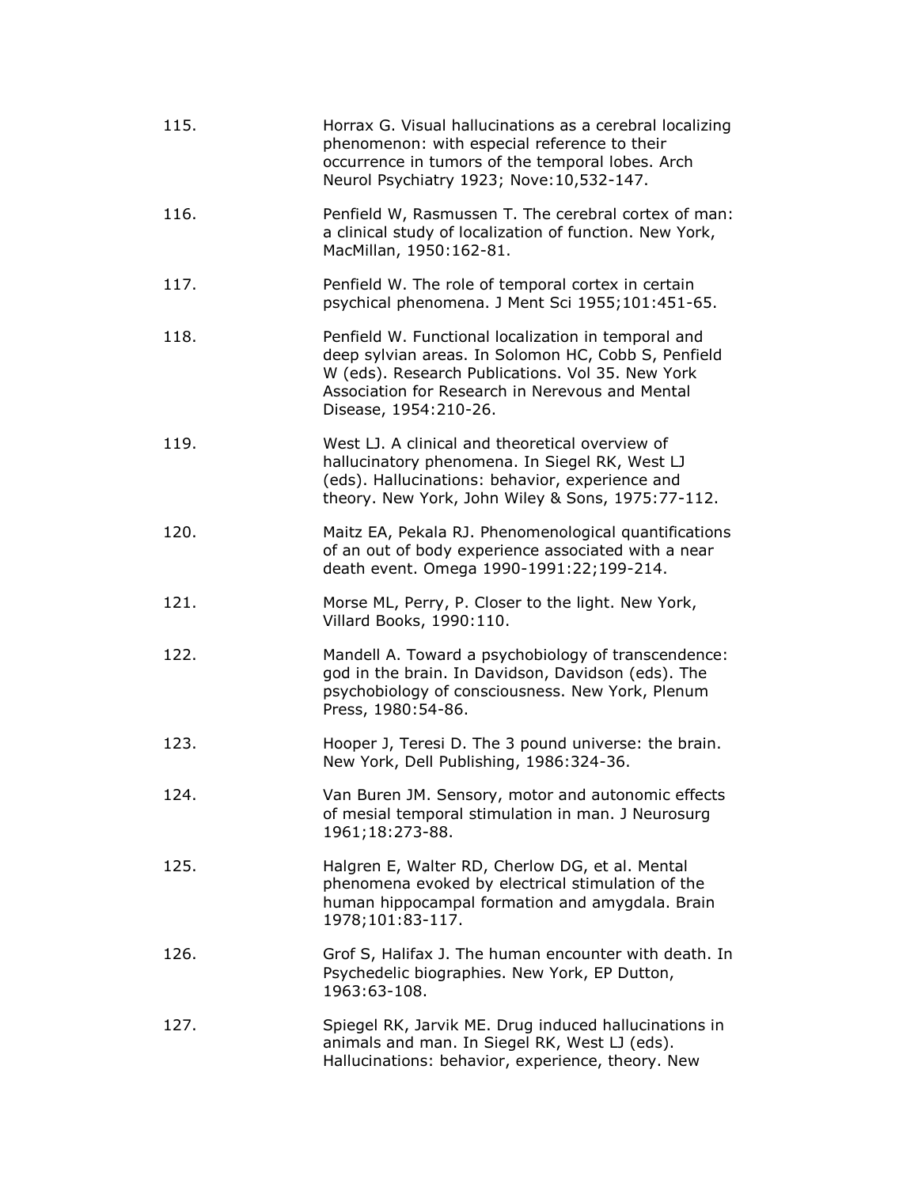| 115. | Horrax G. Visual hallucinations as a cerebral localizing<br>phenomenon: with especial reference to their<br>occurrence in tumors of the temporal lobes. Arch<br>Neurol Psychiatry 1923; Nove: 10,532-147.                                  |
|------|--------------------------------------------------------------------------------------------------------------------------------------------------------------------------------------------------------------------------------------------|
| 116. | Penfield W, Rasmussen T. The cerebral cortex of man:<br>a clinical study of localization of function. New York,<br>MacMillan, 1950:162-81.                                                                                                 |
| 117. | Penfield W. The role of temporal cortex in certain<br>psychical phenomena. J Ment Sci 1955;101:451-65.                                                                                                                                     |
| 118. | Penfield W. Functional localization in temporal and<br>deep sylvian areas. In Solomon HC, Cobb S, Penfield<br>W (eds). Research Publications. Vol 35. New York<br>Association for Research in Nerevous and Mental<br>Disease, 1954:210-26. |
| 119. | West LJ. A clinical and theoretical overview of<br>hallucinatory phenomena. In Siegel RK, West LJ<br>(eds). Hallucinations: behavior, experience and<br>theory. New York, John Wiley & Sons, 1975:77-112.                                  |
| 120. | Maitz EA, Pekala RJ. Phenomenological quantifications<br>of an out of body experience associated with a near<br>death event. Omega 1990-1991:22;199-214.                                                                                   |
| 121. | Morse ML, Perry, P. Closer to the light. New York,<br>Villard Books, 1990:110.                                                                                                                                                             |
| 122. | Mandell A. Toward a psychobiology of transcendence:<br>god in the brain. In Davidson, Davidson (eds). The<br>psychobiology of consciousness. New York, Plenum<br>Press, 1980:54-86.                                                        |
| 123. | Hooper J, Teresi D. The 3 pound universe: the brain.<br>New York, Dell Publishing, 1986:324-36.                                                                                                                                            |
| 124. | Van Buren JM. Sensory, motor and autonomic effects<br>of mesial temporal stimulation in man. J Neurosurg<br>1961;18:273-88.                                                                                                                |
| 125. | Halgren E, Walter RD, Cherlow DG, et al. Mental<br>phenomena evoked by electrical stimulation of the<br>human hippocampal formation and amygdala. Brain<br>1978;101:83-117.                                                                |
| 126. | Grof S, Halifax J. The human encounter with death. In<br>Psychedelic biographies. New York, EP Dutton,<br>1963:63-108.                                                                                                                     |
| 127. | Spiegel RK, Jarvik ME. Drug induced hallucinations in<br>animals and man. In Siegel RK, West LJ (eds).<br>Hallucinations: behavior, experience, theory. New                                                                                |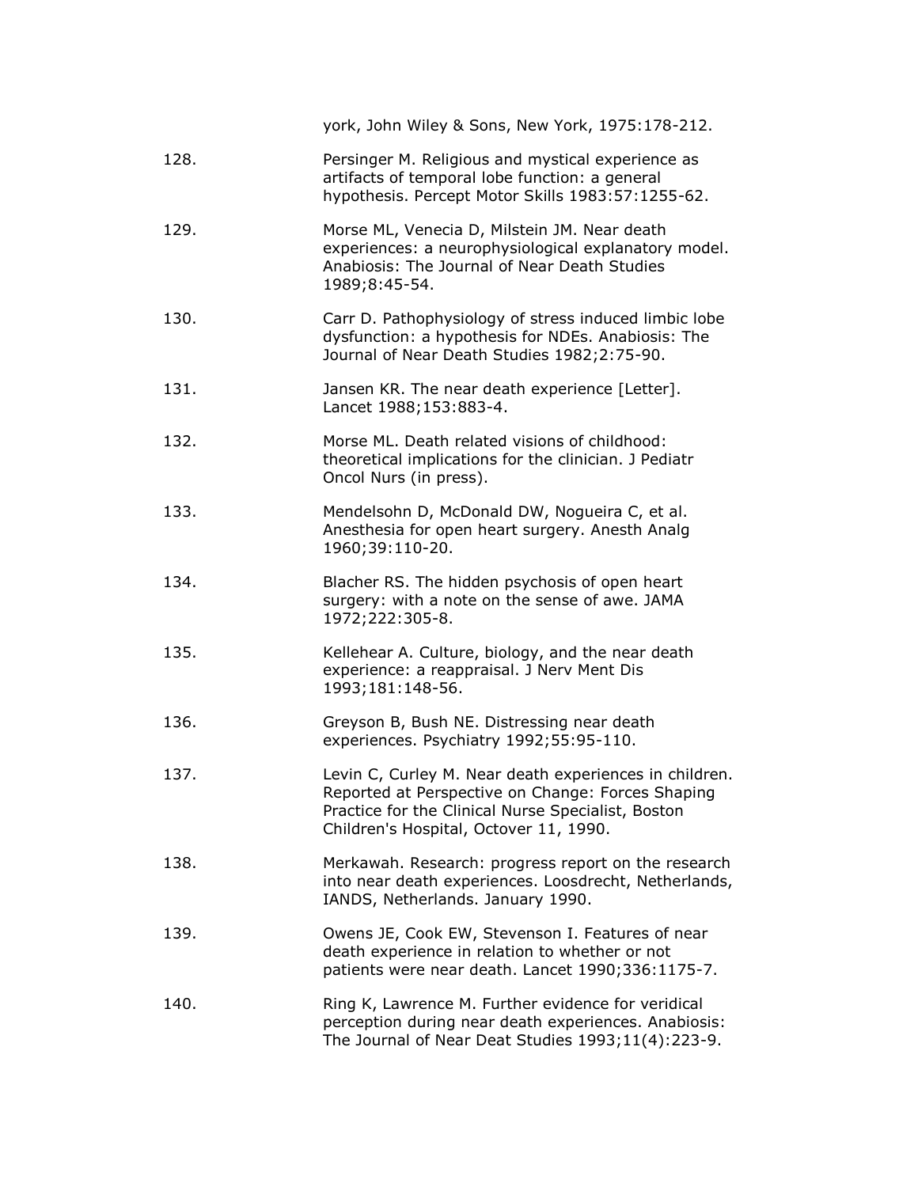|      | york, John Wiley & Sons, New York, 1975:178-212.                                                                                                                                                            |
|------|-------------------------------------------------------------------------------------------------------------------------------------------------------------------------------------------------------------|
| 128. | Persinger M. Religious and mystical experience as<br>artifacts of temporal lobe function: a general<br>hypothesis. Percept Motor Skills 1983:57:1255-62.                                                    |
| 129. | Morse ML, Venecia D, Milstein JM. Near death<br>experiences: a neurophysiological explanatory model.<br>Anabiosis: The Journal of Near Death Studies<br>1989;8:45-54.                                       |
| 130. | Carr D. Pathophysiology of stress induced limbic lobe<br>dysfunction: a hypothesis for NDEs. Anabiosis: The<br>Journal of Near Death Studies 1982;2:75-90.                                                  |
| 131. | Jansen KR. The near death experience [Letter].<br>Lancet 1988;153:883-4.                                                                                                                                    |
| 132. | Morse ML. Death related visions of childhood:<br>theoretical implications for the clinician. J Pediatr<br>Oncol Nurs (in press).                                                                            |
| 133. | Mendelsohn D, McDonald DW, Nogueira C, et al.<br>Anesthesia for open heart surgery. Anesth Analg<br>1960;39:110-20.                                                                                         |
| 134. | Blacher RS. The hidden psychosis of open heart<br>surgery: with a note on the sense of awe. JAMA<br>1972;222:305-8.                                                                                         |
| 135. | Kellehear A. Culture, biology, and the near death<br>experience: a reappraisal. J Nerv Ment Dis<br>1993;181:148-56.                                                                                         |
| 136. | Greyson B, Bush NE. Distressing near death<br>experiences. Psychiatry 1992;55:95-110.                                                                                                                       |
| 137. | Levin C, Curley M. Near death experiences in children.<br>Reported at Perspective on Change: Forces Shaping<br>Practice for the Clinical Nurse Specialist, Boston<br>Children's Hospital, Octover 11, 1990. |
| 138. | Merkawah. Research: progress report on the research<br>into near death experiences. Loosdrecht, Netherlands,<br>IANDS, Netherlands. January 1990.                                                           |
| 139. | Owens JE, Cook EW, Stevenson I. Features of near<br>death experience in relation to whether or not<br>patients were near death. Lancet 1990;336:1175-7.                                                     |
| 140. | Ring K, Lawrence M. Further evidence for veridical<br>perception during near death experiences. Anabiosis:<br>The Journal of Near Deat Studies 1993;11(4):223-9.                                            |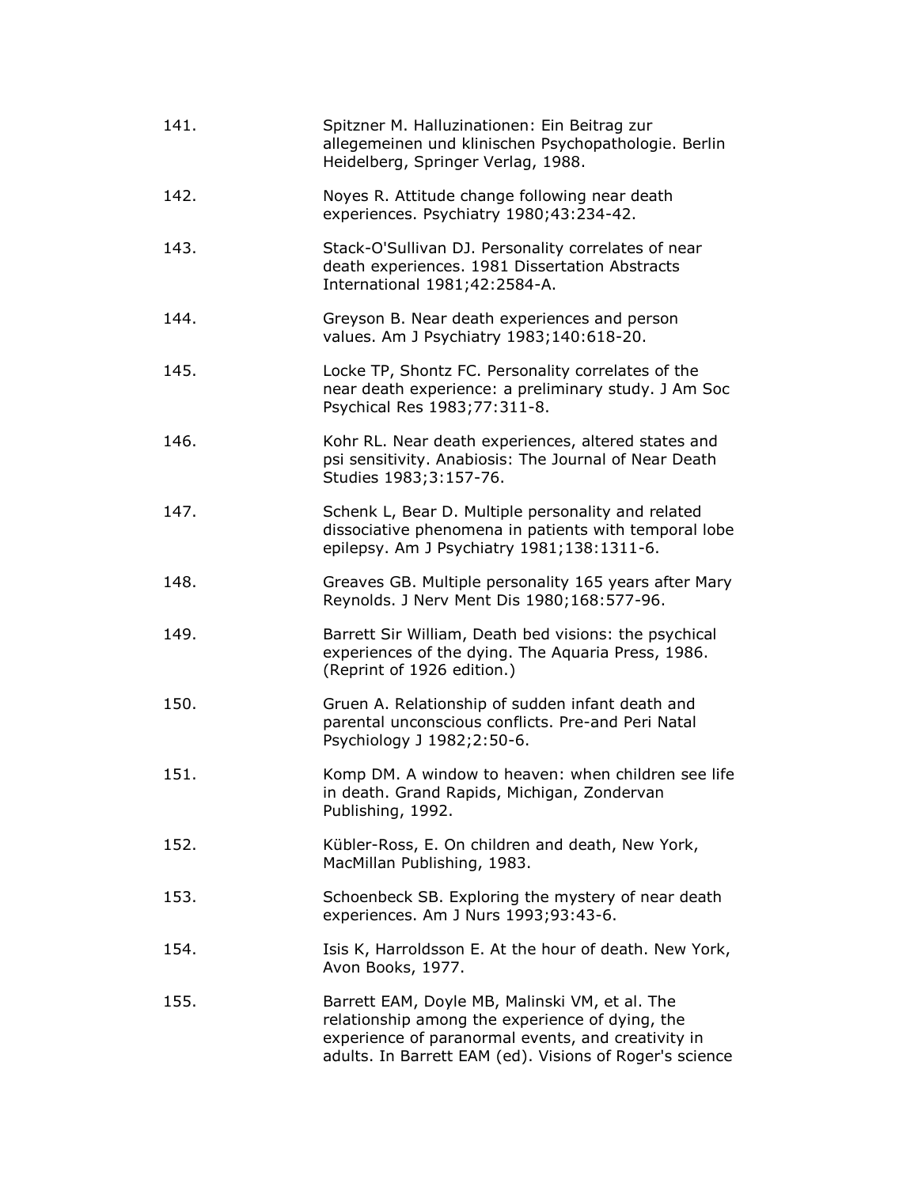| 141. | Spitzner M. Halluzinationen: Ein Beitrag zur<br>allegemeinen und klinischen Psychopathologie. Berlin<br>Heidelberg, Springer Verlag, 1988.                                                                         |
|------|--------------------------------------------------------------------------------------------------------------------------------------------------------------------------------------------------------------------|
| 142. | Noyes R. Attitude change following near death<br>experiences. Psychiatry 1980;43:234-42.                                                                                                                           |
| 143. | Stack-O'Sullivan DJ. Personality correlates of near<br>death experiences. 1981 Dissertation Abstracts<br>International 1981;42:2584-A.                                                                             |
| 144. | Greyson B. Near death experiences and person<br>values. Am J Psychiatry 1983;140:618-20.                                                                                                                           |
| 145. | Locke TP, Shontz FC. Personality correlates of the<br>near death experience: a preliminary study. J Am Soc<br>Psychical Res 1983;77:311-8.                                                                         |
| 146. | Kohr RL. Near death experiences, altered states and<br>psi sensitivity. Anabiosis: The Journal of Near Death<br>Studies 1983;3:157-76.                                                                             |
| 147. | Schenk L, Bear D. Multiple personality and related<br>dissociative phenomena in patients with temporal lobe<br>epilepsy. Am J Psychiatry 1981;138:1311-6.                                                          |
| 148. | Greaves GB. Multiple personality 165 years after Mary<br>Reynolds. J Nerv Ment Dis 1980;168:577-96.                                                                                                                |
| 149. | Barrett Sir William, Death bed visions: the psychical<br>experiences of the dying. The Aquaria Press, 1986.<br>(Reprint of 1926 edition.)                                                                          |
| 150. | Gruen A. Relationship of sudden infant death and<br>parental unconscious conflicts. Pre-and Peri Natal<br>Psychiology J 1982;2:50-6.                                                                               |
| 151. | Komp DM. A window to heaven: when children see life<br>in death. Grand Rapids, Michigan, Zondervan<br>Publishing, 1992.                                                                                            |
| 152. | Kübler-Ross, E. On children and death, New York,<br>MacMillan Publishing, 1983.                                                                                                                                    |
| 153. | Schoenbeck SB. Exploring the mystery of near death<br>experiences. Am J Nurs 1993;93:43-6.                                                                                                                         |
| 154. | Isis K, Harroldsson E. At the hour of death. New York,<br>Avon Books, 1977.                                                                                                                                        |
| 155. | Barrett EAM, Doyle MB, Malinski VM, et al. The<br>relationship among the experience of dying, the<br>experience of paranormal events, and creativity in<br>adults. In Barrett EAM (ed). Visions of Roger's science |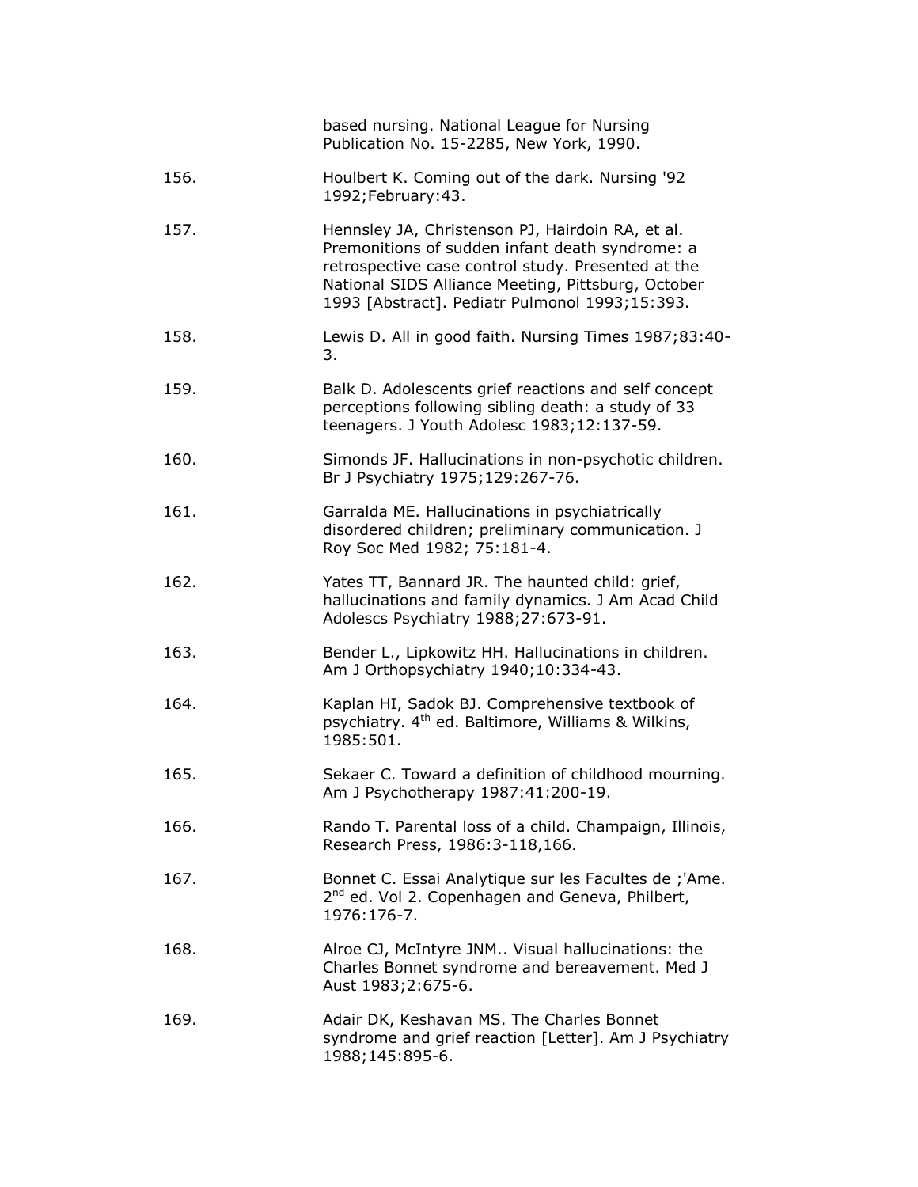|      | based nursing. National League for Nursing<br>Publication No. 15-2285, New York, 1990.                                                                                                                                                                            |
|------|-------------------------------------------------------------------------------------------------------------------------------------------------------------------------------------------------------------------------------------------------------------------|
| 156. | Houlbert K. Coming out of the dark. Nursing '92<br>1992; February: 43.                                                                                                                                                                                            |
| 157. | Hennsley JA, Christenson PJ, Hairdoin RA, et al.<br>Premonitions of sudden infant death syndrome: a<br>retrospective case control study. Presented at the<br>National SIDS Alliance Meeting, Pittsburg, October<br>1993 [Abstract]. Pediatr Pulmonol 1993;15:393. |
| 158. | Lewis D. All in good faith. Nursing Times 1987;83:40-<br>3.                                                                                                                                                                                                       |
| 159. | Balk D. Adolescents grief reactions and self concept<br>perceptions following sibling death: a study of 33<br>teenagers. J Youth Adolesc 1983;12:137-59.                                                                                                          |
| 160. | Simonds JF. Hallucinations in non-psychotic children.<br>Br J Psychiatry 1975; 129: 267-76.                                                                                                                                                                       |
| 161. | Garralda ME. Hallucinations in psychiatrically<br>disordered children; preliminary communication. J<br>Roy Soc Med 1982; 75:181-4.                                                                                                                                |
| 162. | Yates TT, Bannard JR. The haunted child: grief,<br>hallucinations and family dynamics. J Am Acad Child<br>Adolescs Psychiatry 1988;27:673-91.                                                                                                                     |
| 163. | Bender L., Lipkowitz HH. Hallucinations in children.<br>Am J Orthopsychiatry 1940;10:334-43.                                                                                                                                                                      |
| 164. | Kaplan HI, Sadok BJ. Comprehensive textbook of<br>psychiatry. 4 <sup>th</sup> ed. Baltimore, Williams & Wilkins,<br>1985:501.                                                                                                                                     |
| 165. | Sekaer C. Toward a definition of childhood mourning.<br>Am J Psychotherapy 1987:41:200-19.                                                                                                                                                                        |
| 166. | Rando T. Parental loss of a child. Champaign, Illinois,<br>Research Press, 1986:3-118,166.                                                                                                                                                                        |
| 167. | Bonnet C. Essai Analytique sur les Facultes de ;'Ame.<br>2 <sup>nd</sup> ed. Vol 2. Copenhagen and Geneva, Philbert,<br>1976:176-7.                                                                                                                               |
| 168. | Alroe CJ, McIntyre JNM Visual hallucinations: the<br>Charles Bonnet syndrome and bereavement. Med J<br>Aust 1983;2:675-6.                                                                                                                                         |
| 169. | Adair DK, Keshavan MS. The Charles Bonnet<br>syndrome and grief reaction [Letter]. Am J Psychiatry<br>1988;145:895-6.                                                                                                                                             |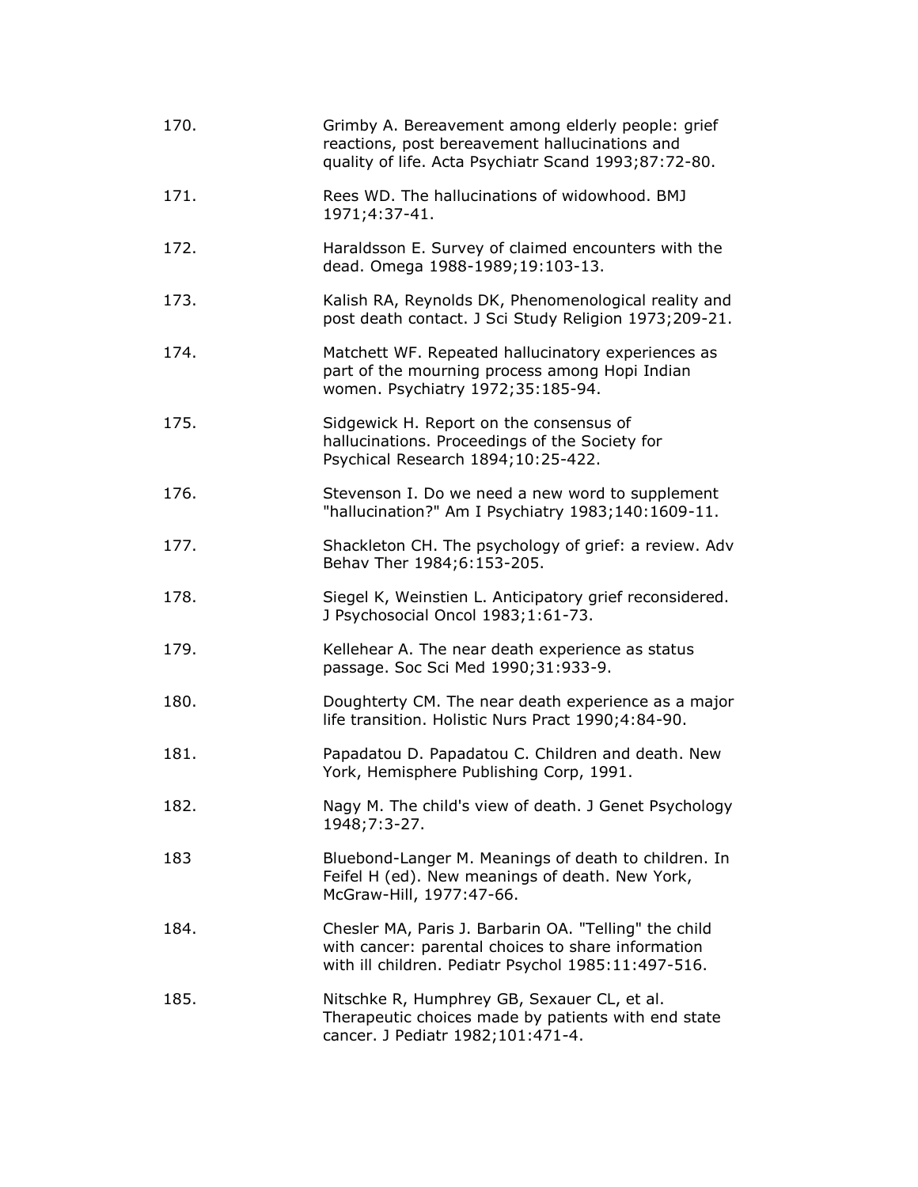| 170. | Grimby A. Bereavement among elderly people: grief<br>reactions, post bereavement hallucinations and<br>quality of life. Acta Psychiatr Scand 1993;87:72-80.        |
|------|--------------------------------------------------------------------------------------------------------------------------------------------------------------------|
| 171. | Rees WD. The hallucinations of widowhood. BMJ<br>1971;4:37-41.                                                                                                     |
| 172. | Haraldsson E. Survey of claimed encounters with the<br>dead. Omega 1988-1989;19:103-13.                                                                            |
| 173. | Kalish RA, Reynolds DK, Phenomenological reality and<br>post death contact. J Sci Study Religion 1973;209-21.                                                      |
| 174. | Matchett WF. Repeated hallucinatory experiences as<br>part of the mourning process among Hopi Indian<br>women. Psychiatry 1972;35:185-94.                          |
| 175. | Sidgewick H. Report on the consensus of<br>hallucinations. Proceedings of the Society for<br>Psychical Research 1894;10:25-422.                                    |
| 176. | Stevenson I. Do we need a new word to supplement<br>"hallucination?" Am I Psychiatry 1983;140:1609-11.                                                             |
| 177. | Shackleton CH. The psychology of grief: a review. Adv<br>Behav Ther 1984;6:153-205.                                                                                |
| 178. | Siegel K, Weinstien L. Anticipatory grief reconsidered.<br>J Psychosocial Oncol 1983;1:61-73.                                                                      |
| 179. | Kellehear A. The near death experience as status<br>passage. Soc Sci Med 1990;31:933-9.                                                                            |
| 180. | Doughterty CM. The near death experience as a major<br>life transition. Holistic Nurs Pract 1990;4:84-90.                                                          |
| 181. | Papadatou D. Papadatou C. Children and death. New<br>York, Hemisphere Publishing Corp, 1991.                                                                       |
| 182. | Nagy M. The child's view of death. J Genet Psychology<br>1948;7:3-27.                                                                                              |
| 183  | Bluebond-Langer M. Meanings of death to children. In<br>Feifel H (ed). New meanings of death. New York,<br>McGraw-Hill, 1977:47-66.                                |
| 184. | Chesler MA, Paris J. Barbarin OA. "Telling" the child<br>with cancer: parental choices to share information<br>with ill children. Pediatr Psychol 1985:11:497-516. |
| 185. | Nitschke R, Humphrey GB, Sexauer CL, et al.<br>Therapeutic choices made by patients with end state<br>cancer. J Pediatr 1982;101:471-4.                            |